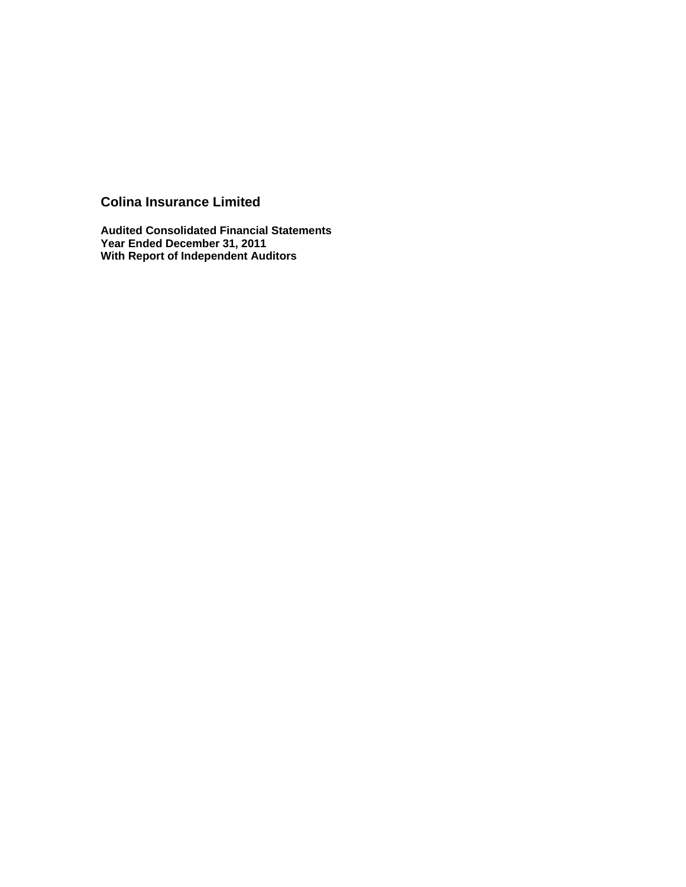**Colina Insurance Limited** 

**Audited Consolidated Financial Statements Year Ended December 31, 2011 With Report of Independent Auditors**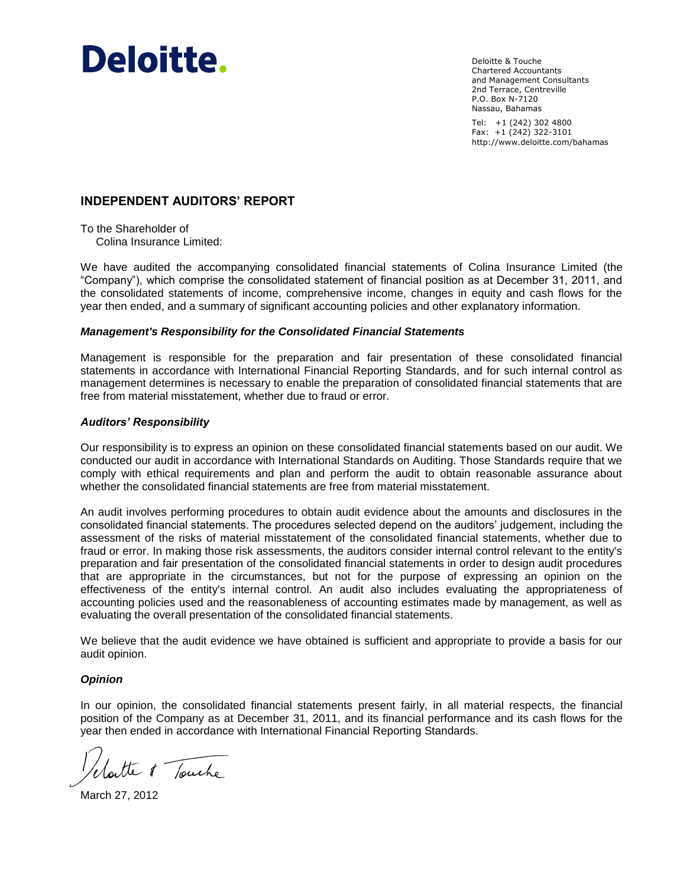

Deloitte & Touche Chartered Accountants and Management Consultants 2nd Terrace, Centreville P.O. Box N-7120 Nassau, Bahamas

Tel: +1 (242) 302 4800 Fax: +1 (242) 322-3101 http://www.deloitte.com/bahamas

# **INDEPENDENT AUDITORS' REPORT**

To the Shareholder of Colina Insurance Limited:

We have audited the accompanying consolidated financial statements of Colina Insurance Limited (the "Company"), which comprise the consolidated statement of financial position as at December 31, 2011, and the consolidated statements of income, comprehensive income, changes in equity and cash flows for the year then ended, and a summary of significant accounting policies and other explanatory information.

# *Management's Responsibility for the Consolidated Financial Statements*

Management is responsible for the preparation and fair presentation of these consolidated financial statements in accordance with International Financial Reporting Standards, and for such internal control as management determines is necessary to enable the preparation of consolidated financial statements that are free from material misstatement, whether due to fraud or error.

# *Auditors' Responsibility*

Our responsibility is to express an opinion on these consolidated financial statements based on our audit. We conducted our audit in accordance with International Standards on Auditing. Those Standards require that we comply with ethical requirements and plan and perform the audit to obtain reasonable assurance about whether the consolidated financial statements are free from material misstatement.

An audit involves performing procedures to obtain audit evidence about the amounts and disclosures in the consolidated financial statements. The procedures selected depend on the auditors' judgement, including the assessment of the risks of material misstatement of the consolidated financial statements, whether due to fraud or error. In making those risk assessments, the auditors consider internal control relevant to the entity's preparation and fair presentation of the consolidated financial statements in order to design audit procedures that are appropriate in the circumstances, but not for the purpose of expressing an opinion on the effectiveness of the entity's internal control. An audit also includes evaluating the appropriateness of accounting policies used and the reasonableness of accounting estimates made by management, as well as evaluating the overall presentation of the consolidated financial statements.

We believe that the audit evidence we have obtained is sufficient and appropriate to provide a basis for our audit opinion.

# *Opinion*

In our opinion, the consolidated financial statements present fairly, in all material respects, the financial position of the Company as at December 31, 2011, and its financial performance and its cash flows for the year then ended in accordance with International Financial Reporting Standards.

elatte & Touche

March 27, 2012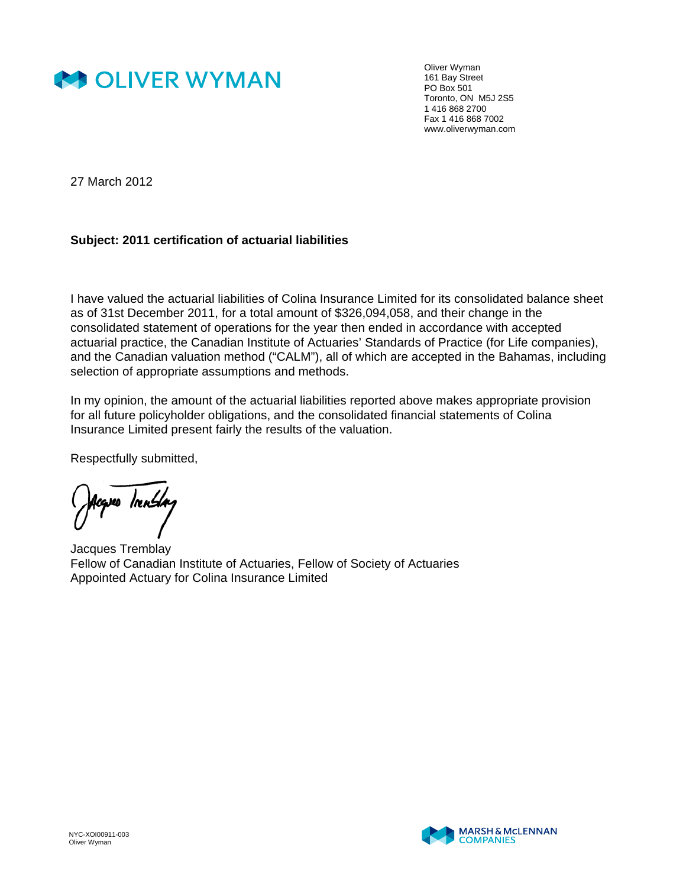

Oliver Wyman 161 Bay Street PO Box 501 Toronto, ON M5J 2S5 1 416 868 2700 Fax 1 416 868 7002 www.oliverwyman.com

27 March 2012

# **Subject: 2011 certification of actuarial liabilities**

I have valued the actuarial liabilities of Colina Insurance Limited for its consolidated balance sheet as of 31st December 2011, for a total amount of \$326,094,058, and their change in the consolidated statement of operations for the year then ended in accordance with accepted actuarial practice, the Canadian Institute of Actuaries' Standards of Practice (for Life companies), and the Canadian valuation method ("CALM"), all of which are accepted in the Bahamas, including selection of appropriate assumptions and methods.

In my opinion, the amount of the actuarial liabilities reported above makes appropriate provision for all future policyholder obligations, and the consolidated financial statements of Colina Insurance Limited present fairly the results of the valuation.

Respectfully submitted,

cqvo henblay

Jacques Tremblay Fellow of Canadian Institute of Actuaries, Fellow of Society of Actuaries Appointed Actuary for Colina Insurance Limited

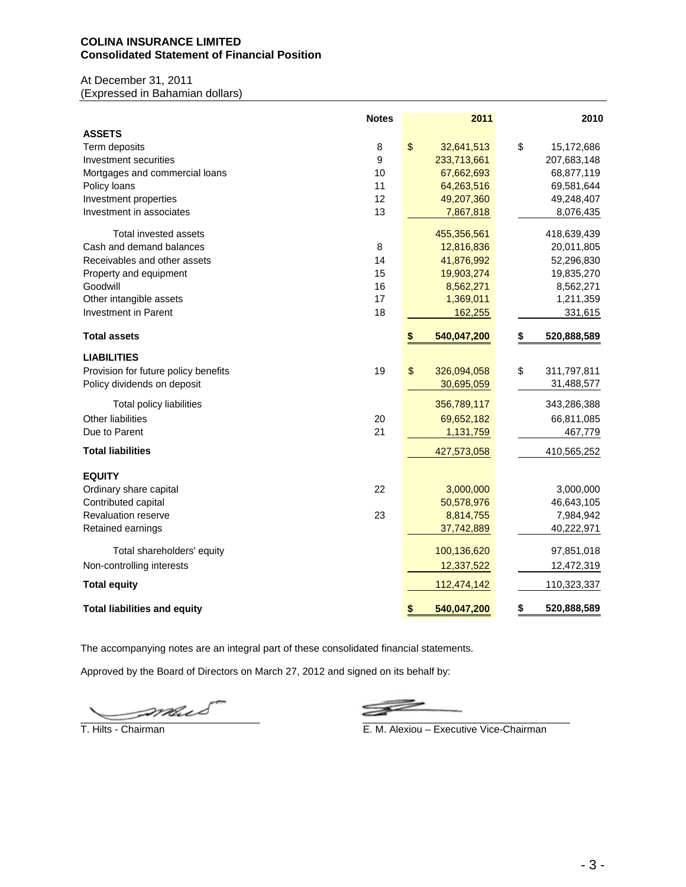# **COLINA INSURANCE LIMITED Consolidated Statement of Financial Position**

# At December 31, 2011 (Expressed in Bahamian dollars)

|                                      | <b>Notes</b> | 2011              | 2010              |
|--------------------------------------|--------------|-------------------|-------------------|
| <b>ASSETS</b>                        |              |                   |                   |
| Term deposits                        | 8            | \$<br>32,641,513  | \$<br>15,172,686  |
| Investment securities                | 9            | 233,713,661       | 207,683,148       |
| Mortgages and commercial loans       | 10           | 67,662,693        | 68,877,119        |
| Policy loans                         | 11           | 64,263,516        | 69,581,644        |
| Investment properties                | 12           | 49,207,360        | 49,248,407        |
| Investment in associates             | 13           | 7,867,818         | 8,076,435         |
| Total invested assets                |              | 455,356,561       | 418,639,439       |
| Cash and demand balances             | 8            | 12,816,836        | 20,011,805        |
| Receivables and other assets         | 14           | 41,876,992        | 52,296,830        |
| Property and equipment               | 15           | 19,903,274        | 19,835,270        |
| Goodwill                             | 16           | 8,562,271         | 8,562,271         |
| Other intangible assets              | 17           | 1,369,011         | 1,211,359         |
| <b>Investment in Parent</b>          | 18           | 162,255           | 331,615           |
| <b>Total assets</b>                  |              | \$<br>540,047,200 | \$<br>520,888,589 |
| <b>LIABILITIES</b>                   |              |                   |                   |
| Provision for future policy benefits | 19           | \$<br>326,094,058 | \$<br>311,797,811 |
| Policy dividends on deposit          |              | 30,695,059        | 31,488,577        |
| Total policy liabilities             |              | 356,789,117       | 343,286,388       |
| Other liabilities                    | 20           | 69,652,182        | 66,811,085        |
| Due to Parent                        | 21           | 1,131,759         | 467,779           |
| <b>Total liabilities</b>             |              | 427,573,058       | 410,565,252       |
| <b>EQUITY</b>                        |              |                   |                   |
| Ordinary share capital               | 22           | 3,000,000         | 3,000,000         |
| Contributed capital                  |              | 50,578,976        | 46,643,105        |
| <b>Revaluation reserve</b>           | 23           | 8,814,755         | 7,984,942         |
| Retained earnings                    |              | 37,742,889        | 40,222,971        |
| Total shareholders' equity           |              | 100,136,620       | 97,851,018        |
| Non-controlling interests            |              | 12,337,522        | 12,472,319        |
| <b>Total equity</b>                  |              | 112,474,142       | 110,323,337       |
| <b>Total liabilities and equity</b>  |              | 540,047,200<br>\$ | \$<br>520,888,589 |

The accompanying notes are an integral part of these consolidated financial statements.

Approved by the Board of Directors on March 27, 2012 and signed on its behalf by:

 $\underbrace{\hspace{2.0cm}-\hspace{2.0cm}}$ 

 $\approx$ 

T. Hilts - Chairman **E. M. Alexiou – Executive Vice-Chairman**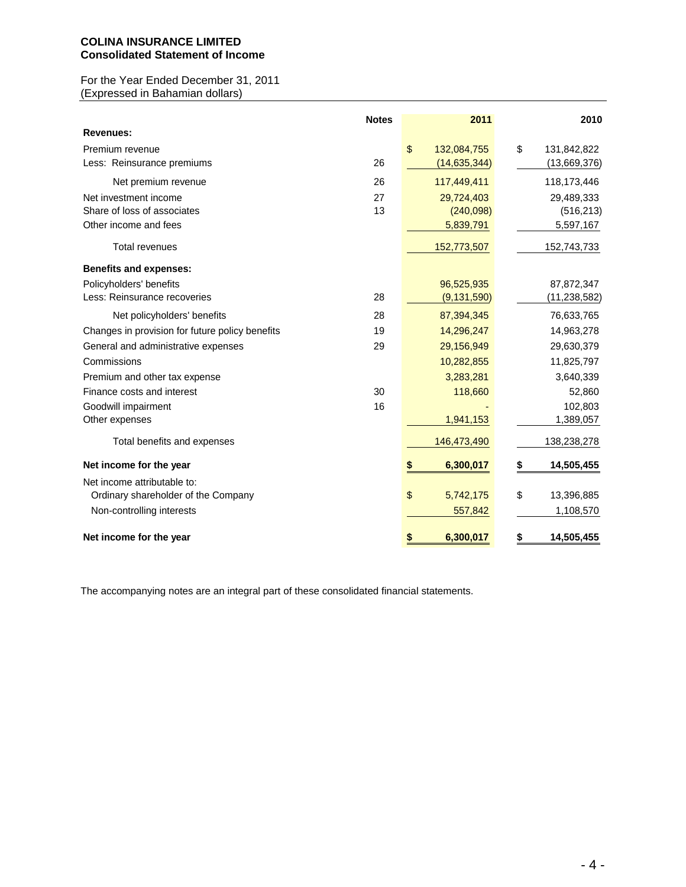# **COLINA INSURANCE LIMITED Consolidated Statement of Income**

For the Year Ended December 31, 2011 (Expressed in Bahamian dollars)

|                                                 | <b>Notes</b> | 2011                          | 2010              |
|-------------------------------------------------|--------------|-------------------------------|-------------------|
| <b>Revenues:</b>                                |              |                               |                   |
| Premium revenue                                 |              | $\mathfrak{L}$<br>132,084,755 | \$<br>131,842,822 |
| Less: Reinsurance premiums                      | 26           | (14, 635, 344)                | (13,669,376)      |
| Net premium revenue                             | 26           | 117,449,411                   | 118,173,446       |
| Net investment income                           | 27           | 29,724,403                    | 29,489,333        |
| Share of loss of associates                     | 13           | (240,098)                     | (516, 213)        |
| Other income and fees                           |              | 5,839,791                     | 5,597,167         |
| <b>Total revenues</b>                           |              | 152,773,507                   | 152,743,733       |
| <b>Benefits and expenses:</b>                   |              |                               |                   |
| Policyholders' benefits                         |              | 96,525,935                    | 87,872,347        |
| Less: Reinsurance recoveries                    | 28           | (9, 131, 590)                 | (11, 238, 582)    |
| Net policyholders' benefits                     | 28           | 87,394,345                    | 76,633,765        |
| Changes in provision for future policy benefits | 19           | 14,296,247                    | 14,963,278        |
| General and administrative expenses             | 29           | 29,156,949                    | 29,630,379        |
| Commissions                                     |              | 10,282,855                    | 11,825,797        |
| Premium and other tax expense                   |              | 3,283,281                     | 3,640,339         |
| Finance costs and interest                      | 30           | 118,660                       | 52,860            |
| Goodwill impairment                             | 16           |                               | 102,803           |
| Other expenses                                  |              | 1,941,153                     | 1,389,057         |
| Total benefits and expenses                     |              | 146,473,490                   | 138,238,278       |
| Net income for the year                         |              | \$<br>6,300,017               | \$<br>14,505,455  |
| Net income attributable to:                     |              |                               |                   |
| Ordinary shareholder of the Company             |              | \$<br>5,742,175               | \$<br>13,396,885  |
| Non-controlling interests                       |              | 557,842                       | 1,108,570         |
| Net income for the year                         |              | 6,300,017<br>\$               | 14,505,455<br>\$  |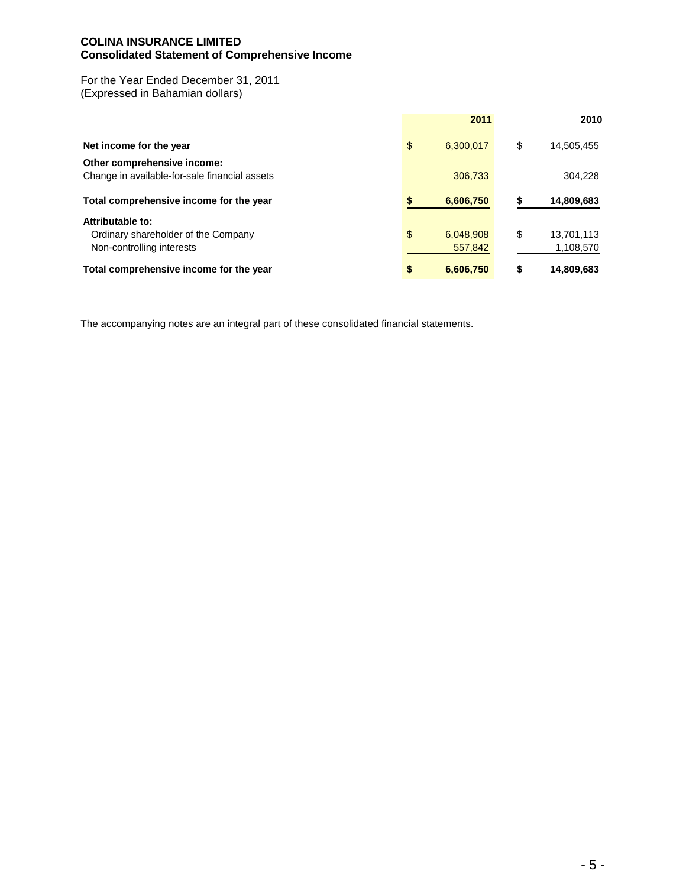# **COLINA INSURANCE LIMITED Consolidated Statement of Comprehensive Income**

For the Year Ended December 31, 2011 (Expressed in Bahamian dollars)

|                                               | 2011            | 2010             |
|-----------------------------------------------|-----------------|------------------|
| Net income for the year                       | \$<br>6.300.017 | \$<br>14,505,455 |
| Other comprehensive income:                   |                 |                  |
| Change in available-for-sale financial assets | 306,733         | 304,228          |
| Total comprehensive income for the year       | 6,606,750       | 14,809,683       |
| Attributable to:                              |                 |                  |
| Ordinary shareholder of the Company           | \$<br>6,048,908 | \$<br>13,701,113 |
| Non-controlling interests                     | 557,842         | 1,108,570        |
| Total comprehensive income for the year       | 6,606,750       | 14,809,683       |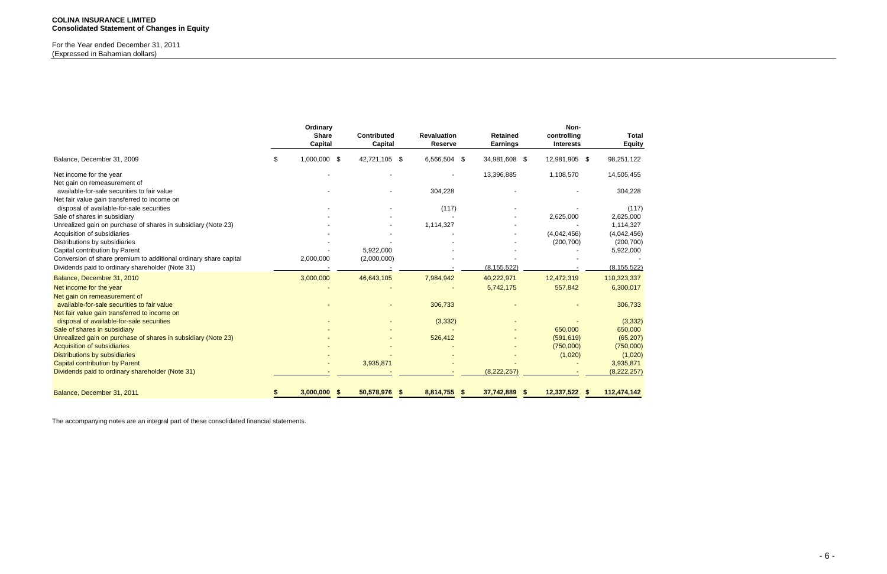|                                                                                                                             | Ordinary<br><b>Share</b><br><b>Capital</b> |     | <b>Contributed</b><br><b>Capital</b> | <b>Revaluation</b><br><b>Reserve</b> |              | <b>Retained</b><br><b>Earnings</b> |      | Non-<br>controlling<br><b>Interests</b> |      | <b>Total</b><br><b>Equity</b> |
|-----------------------------------------------------------------------------------------------------------------------------|--------------------------------------------|-----|--------------------------------------|--------------------------------------|--------------|------------------------------------|------|-----------------------------------------|------|-------------------------------|
| Balance, December 31, 2009                                                                                                  | \$<br>1,000,000 \$                         |     | 42,721,105 \$                        | 6,566,504 \$                         |              | 34,981,608 \$                      |      | 12,981,905 \$                           |      | 98,251,122                    |
| Net income for the year<br>Net gain on remeasurement of                                                                     |                                            |     |                                      |                                      |              | 13,396,885                         |      | 1,108,570                               |      | 14,505,455                    |
| available-for-sale securities to fair value<br>Net fair value gain transferred to income on                                 |                                            |     |                                      | 304,228                              |              |                                    |      |                                         |      | 304,228                       |
| disposal of available-for-sale securities                                                                                   |                                            |     |                                      | (117)                                |              |                                    |      |                                         |      | (117)                         |
| Sale of shares in subsidiary                                                                                                |                                            |     |                                      |                                      |              |                                    |      | 2,625,000                               |      | 2,625,000                     |
| Unrealized gain on purchase of shares in subsidiary (Note 23)                                                               |                                            |     |                                      | 1,114,327                            |              |                                    |      |                                         |      | 1,114,327                     |
| Acquisition of subsidiaries<br>Distributions by subsidiaries                                                                |                                            |     |                                      |                                      |              |                                    |      | (4,042,456)                             |      | (4,042,456)                   |
| Capital contribution by Parent                                                                                              |                                            |     | 5,922,000                            |                                      |              |                                    |      | (200, 700)                              |      | (200, 700)<br>5,922,000       |
| Conversion of share premium to additional ordinary share capital                                                            | 2,000,000                                  |     | (2,000,000)                          |                                      |              |                                    |      |                                         |      |                               |
| Dividends paid to ordinary shareholder (Note 31)                                                                            |                                            |     |                                      |                                      |              | (8, 155, 522)                      |      |                                         |      | (8, 155, 522)                 |
| Balance, December 31, 2010                                                                                                  | 3,000,000                                  |     | 46,643,105                           | 7,984,942                            |              | 40,222,971                         |      | 12,472,319                              |      | 110,323,337                   |
| Net income for the year                                                                                                     |                                            |     |                                      |                                      |              | 5,742,175                          |      | 557,842                                 |      | 6,300,017                     |
| Net gain on remeasurement of<br>available-for-sale securities to fair value<br>Net fair value gain transferred to income on |                                            |     |                                      | 306,733                              |              |                                    |      |                                         |      | 306,733                       |
| disposal of available-for-sale securities                                                                                   |                                            |     |                                      | (3, 332)                             |              |                                    |      |                                         |      | (3, 332)                      |
| Sale of shares in subsidiary                                                                                                |                                            |     |                                      |                                      |              |                                    |      | 650,000                                 |      | 650,000                       |
| Unrealized gain on purchase of shares in subsidiary (Note 23)                                                               |                                            |     |                                      | 526,412                              |              |                                    |      | (591, 619)                              |      | (65, 207)                     |
| Acquisition of subsidiaries                                                                                                 |                                            |     |                                      |                                      |              |                                    |      | (750,000)                               |      | (750,000)                     |
| Distributions by subsidiaries                                                                                               |                                            |     |                                      |                                      |              |                                    |      | (1,020)                                 |      | (1,020)                       |
| <b>Capital contribution by Parent</b>                                                                                       |                                            |     | 3,935,871                            |                                      |              |                                    |      |                                         |      | 3,935,871                     |
| Dividends paid to ordinary shareholder (Note 31)                                                                            |                                            |     |                                      |                                      |              | (8, 222, 257)                      |      |                                         |      | (8,222,257)                   |
| Balance, December 31, 2011                                                                                                  | 3,000,000                                  | -\$ | 50,578,976                           | $\sqrt{5}$<br>8,814,755              | $\mathbf{s}$ | 37,742,889                         | - \$ | 12,337,522                              | - \$ | 112,474,142                   |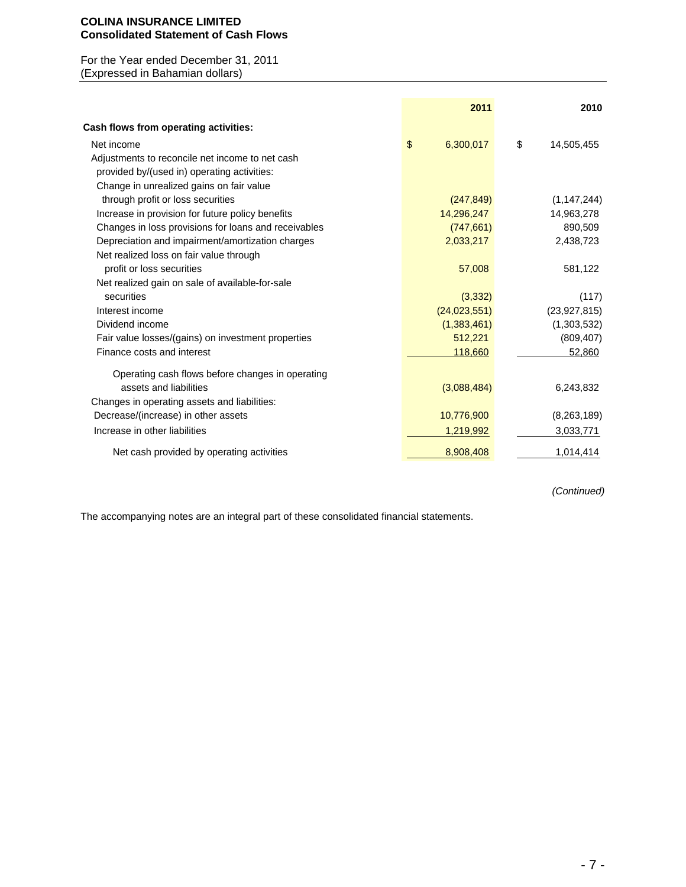# **COLINA INSURANCE LIMITED Consolidated Statement of Cash Flows**

For the Year ended December 31, 2011 (Expressed in Bahamian dollars)

|                                                      | 2011            | 2010             |
|------------------------------------------------------|-----------------|------------------|
| Cash flows from operating activities:                |                 |                  |
| Net income                                           | \$<br>6,300,017 | \$<br>14,505,455 |
| Adjustments to reconcile net income to net cash      |                 |                  |
| provided by/(used in) operating activities:          |                 |                  |
| Change in unrealized gains on fair value             |                 |                  |
| through profit or loss securities                    | (247, 849)      | (1, 147, 244)    |
| Increase in provision for future policy benefits     | 14,296,247      | 14,963,278       |
| Changes in loss provisions for loans and receivables | (747, 661)      | 890,509          |
| Depreciation and impairment/amortization charges     | 2,033,217       | 2,438,723        |
| Net realized loss on fair value through              |                 |                  |
| profit or loss securities                            | 57,008          | 581,122          |
| Net realized gain on sale of available-for-sale      |                 |                  |
| securities                                           | (3, 332)        | (117)            |
| Interest income                                      | (24,023,551)    | (23, 927, 815)   |
| Dividend income                                      | (1,383,461)     | (1,303,532)      |
| Fair value losses/(gains) on investment properties   | 512,221         | (809, 407)       |
| Finance costs and interest                           | 118,660         | 52,860           |
| Operating cash flows before changes in operating     |                 |                  |
| assets and liabilities                               | (3,088,484)     | 6,243,832        |
| Changes in operating assets and liabilities:         |                 |                  |
| Decrease/(increase) in other assets                  | 10,776,900      | (8, 263, 189)    |
| Increase in other liabilities                        | 1,219,992       | 3,033,771        |
| Net cash provided by operating activities            | 8,908,408       | 1,014,414        |

*(Continued)*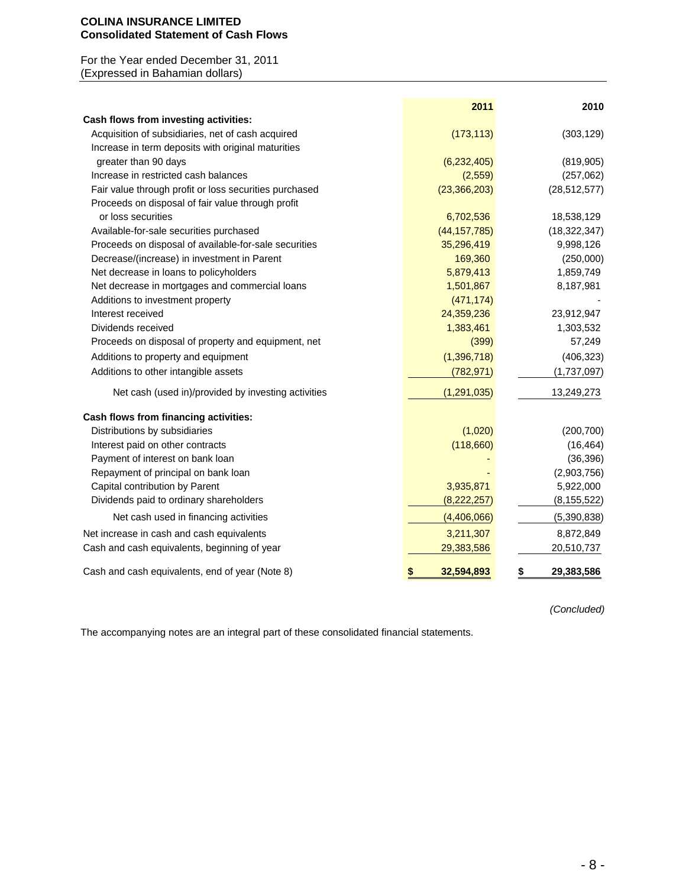# **COLINA INSURANCE LIMITED Consolidated Statement of Cash Flows**

For the Year ended December 31, 2011 (Expressed in Bahamian dollars)

|                                                        | 2011             | 2010             |
|--------------------------------------------------------|------------------|------------------|
| Cash flows from investing activities:                  |                  |                  |
| Acquisition of subsidiaries, net of cash acquired      | (173, 113)       | (303, 129)       |
| Increase in term deposits with original maturities     |                  |                  |
| greater than 90 days                                   | (6,232,405)      | (819,905)        |
| Increase in restricted cash balances                   | (2,559)          | (257,062)        |
| Fair value through profit or loss securities purchased | (23, 366, 203)   | (28, 512, 577)   |
| Proceeds on disposal of fair value through profit      |                  |                  |
| or loss securities                                     | 6,702,536        | 18,538,129       |
| Available-for-sale securities purchased                | (44, 157, 785)   | (18, 322, 347)   |
| Proceeds on disposal of available-for-sale securities  | 35,296,419       | 9,998,126        |
| Decrease/(increase) in investment in Parent            | 169,360          | (250,000)        |
| Net decrease in loans to policyholders                 | 5,879,413        | 1,859,749        |
| Net decrease in mortgages and commercial loans         | 1,501,867        | 8,187,981        |
| Additions to investment property                       | (471, 174)       |                  |
| Interest received                                      | 24,359,236       | 23,912,947       |
| Dividends received                                     | 1,383,461        | 1,303,532        |
| Proceeds on disposal of property and equipment, net    | (399)            | 57,249           |
| Additions to property and equipment                    | (1,396,718)      | (406, 323)       |
| Additions to other intangible assets                   | (782, 971)       | (1,737,097)      |
| Net cash (used in)/provided by investing activities    | (1, 291, 035)    | 13,249,273       |
| Cash flows from financing activities:                  |                  |                  |
| Distributions by subsidiaries                          | (1,020)          | (200, 700)       |
| Interest paid on other contracts                       | (118,660)        | (16, 464)        |
| Payment of interest on bank loan                       |                  | (36, 396)        |
| Repayment of principal on bank loan                    |                  | (2,903,756)      |
| Capital contribution by Parent                         | 3,935,871        | 5,922,000        |
| Dividends paid to ordinary shareholders                | (8,222,257)      | (8, 155, 522)    |
| Net cash used in financing activities                  | (4,406,066)      | (5,390,838)      |
| Net increase in cash and cash equivalents              | 3,211,307        | 8,872,849        |
| Cash and cash equivalents, beginning of year           | 29,383,586       | 20,510,737       |
| Cash and cash equivalents, end of year (Note 8)        | \$<br>32,594,893 | 29,383,586<br>\$ |

*(Concluded)*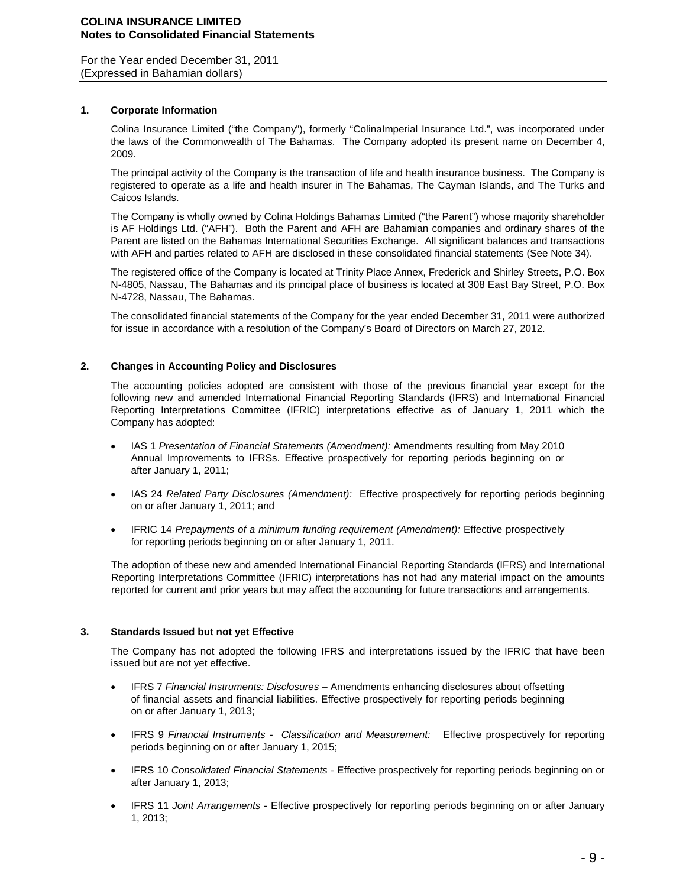## **1. Corporate Information**

Colina Insurance Limited ("the Company"), formerly "ColinaImperial Insurance Ltd.", was incorporated under the laws of the Commonwealth of The Bahamas. The Company adopted its present name on December 4, 2009.

The principal activity of the Company is the transaction of life and health insurance business. The Company is registered to operate as a life and health insurer in The Bahamas, The Cayman Islands, and The Turks and Caicos Islands.

The Company is wholly owned by Colina Holdings Bahamas Limited ("the Parent") whose majority shareholder is AF Holdings Ltd. ("AFH"). Both the Parent and AFH are Bahamian companies and ordinary shares of the Parent are listed on the Bahamas International Securities Exchange. All significant balances and transactions with AFH and parties related to AFH are disclosed in these consolidated financial statements (See Note 34).

The registered office of the Company is located at Trinity Place Annex, Frederick and Shirley Streets, P.O. Box N-4805, Nassau, The Bahamas and its principal place of business is located at 308 East Bay Street, P.O. Box N-4728, Nassau, The Bahamas.

The consolidated financial statements of the Company for the year ended December 31, 2011 were authorized for issue in accordance with a resolution of the Company's Board of Directors on March 27, 2012.

# **2. Changes in Accounting Policy and Disclosures**

The accounting policies adopted are consistent with those of the previous financial year except for the following new and amended International Financial Reporting Standards (IFRS) and International Financial Reporting Interpretations Committee (IFRIC) interpretations effective as of January 1, 2011 which the Company has adopted:

- IAS 1 *Presentation of Financial Statements (Amendment):* Amendments resulting from May 2010 Annual Improvements to IFRSs. Effective prospectively for reporting periods beginning on or after January 1, 2011;
- IAS 24 *Related Party Disclosures (Amendment):* Effective prospectively for reporting periods beginning on or after January 1, 2011; and
- IFRIC 14 *Prepayments of a minimum funding requirement (Amendment):* Effective prospectively for reporting periods beginning on or after January 1, 2011.

The adoption of these new and amended International Financial Reporting Standards (IFRS) and International Reporting Interpretations Committee (IFRIC) interpretations has not had any material impact on the amounts reported for current and prior years but may affect the accounting for future transactions and arrangements.

# **3. Standards Issued but not yet Effective**

The Company has not adopted the following IFRS and interpretations issued by the IFRIC that have been issued but are not yet effective.

- IFRS 7 *Financial Instruments: Disclosures* Amendments enhancing disclosures about offsetting of financial assets and financial liabilities. Effective prospectively for reporting periods beginning on or after January 1, 2013;
- IFRS 9 *Financial Instruments Classification and Measurement:* Effective prospectively for reporting periods beginning on or after January 1, 2015;
- IFRS 10 *Consolidated Financial Statements* Effective prospectively for reporting periods beginning on or after January 1, 2013;
- IFRS 11 *Joint Arrangements* Effective prospectively for reporting periods beginning on or after January 1, 2013;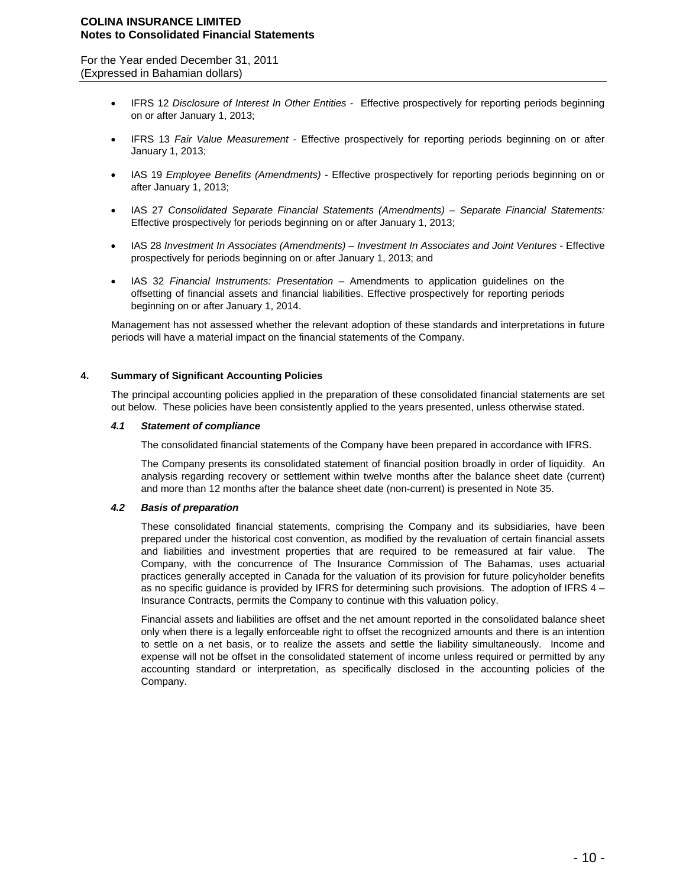For the Year ended December 31, 2011 (Expressed in Bahamian dollars)

- IFRS 12 *Disclosure of Interest In Other Entities* Effective prospectively for reporting periods beginning on or after January 1, 2013;
- IFRS 13 *Fair Value Measurement* Effective prospectively for reporting periods beginning on or after January 1, 2013;
- IAS 19 *Employee Benefits (Amendments)* Effective prospectively for reporting periods beginning on or after January 1, 2013;
- IAS 27 *Consolidated Separate Financial Statements (Amendments) Separate Financial Statements:*  Effective prospectively for periods beginning on or after January 1, 2013;
- IAS 28 *Investment In Associates (Amendments) Investment In Associates and Joint Ventures Effective* prospectively for periods beginning on or after January 1, 2013; and
- IAS 32 *Financial Instruments: Presentation* Amendments to application guidelines on the offsetting of financial assets and financial liabilities. Effective prospectively for reporting periods beginning on or after January 1, 2014.

Management has not assessed whether the relevant adoption of these standards and interpretations in future periods will have a material impact on the financial statements of the Company.

# **4. Summary of Significant Accounting Policies**

The principal accounting policies applied in the preparation of these consolidated financial statements are set out below. These policies have been consistently applied to the years presented, unless otherwise stated.

# *4.1 Statement of compliance*

The consolidated financial statements of the Company have been prepared in accordance with IFRS.

The Company presents its consolidated statement of financial position broadly in order of liquidity. An analysis regarding recovery or settlement within twelve months after the balance sheet date (current) and more than 12 months after the balance sheet date (non-current) is presented in Note 35.

# *4.2 Basis of preparation*

These consolidated financial statements, comprising the Company and its subsidiaries, have been prepared under the historical cost convention, as modified by the revaluation of certain financial assets and liabilities and investment properties that are required to be remeasured at fair value. The Company, with the concurrence of The Insurance Commission of The Bahamas, uses actuarial practices generally accepted in Canada for the valuation of its provision for future policyholder benefits as no specific guidance is provided by IFRS for determining such provisions. The adoption of IFRS 4 – Insurance Contracts, permits the Company to continue with this valuation policy.

Financial assets and liabilities are offset and the net amount reported in the consolidated balance sheet only when there is a legally enforceable right to offset the recognized amounts and there is an intention to settle on a net basis, or to realize the assets and settle the liability simultaneously. Income and expense will not be offset in the consolidated statement of income unless required or permitted by any accounting standard or interpretation, as specifically disclosed in the accounting policies of the Company.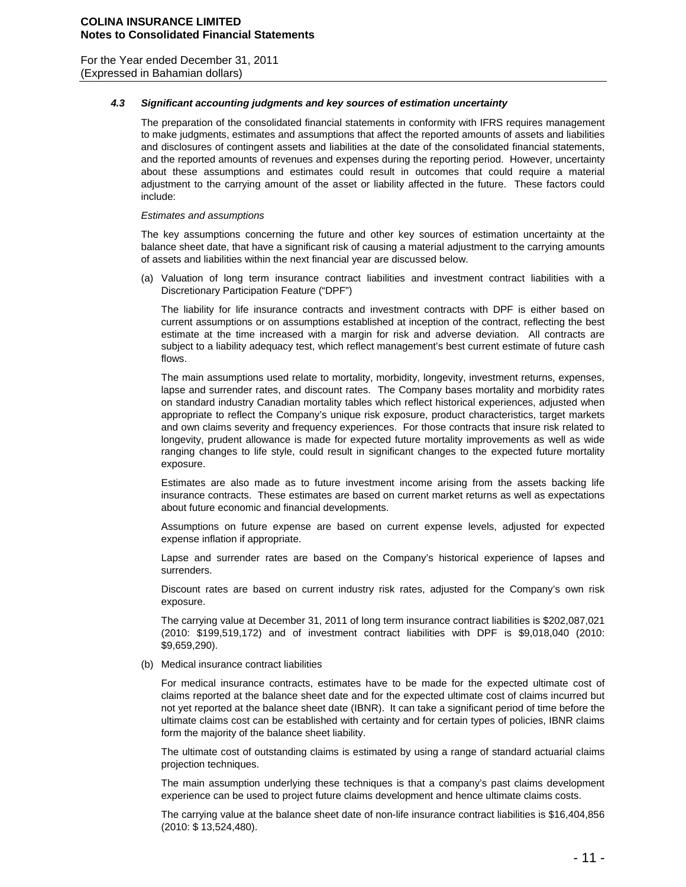## *4.3 Significant accounting judgments and key sources of estimation uncertainty*

The preparation of the consolidated financial statements in conformity with IFRS requires management to make judgments, estimates and assumptions that affect the reported amounts of assets and liabilities and disclosures of contingent assets and liabilities at the date of the consolidated financial statements, and the reported amounts of revenues and expenses during the reporting period. However, uncertainty about these assumptions and estimates could result in outcomes that could require a material adjustment to the carrying amount of the asset or liability affected in the future. These factors could include:

#### *Estimates and assumptions*

The key assumptions concerning the future and other key sources of estimation uncertainty at the balance sheet date, that have a significant risk of causing a material adjustment to the carrying amounts of assets and liabilities within the next financial year are discussed below.

(a) Valuation of long term insurance contract liabilities and investment contract liabilities with a Discretionary Participation Feature ("DPF")

The liability for life insurance contracts and investment contracts with DPF is either based on current assumptions or on assumptions established at inception of the contract, reflecting the best estimate at the time increased with a margin for risk and adverse deviation. All contracts are subject to a liability adequacy test, which reflect management's best current estimate of future cash flows.

The main assumptions used relate to mortality, morbidity, longevity, investment returns, expenses, lapse and surrender rates, and discount rates. The Company bases mortality and morbidity rates on standard industry Canadian mortality tables which reflect historical experiences, adjusted when appropriate to reflect the Company's unique risk exposure, product characteristics, target markets and own claims severity and frequency experiences. For those contracts that insure risk related to longevity, prudent allowance is made for expected future mortality improvements as well as wide ranging changes to life style, could result in significant changes to the expected future mortality exposure.

Estimates are also made as to future investment income arising from the assets backing life insurance contracts. These estimates are based on current market returns as well as expectations about future economic and financial developments.

Assumptions on future expense are based on current expense levels, adjusted for expected expense inflation if appropriate.

Lapse and surrender rates are based on the Company's historical experience of lapses and surrenders.

Discount rates are based on current industry risk rates, adjusted for the Company's own risk exposure.

The carrying value at December 31, 2011 of long term insurance contract liabilities is \$202,087,021 (2010: \$199,519,172) and of investment contract liabilities with DPF is \$9,018,040 (2010: \$9,659,290).

(b) Medical insurance contract liabilities

For medical insurance contracts, estimates have to be made for the expected ultimate cost of claims reported at the balance sheet date and for the expected ultimate cost of claims incurred but not yet reported at the balance sheet date (IBNR). It can take a significant period of time before the ultimate claims cost can be established with certainty and for certain types of policies, IBNR claims form the majority of the balance sheet liability.

The ultimate cost of outstanding claims is estimated by using a range of standard actuarial claims projection techniques.

The main assumption underlying these techniques is that a company's past claims development experience can be used to project future claims development and hence ultimate claims costs.

The carrying value at the balance sheet date of non-life insurance contract liabilities is \$16,404,856 (2010: \$ 13,524,480).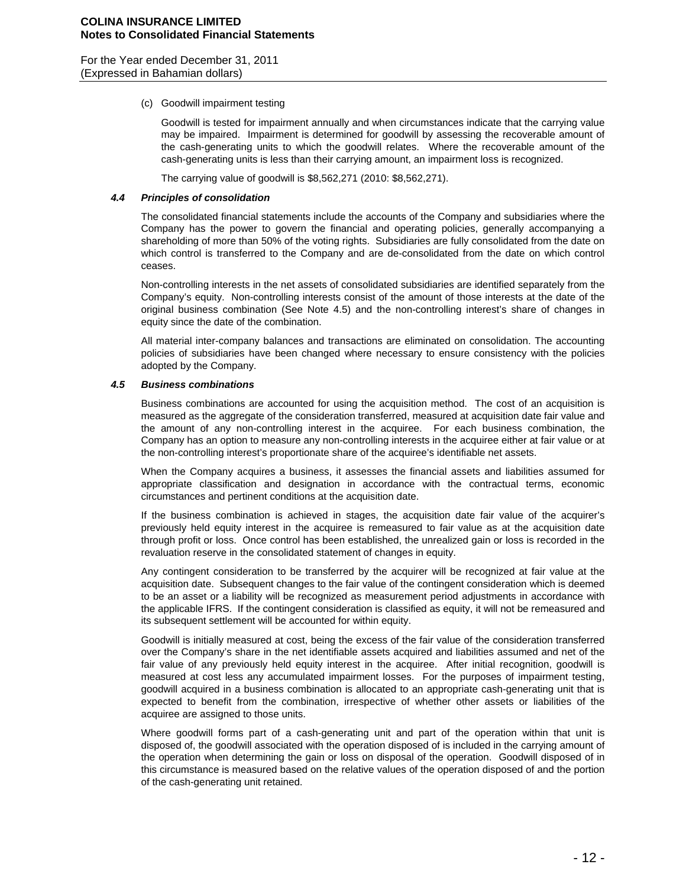#### (c) Goodwill impairment testing

Goodwill is tested for impairment annually and when circumstances indicate that the carrying value may be impaired. Impairment is determined for goodwill by assessing the recoverable amount of the cash-generating units to which the goodwill relates. Where the recoverable amount of the cash-generating units is less than their carrying amount, an impairment loss is recognized.

The carrying value of goodwill is \$8,562,271 (2010: \$8,562,271).

#### *4.4 Principles of consolidation*

The consolidated financial statements include the accounts of the Company and subsidiaries where the Company has the power to govern the financial and operating policies, generally accompanying a shareholding of more than 50% of the voting rights. Subsidiaries are fully consolidated from the date on which control is transferred to the Company and are de-consolidated from the date on which control ceases.

Non-controlling interests in the net assets of consolidated subsidiaries are identified separately from the Company's equity. Non-controlling interests consist of the amount of those interests at the date of the original business combination (See Note 4.5) and the non-controlling interest's share of changes in equity since the date of the combination.

All material inter-company balances and transactions are eliminated on consolidation. The accounting policies of subsidiaries have been changed where necessary to ensure consistency with the policies adopted by the Company.

#### *4.5 Business combinations*

Business combinations are accounted for using the acquisition method. The cost of an acquisition is measured as the aggregate of the consideration transferred, measured at acquisition date fair value and the amount of any non-controlling interest in the acquiree. For each business combination, the Company has an option to measure any non-controlling interests in the acquiree either at fair value or at the non-controlling interest's proportionate share of the acquiree's identifiable net assets.

When the Company acquires a business, it assesses the financial assets and liabilities assumed for appropriate classification and designation in accordance with the contractual terms, economic circumstances and pertinent conditions at the acquisition date.

If the business combination is achieved in stages, the acquisition date fair value of the acquirer's previously held equity interest in the acquiree is remeasured to fair value as at the acquisition date through profit or loss. Once control has been established, the unrealized gain or loss is recorded in the revaluation reserve in the consolidated statement of changes in equity.

Any contingent consideration to be transferred by the acquirer will be recognized at fair value at the acquisition date. Subsequent changes to the fair value of the contingent consideration which is deemed to be an asset or a liability will be recognized as measurement period adjustments in accordance with the applicable IFRS. If the contingent consideration is classified as equity, it will not be remeasured and its subsequent settlement will be accounted for within equity.

Goodwill is initially measured at cost, being the excess of the fair value of the consideration transferred over the Company's share in the net identifiable assets acquired and liabilities assumed and net of the fair value of any previously held equity interest in the acquiree. After initial recognition, goodwill is measured at cost less any accumulated impairment losses. For the purposes of impairment testing, goodwill acquired in a business combination is allocated to an appropriate cash-generating unit that is expected to benefit from the combination, irrespective of whether other assets or liabilities of the acquiree are assigned to those units.

Where goodwill forms part of a cash-generating unit and part of the operation within that unit is disposed of, the goodwill associated with the operation disposed of is included in the carrying amount of the operation when determining the gain or loss on disposal of the operation. Goodwill disposed of in this circumstance is measured based on the relative values of the operation disposed of and the portion of the cash-generating unit retained.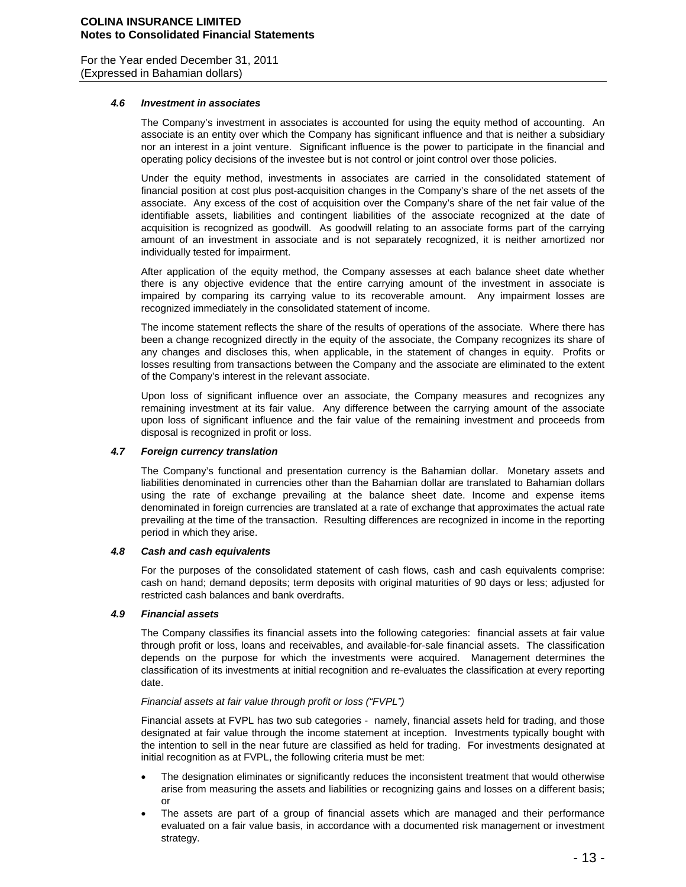# *4.6 Investment in associates*

The Company's investment in associates is accounted for using the equity method of accounting. An associate is an entity over which the Company has significant influence and that is neither a subsidiary nor an interest in a joint venture. Significant influence is the power to participate in the financial and operating policy decisions of the investee but is not control or joint control over those policies.

Under the equity method, investments in associates are carried in the consolidated statement of financial position at cost plus post-acquisition changes in the Company's share of the net assets of the associate. Any excess of the cost of acquisition over the Company's share of the net fair value of the identifiable assets, liabilities and contingent liabilities of the associate recognized at the date of acquisition is recognized as goodwill. As goodwill relating to an associate forms part of the carrying amount of an investment in associate and is not separately recognized, it is neither amortized nor individually tested for impairment.

After application of the equity method, the Company assesses at each balance sheet date whether there is any objective evidence that the entire carrying amount of the investment in associate is impaired by comparing its carrying value to its recoverable amount. Any impairment losses are recognized immediately in the consolidated statement of income.

The income statement reflects the share of the results of operations of the associate. Where there has been a change recognized directly in the equity of the associate, the Company recognizes its share of any changes and discloses this, when applicable, in the statement of changes in equity. Profits or losses resulting from transactions between the Company and the associate are eliminated to the extent of the Company's interest in the relevant associate.

Upon loss of significant influence over an associate, the Company measures and recognizes any remaining investment at its fair value. Any difference between the carrying amount of the associate upon loss of significant influence and the fair value of the remaining investment and proceeds from disposal is recognized in profit or loss.

## *4.7 Foreign currency translation*

The Company's functional and presentation currency is the Bahamian dollar. Monetary assets and liabilities denominated in currencies other than the Bahamian dollar are translated to Bahamian dollars using the rate of exchange prevailing at the balance sheet date. Income and expense items denominated in foreign currencies are translated at a rate of exchange that approximates the actual rate prevailing at the time of the transaction. Resulting differences are recognized in income in the reporting period in which they arise.

## *4.8 Cash and cash equivalents*

For the purposes of the consolidated statement of cash flows, cash and cash equivalents comprise: cash on hand; demand deposits; term deposits with original maturities of 90 days or less; adjusted for restricted cash balances and bank overdrafts.

## *4.9 Financial assets*

The Company classifies its financial assets into the following categories: financial assets at fair value through profit or loss, loans and receivables, and available-for-sale financial assets. The classification depends on the purpose for which the investments were acquired. Management determines the classification of its investments at initial recognition and re-evaluates the classification at every reporting date.

## *Financial assets at fair value through profit or loss ("FVPL")*

Financial assets at FVPL has two sub categories - namely, financial assets held for trading, and those designated at fair value through the income statement at inception. Investments typically bought with the intention to sell in the near future are classified as held for trading. For investments designated at initial recognition as at FVPL, the following criteria must be met:

- The designation eliminates or significantly reduces the inconsistent treatment that would otherwise arise from measuring the assets and liabilities or recognizing gains and losses on a different basis; or
- The assets are part of a group of financial assets which are managed and their performance evaluated on a fair value basis, in accordance with a documented risk management or investment strategy.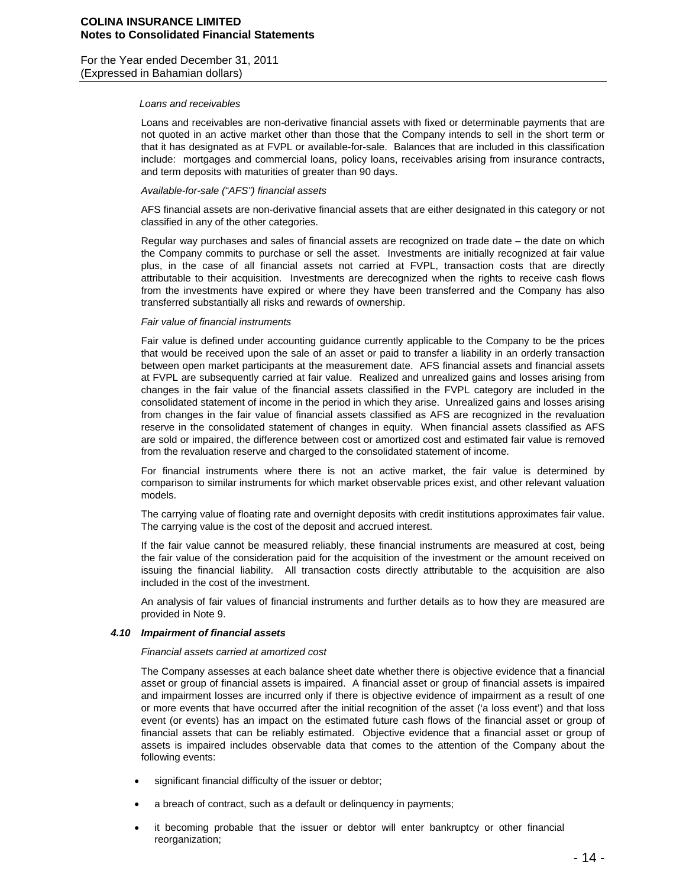#### *Loans and receivables*

Loans and receivables are non-derivative financial assets with fixed or determinable payments that are not quoted in an active market other than those that the Company intends to sell in the short term or that it has designated as at FVPL or available-for-sale. Balances that are included in this classification include: mortgages and commercial loans, policy loans, receivables arising from insurance contracts, and term deposits with maturities of greater than 90 days.

#### *Available-for-sale ("AFS") financial assets*

AFS financial assets are non-derivative financial assets that are either designated in this category or not classified in any of the other categories.

Regular way purchases and sales of financial assets are recognized on trade date – the date on which the Company commits to purchase or sell the asset. Investments are initially recognized at fair value plus, in the case of all financial assets not carried at FVPL, transaction costs that are directly attributable to their acquisition. Investments are derecognized when the rights to receive cash flows from the investments have expired or where they have been transferred and the Company has also transferred substantially all risks and rewards of ownership.

#### *Fair value of financial instruments*

Fair value is defined under accounting guidance currently applicable to the Company to be the prices that would be received upon the sale of an asset or paid to transfer a liability in an orderly transaction between open market participants at the measurement date. AFS financial assets and financial assets at FVPL are subsequently carried at fair value. Realized and unrealized gains and losses arising from changes in the fair value of the financial assets classified in the FVPL category are included in the consolidated statement of income in the period in which they arise. Unrealized gains and losses arising from changes in the fair value of financial assets classified as AFS are recognized in the revaluation reserve in the consolidated statement of changes in equity. When financial assets classified as AFS are sold or impaired, the difference between cost or amortized cost and estimated fair value is removed from the revaluation reserve and charged to the consolidated statement of income.

For financial instruments where there is not an active market, the fair value is determined by comparison to similar instruments for which market observable prices exist, and other relevant valuation models.

The carrying value of floating rate and overnight deposits with credit institutions approximates fair value. The carrying value is the cost of the deposit and accrued interest.

If the fair value cannot be measured reliably, these financial instruments are measured at cost, being the fair value of the consideration paid for the acquisition of the investment or the amount received on issuing the financial liability. All transaction costs directly attributable to the acquisition are also included in the cost of the investment.

An analysis of fair values of financial instruments and further details as to how they are measured are provided in Note 9.

#### *4.10 Impairment of financial assets*

#### *Financial assets carried at amortized cost*

The Company assesses at each balance sheet date whether there is objective evidence that a financial asset or group of financial assets is impaired. A financial asset or group of financial assets is impaired and impairment losses are incurred only if there is objective evidence of impairment as a result of one or more events that have occurred after the initial recognition of the asset ('a loss event') and that loss event (or events) has an impact on the estimated future cash flows of the financial asset or group of financial assets that can be reliably estimated. Objective evidence that a financial asset or group of assets is impaired includes observable data that comes to the attention of the Company about the following events:

- significant financial difficulty of the issuer or debtor;
- a breach of contract, such as a default or delinquency in payments;
- it becoming probable that the issuer or debtor will enter bankruptcy or other financial reorganization: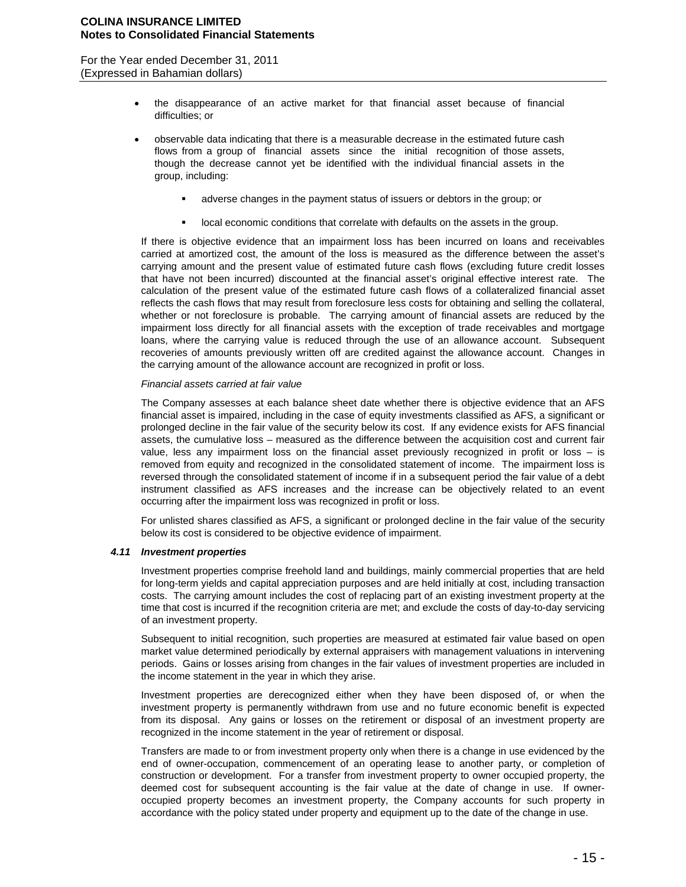For the Year ended December 31, 2011 (Expressed in Bahamian dollars)

- the disappearance of an active market for that financial asset because of financial difficulties; or
- observable data indicating that there is a measurable decrease in the estimated future cash flows from a group of financial assets since the initial recognition of those assets, though the decrease cannot yet be identified with the individual financial assets in the group, including:
	- adverse changes in the payment status of issuers or debtors in the group; or
	- local economic conditions that correlate with defaults on the assets in the group.

If there is objective evidence that an impairment loss has been incurred on loans and receivables carried at amortized cost, the amount of the loss is measured as the difference between the asset's carrying amount and the present value of estimated future cash flows (excluding future credit losses that have not been incurred) discounted at the financial asset's original effective interest rate. The calculation of the present value of the estimated future cash flows of a collateralized financial asset reflects the cash flows that may result from foreclosure less costs for obtaining and selling the collateral, whether or not foreclosure is probable. The carrying amount of financial assets are reduced by the impairment loss directly for all financial assets with the exception of trade receivables and mortgage loans, where the carrying value is reduced through the use of an allowance account. Subsequent recoveries of amounts previously written off are credited against the allowance account. Changes in the carrying amount of the allowance account are recognized in profit or loss.

#### *Financial assets carried at fair value*

The Company assesses at each balance sheet date whether there is objective evidence that an AFS financial asset is impaired, including in the case of equity investments classified as AFS, a significant or prolonged decline in the fair value of the security below its cost. If any evidence exists for AFS financial assets, the cumulative loss – measured as the difference between the acquisition cost and current fair value, less any impairment loss on the financial asset previously recognized in profit or loss  $-$  is removed from equity and recognized in the consolidated statement of income. The impairment loss is reversed through the consolidated statement of income if in a subsequent period the fair value of a debt instrument classified as AFS increases and the increase can be objectively related to an event occurring after the impairment loss was recognized in profit or loss.

For unlisted shares classified as AFS, a significant or prolonged decline in the fair value of the security below its cost is considered to be objective evidence of impairment.

#### *4.11 Investment properties*

Investment properties comprise freehold land and buildings, mainly commercial properties that are held for long-term yields and capital appreciation purposes and are held initially at cost, including transaction costs. The carrying amount includes the cost of replacing part of an existing investment property at the time that cost is incurred if the recognition criteria are met; and exclude the costs of day-to-day servicing of an investment property.

Subsequent to initial recognition, such properties are measured at estimated fair value based on open market value determined periodically by external appraisers with management valuations in intervening periods. Gains or losses arising from changes in the fair values of investment properties are included in the income statement in the year in which they arise.

Investment properties are derecognized either when they have been disposed of, or when the investment property is permanently withdrawn from use and no future economic benefit is expected from its disposal. Any gains or losses on the retirement or disposal of an investment property are recognized in the income statement in the year of retirement or disposal.

Transfers are made to or from investment property only when there is a change in use evidenced by the end of owner-occupation, commencement of an operating lease to another party, or completion of construction or development. For a transfer from investment property to owner occupied property, the deemed cost for subsequent accounting is the fair value at the date of change in use. If owneroccupied property becomes an investment property, the Company accounts for such property in accordance with the policy stated under property and equipment up to the date of the change in use.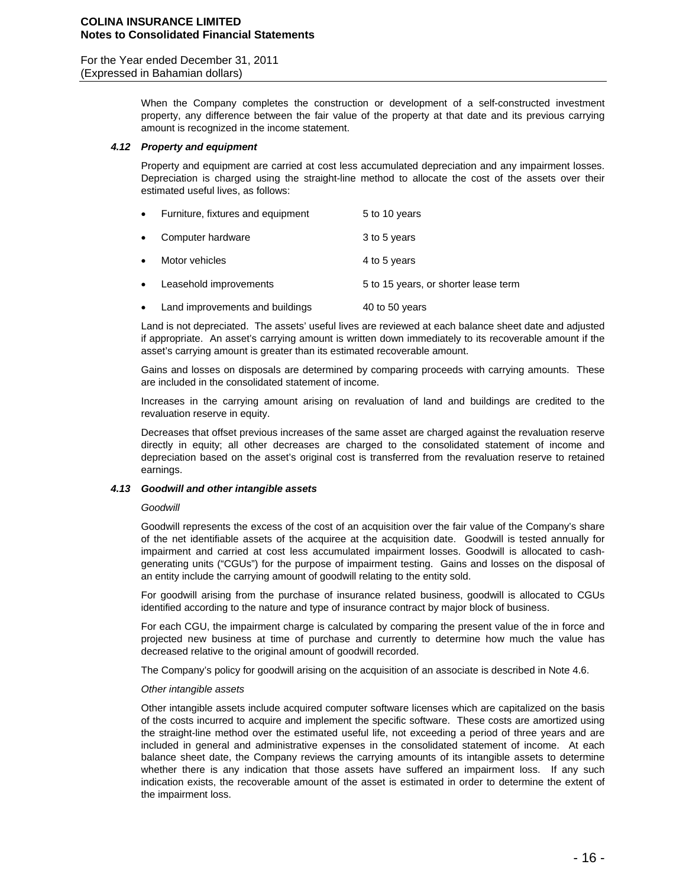> When the Company completes the construction or development of a self-constructed investment property, any difference between the fair value of the property at that date and its previous carrying amount is recognized in the income statement.

#### *4.12 Property and equipment*

Property and equipment are carried at cost less accumulated depreciation and any impairment losses. Depreciation is charged using the straight-line method to allocate the cost of the assets over their estimated useful lives, as follows:

| $\bullet$ | Furniture, fixtures and equipment | 5 to 10 years                        |
|-----------|-----------------------------------|--------------------------------------|
| $\bullet$ | Computer hardware                 | 3 to 5 years                         |
| $\bullet$ | Motor vehicles                    | 4 to 5 years                         |
| $\bullet$ | Leasehold improvements            | 5 to 15 years, or shorter lease term |
| $\bullet$ | Land improvements and buildings   | 40 to 50 years                       |

Land is not depreciated. The assets' useful lives are reviewed at each balance sheet date and adjusted if appropriate. An asset's carrying amount is written down immediately to its recoverable amount if the asset's carrying amount is greater than its estimated recoverable amount.

Gains and losses on disposals are determined by comparing proceeds with carrying amounts. These are included in the consolidated statement of income.

Increases in the carrying amount arising on revaluation of land and buildings are credited to the revaluation reserve in equity.

Decreases that offset previous increases of the same asset are charged against the revaluation reserve directly in equity; all other decreases are charged to the consolidated statement of income and depreciation based on the asset's original cost is transferred from the revaluation reserve to retained earnings.

## *4.13 Goodwill and other intangible assets*

#### *Goodwill*

Goodwill represents the excess of the cost of an acquisition over the fair value of the Company's share of the net identifiable assets of the acquiree at the acquisition date. Goodwill is tested annually for impairment and carried at cost less accumulated impairment losses. Goodwill is allocated to cashgenerating units ("CGUs") for the purpose of impairment testing. Gains and losses on the disposal of an entity include the carrying amount of goodwill relating to the entity sold.

For goodwill arising from the purchase of insurance related business, goodwill is allocated to CGUs identified according to the nature and type of insurance contract by major block of business.

For each CGU, the impairment charge is calculated by comparing the present value of the in force and projected new business at time of purchase and currently to determine how much the value has decreased relative to the original amount of goodwill recorded.

The Company's policy for goodwill arising on the acquisition of an associate is described in Note 4.6.

#### *Other intangible assets*

Other intangible assets include acquired computer software licenses which are capitalized on the basis of the costs incurred to acquire and implement the specific software. These costs are amortized using the straight-line method over the estimated useful life, not exceeding a period of three years and are included in general and administrative expenses in the consolidated statement of income. At each balance sheet date, the Company reviews the carrying amounts of its intangible assets to determine whether there is any indication that those assets have suffered an impairment loss. If any such indication exists, the recoverable amount of the asset is estimated in order to determine the extent of the impairment loss.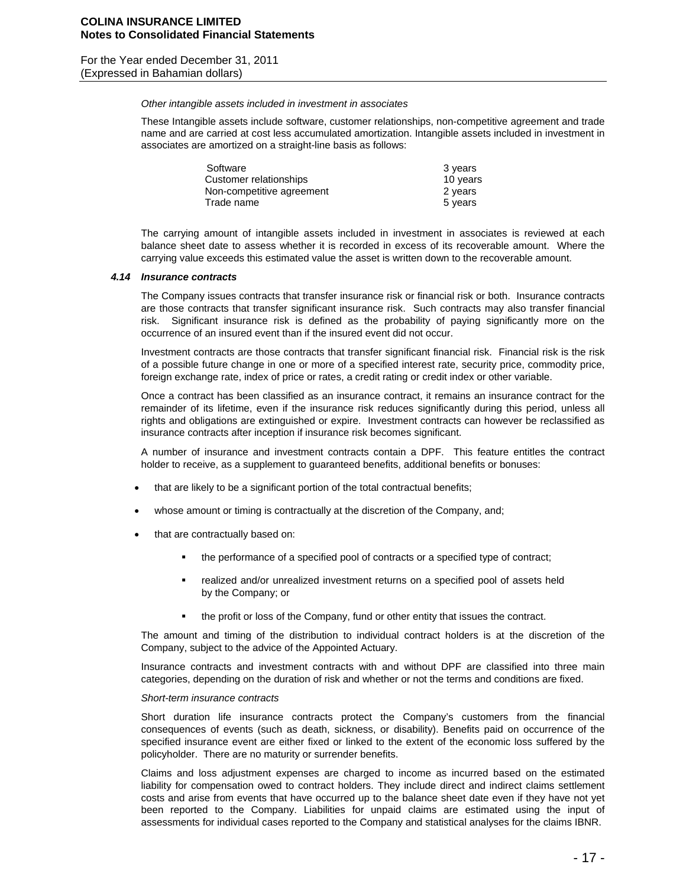#### *Other intangible assets included in investment in associates*

These Intangible assets include software, customer relationships, non-competitive agreement and trade name and are carried at cost less accumulated amortization. Intangible assets included in investment in associates are amortized on a straight-line basis as follows:

| Software                  | 3 years  |
|---------------------------|----------|
| Customer relationships    | 10 years |
| Non-competitive agreement | 2 years  |
| Trade name                | 5 years  |

The carrying amount of intangible assets included in investment in associates is reviewed at each balance sheet date to assess whether it is recorded in excess of its recoverable amount. Where the carrying value exceeds this estimated value the asset is written down to the recoverable amount.

#### *4.14 Insurance contracts*

The Company issues contracts that transfer insurance risk or financial risk or both. Insurance contracts are those contracts that transfer significant insurance risk. Such contracts may also transfer financial risk. Significant insurance risk is defined as the probability of paying significantly more on the occurrence of an insured event than if the insured event did not occur.

Investment contracts are those contracts that transfer significant financial risk. Financial risk is the risk of a possible future change in one or more of a specified interest rate, security price, commodity price, foreign exchange rate, index of price or rates, a credit rating or credit index or other variable.

Once a contract has been classified as an insurance contract, it remains an insurance contract for the remainder of its lifetime, even if the insurance risk reduces significantly during this period, unless all rights and obligations are extinguished or expire. Investment contracts can however be reclassified as insurance contracts after inception if insurance risk becomes significant.

A number of insurance and investment contracts contain a DPF. This feature entitles the contract holder to receive, as a supplement to guaranteed benefits, additional benefits or bonuses:

- that are likely to be a significant portion of the total contractual benefits;
- whose amount or timing is contractually at the discretion of the Company, and;
- that are contractually based on:
	- the performance of a specified pool of contracts or a specified type of contract;
	- realized and/or unrealized investment returns on a specified pool of assets held by the Company; or
	- the profit or loss of the Company, fund or other entity that issues the contract.

The amount and timing of the distribution to individual contract holders is at the discretion of the Company, subject to the advice of the Appointed Actuary.

Insurance contracts and investment contracts with and without DPF are classified into three main categories, depending on the duration of risk and whether or not the terms and conditions are fixed.

#### *Short-term insurance contracts*

Short duration life insurance contracts protect the Company's customers from the financial consequences of events (such as death, sickness, or disability). Benefits paid on occurrence of the specified insurance event are either fixed or linked to the extent of the economic loss suffered by the policyholder. There are no maturity or surrender benefits.

Claims and loss adjustment expenses are charged to income as incurred based on the estimated liability for compensation owed to contract holders. They include direct and indirect claims settlement costs and arise from events that have occurred up to the balance sheet date even if they have not yet been reported to the Company. Liabilities for unpaid claims are estimated using the input of assessments for individual cases reported to the Company and statistical analyses for the claims IBNR.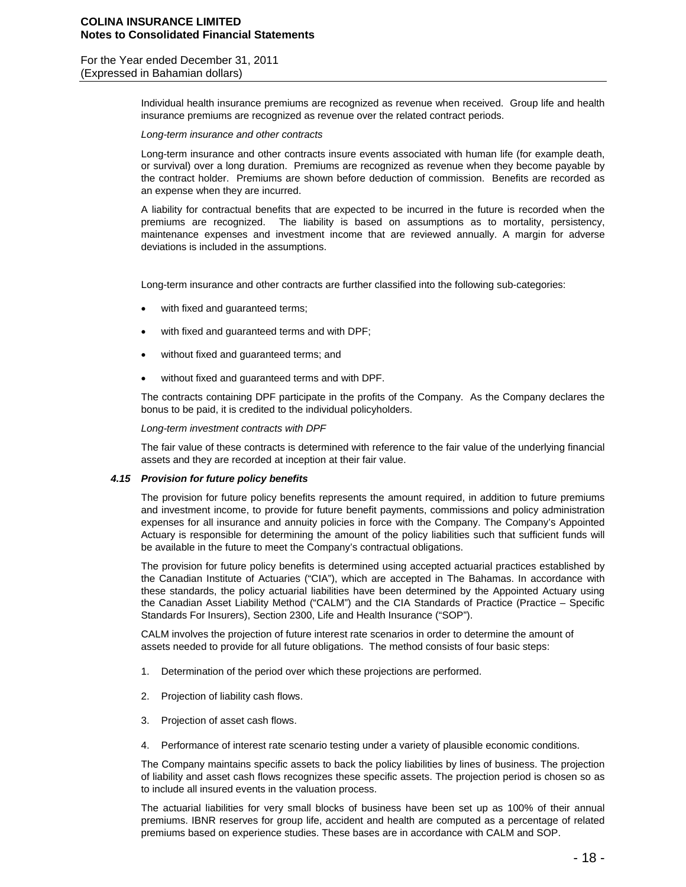> Individual health insurance premiums are recognized as revenue when received. Group life and health insurance premiums are recognized as revenue over the related contract periods.

#### *Long-term insurance and other contracts*

Long-term insurance and other contracts insure events associated with human life (for example death, or survival) over a long duration. Premiums are recognized as revenue when they become payable by the contract holder. Premiums are shown before deduction of commission. Benefits are recorded as an expense when they are incurred.

A liability for contractual benefits that are expected to be incurred in the future is recorded when the premiums are recognized. The liability is based on assumptions as to mortality, persistency, maintenance expenses and investment income that are reviewed annually. A margin for adverse deviations is included in the assumptions.

Long-term insurance and other contracts are further classified into the following sub-categories:

- with fixed and guaranteed terms;
- with fixed and guaranteed terms and with DPF;
- without fixed and guaranteed terms; and
- without fixed and guaranteed terms and with DPF.

The contracts containing DPF participate in the profits of the Company. As the Company declares the bonus to be paid, it is credited to the individual policyholders.

*Long-term investment contracts with DPF* 

The fair value of these contracts is determined with reference to the fair value of the underlying financial assets and they are recorded at inception at their fair value.

#### *4.15 Provision for future policy benefits*

The provision for future policy benefits represents the amount required, in addition to future premiums and investment income, to provide for future benefit payments, commissions and policy administration expenses for all insurance and annuity policies in force with the Company. The Company's Appointed Actuary is responsible for determining the amount of the policy liabilities such that sufficient funds will be available in the future to meet the Company's contractual obligations.

The provision for future policy benefits is determined using accepted actuarial practices established by the Canadian Institute of Actuaries ("CIA"), which are accepted in The Bahamas. In accordance with these standards, the policy actuarial liabilities have been determined by the Appointed Actuary using the Canadian Asset Liability Method ("CALM") and the CIA Standards of Practice (Practice – Specific Standards For Insurers), Section 2300, Life and Health Insurance ("SOP").

CALM involves the projection of future interest rate scenarios in order to determine the amount of assets needed to provide for all future obligations. The method consists of four basic steps:

- 1. Determination of the period over which these projections are performed.
- 2. Projection of liability cash flows.
- 3. Projection of asset cash flows.
- 4. Performance of interest rate scenario testing under a variety of plausible economic conditions.

The Company maintains specific assets to back the policy liabilities by lines of business. The projection of liability and asset cash flows recognizes these specific assets. The projection period is chosen so as to include all insured events in the valuation process.

The actuarial liabilities for very small blocks of business have been set up as 100% of their annual premiums. IBNR reserves for group life, accident and health are computed as a percentage of related premiums based on experience studies. These bases are in accordance with CALM and SOP.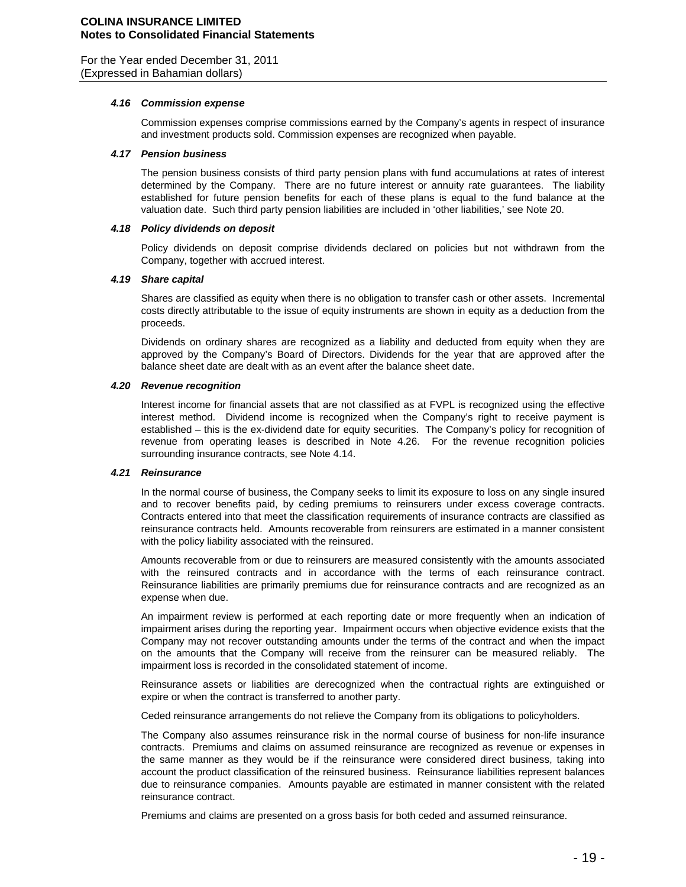#### *4.16 Commission expense*

Commission expenses comprise commissions earned by the Company's agents in respect of insurance and investment products sold. Commission expenses are recognized when payable.

#### *4.17 Pension business*

The pension business consists of third party pension plans with fund accumulations at rates of interest determined by the Company. There are no future interest or annuity rate guarantees. The liability established for future pension benefits for each of these plans is equal to the fund balance at the valuation date. Such third party pension liabilities are included in 'other liabilities,' see Note 20.

#### *4.18 Policy dividends on deposit*

Policy dividends on deposit comprise dividends declared on policies but not withdrawn from the Company, together with accrued interest.

#### *4.19 Share capital*

Shares are classified as equity when there is no obligation to transfer cash or other assets. Incremental costs directly attributable to the issue of equity instruments are shown in equity as a deduction from the proceeds.

Dividends on ordinary shares are recognized as a liability and deducted from equity when they are approved by the Company's Board of Directors. Dividends for the year that are approved after the balance sheet date are dealt with as an event after the balance sheet date.

#### *4.20 Revenue recognition*

Interest income for financial assets that are not classified as at FVPL is recognized using the effective interest method. Dividend income is recognized when the Company's right to receive payment is established – this is the ex-dividend date for equity securities. The Company's policy for recognition of revenue from operating leases is described in Note 4.26. For the revenue recognition policies surrounding insurance contracts, see Note 4.14.

#### *4.21 Reinsurance*

In the normal course of business, the Company seeks to limit its exposure to loss on any single insured and to recover benefits paid, by ceding premiums to reinsurers under excess coverage contracts. Contracts entered into that meet the classification requirements of insurance contracts are classified as reinsurance contracts held. Amounts recoverable from reinsurers are estimated in a manner consistent with the policy liability associated with the reinsured.

Amounts recoverable from or due to reinsurers are measured consistently with the amounts associated with the reinsured contracts and in accordance with the terms of each reinsurance contract. Reinsurance liabilities are primarily premiums due for reinsurance contracts and are recognized as an expense when due.

An impairment review is performed at each reporting date or more frequently when an indication of impairment arises during the reporting year. Impairment occurs when objective evidence exists that the Company may not recover outstanding amounts under the terms of the contract and when the impact on the amounts that the Company will receive from the reinsurer can be measured reliably. The impairment loss is recorded in the consolidated statement of income.

Reinsurance assets or liabilities are derecognized when the contractual rights are extinguished or expire or when the contract is transferred to another party.

Ceded reinsurance arrangements do not relieve the Company from its obligations to policyholders.

The Company also assumes reinsurance risk in the normal course of business for non-life insurance contracts. Premiums and claims on assumed reinsurance are recognized as revenue or expenses in the same manner as they would be if the reinsurance were considered direct business, taking into account the product classification of the reinsured business. Reinsurance liabilities represent balances due to reinsurance companies. Amounts payable are estimated in manner consistent with the related reinsurance contract.

Premiums and claims are presented on a gross basis for both ceded and assumed reinsurance.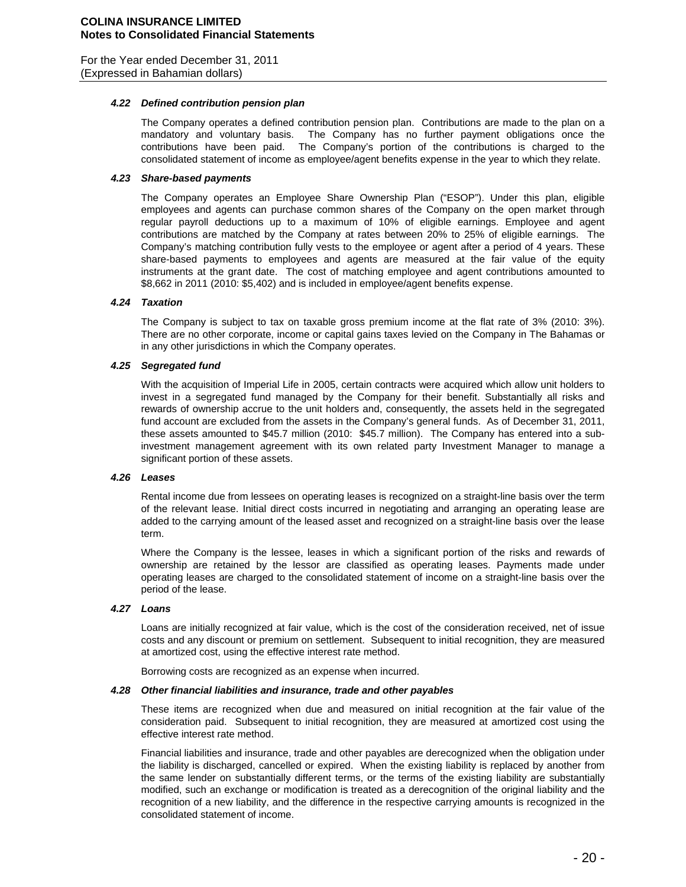#### *4.22 Defined contribution pension plan*

The Company operates a defined contribution pension plan. Contributions are made to the plan on a mandatory and voluntary basis. The Company has no further payment obligations once the contributions have been paid. The Company's portion of the contributions is charged to the consolidated statement of income as employee/agent benefits expense in the year to which they relate.

## *4.23 Share-based payments*

The Company operates an Employee Share Ownership Plan ("ESOP"). Under this plan, eligible employees and agents can purchase common shares of the Company on the open market through regular payroll deductions up to a maximum of 10% of eligible earnings. Employee and agent contributions are matched by the Company at rates between 20% to 25% of eligible earnings. The Company's matching contribution fully vests to the employee or agent after a period of 4 years. These share-based payments to employees and agents are measured at the fair value of the equity instruments at the grant date. The cost of matching employee and agent contributions amounted to \$8,662 in 2011 (2010: \$5,402) and is included in employee/agent benefits expense.

## *4.24 Taxation*

The Company is subject to tax on taxable gross premium income at the flat rate of 3% (2010: 3%). There are no other corporate, income or capital gains taxes levied on the Company in The Bahamas or in any other jurisdictions in which the Company operates.

## *4.25 Segregated fund*

With the acquisition of Imperial Life in 2005, certain contracts were acquired which allow unit holders to invest in a segregated fund managed by the Company for their benefit. Substantially all risks and rewards of ownership accrue to the unit holders and, consequently, the assets held in the segregated fund account are excluded from the assets in the Company's general funds. As of December 31, 2011, these assets amounted to \$45.7 million (2010: \$45.7 million). The Company has entered into a subinvestment management agreement with its own related party Investment Manager to manage a significant portion of these assets.

## *4.26 Leases*

Rental income due from lessees on operating leases is recognized on a straight-line basis over the term of the relevant lease. Initial direct costs incurred in negotiating and arranging an operating lease are added to the carrying amount of the leased asset and recognized on a straight-line basis over the lease term.

Where the Company is the lessee, leases in which a significant portion of the risks and rewards of ownership are retained by the lessor are classified as operating leases. Payments made under operating leases are charged to the consolidated statement of income on a straight-line basis over the period of the lease.

## *4.27 Loans*

Loans are initially recognized at fair value, which is the cost of the consideration received, net of issue costs and any discount or premium on settlement. Subsequent to initial recognition, they are measured at amortized cost, using the effective interest rate method.

Borrowing costs are recognized as an expense when incurred.

## *4.28 Other financial liabilities and insurance, trade and other payables*

These items are recognized when due and measured on initial recognition at the fair value of the consideration paid. Subsequent to initial recognition, they are measured at amortized cost using the effective interest rate method.

Financial liabilities and insurance, trade and other payables are derecognized when the obligation under the liability is discharged, cancelled or expired. When the existing liability is replaced by another from the same lender on substantially different terms, or the terms of the existing liability are substantially modified, such an exchange or modification is treated as a derecognition of the original liability and the recognition of a new liability, and the difference in the respective carrying amounts is recognized in the consolidated statement of income.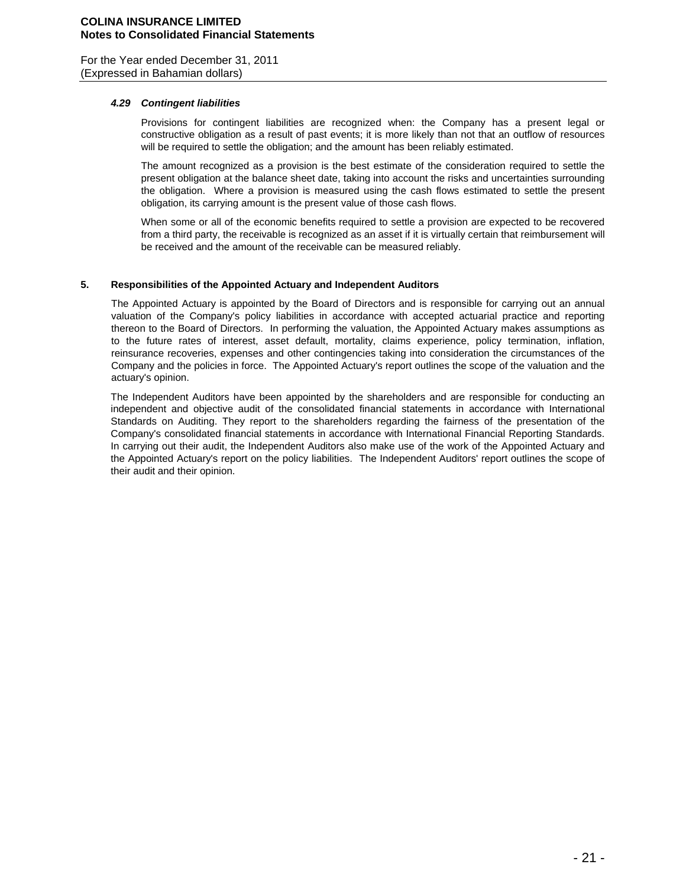### *4.29 Contingent liabilities*

Provisions for contingent liabilities are recognized when: the Company has a present legal or constructive obligation as a result of past events; it is more likely than not that an outflow of resources will be required to settle the obligation; and the amount has been reliably estimated.

The amount recognized as a provision is the best estimate of the consideration required to settle the present obligation at the balance sheet date, taking into account the risks and uncertainties surrounding the obligation. Where a provision is measured using the cash flows estimated to settle the present obligation, its carrying amount is the present value of those cash flows.

When some or all of the economic benefits required to settle a provision are expected to be recovered from a third party, the receivable is recognized as an asset if it is virtually certain that reimbursement will be received and the amount of the receivable can be measured reliably.

# **5. Responsibilities of the Appointed Actuary and Independent Auditors**

The Appointed Actuary is appointed by the Board of Directors and is responsible for carrying out an annual valuation of the Company's policy liabilities in accordance with accepted actuarial practice and reporting thereon to the Board of Directors. In performing the valuation, the Appointed Actuary makes assumptions as to the future rates of interest, asset default, mortality, claims experience, policy termination, inflation, reinsurance recoveries, expenses and other contingencies taking into consideration the circumstances of the Company and the policies in force. The Appointed Actuary's report outlines the scope of the valuation and the actuary's opinion.

The Independent Auditors have been appointed by the shareholders and are responsible for conducting an independent and objective audit of the consolidated financial statements in accordance with International Standards on Auditing. They report to the shareholders regarding the fairness of the presentation of the Company's consolidated financial statements in accordance with International Financial Reporting Standards. In carrying out their audit, the Independent Auditors also make use of the work of the Appointed Actuary and the Appointed Actuary's report on the policy liabilities. The Independent Auditors' report outlines the scope of their audit and their opinion.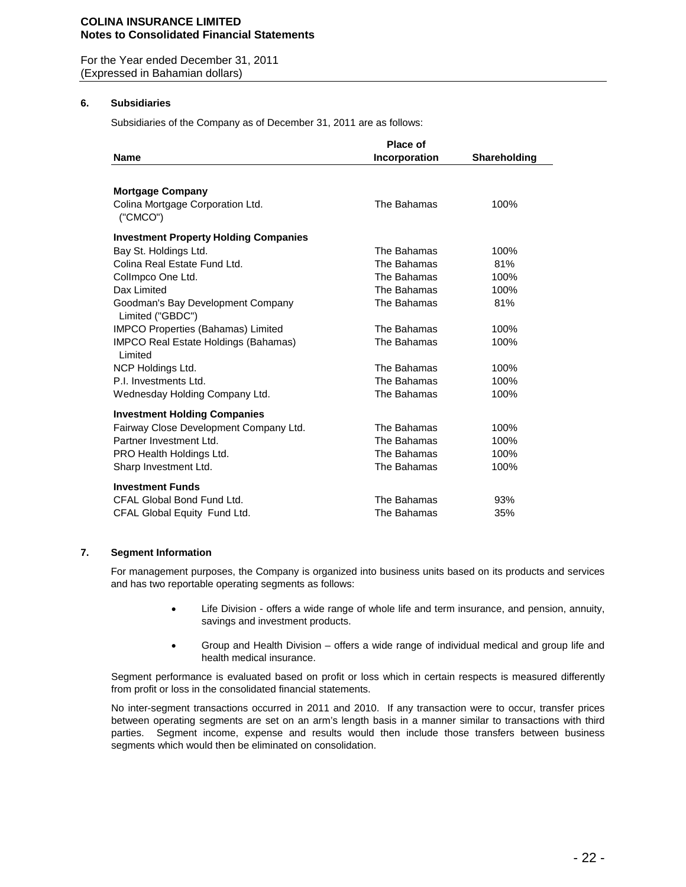For the Year ended December 31, 2011 (Expressed in Bahamian dollars)

# **6. Subsidiaries**

Subsidiaries of the Company as of December 31, 2011 are as follows:

|                                                        | Place of      |              |
|--------------------------------------------------------|---------------|--------------|
| Name                                                   | Incorporation | Shareholding |
|                                                        |               |              |
| <b>Mortgage Company</b>                                |               |              |
| Colina Mortgage Corporation Ltd.<br>('CMCO")           | The Bahamas   | 100%         |
| <b>Investment Property Holding Companies</b>           |               |              |
| Bay St. Holdings Ltd.                                  | The Bahamas   | 100%         |
| Colina Real Estate Fund Ltd.                           | The Bahamas   | 81%          |
| Collmpco One Ltd.                                      | The Bahamas   | 100%         |
| Dax Limited                                            | The Bahamas   | 100%         |
| Goodman's Bay Development Company<br>Limited ("GBDC")  | The Bahamas   | 81%          |
| IMPCO Properties (Bahamas) Limited                     | The Bahamas   | 100%         |
| <b>IMPCO Real Estate Holdings (Bahamas)</b><br>Limited | The Bahamas   | 100%         |
| NCP Holdings Ltd.                                      | The Bahamas   | 100%         |
| P.I. Investments Ltd.                                  | The Bahamas   | 100%         |
| Wednesday Holding Company Ltd.                         | The Bahamas   | 100%         |
| <b>Investment Holding Companies</b>                    |               |              |
| Fairway Close Development Company Ltd.                 | The Bahamas   | 100%         |
| Partner Investment Ltd.                                | The Bahamas   | 100%         |
| PRO Health Holdings Ltd.                               | The Bahamas   | 100%         |
| Sharp Investment Ltd.                                  | The Bahamas   | 100%         |
| <b>Investment Funds</b>                                |               |              |
| CEAL Global Bond Fund Ltd.                             | The Bahamas   | 93%          |
| CFAL Global Equity Fund Ltd.                           | The Bahamas   | 35%          |

# **7. Segment Information**

For management purposes, the Company is organized into business units based on its products and services and has two reportable operating segments as follows:

- Life Division offers a wide range of whole life and term insurance, and pension, annuity, savings and investment products.
- Group and Health Division offers a wide range of individual medical and group life and health medical insurance.

Segment performance is evaluated based on profit or loss which in certain respects is measured differently from profit or loss in the consolidated financial statements.

No inter-segment transactions occurred in 2011 and 2010. If any transaction were to occur, transfer prices between operating segments are set on an arm's length basis in a manner similar to transactions with third parties. Segment income, expense and results would then include those transfers between business segments which would then be eliminated on consolidation.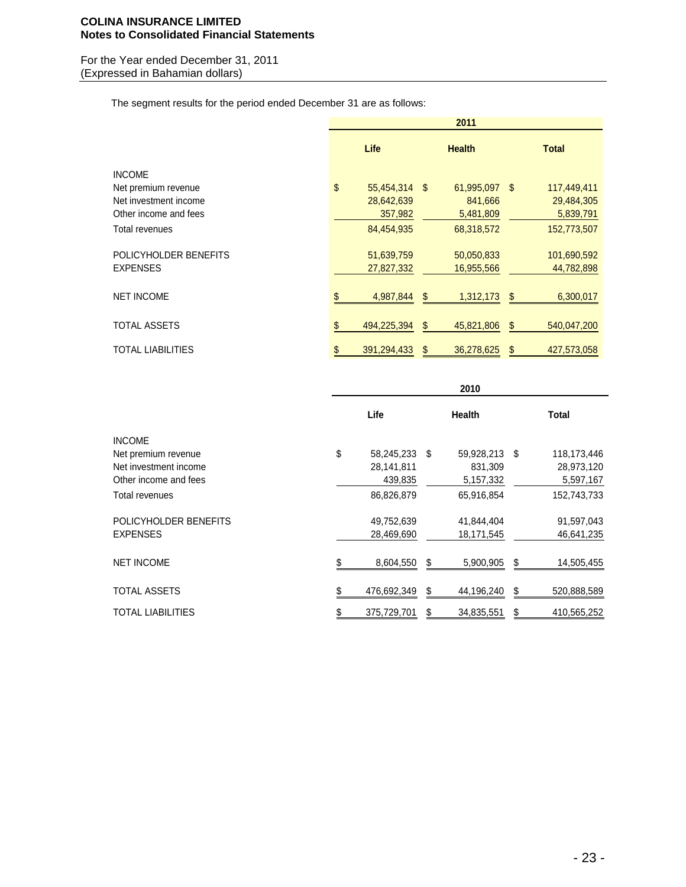For the Year ended December 31, 2011 (Expressed in Bahamian dollars)

The segment results for the period ended December 31 are as follows:

|                          | 2011              |                       |                   |  |  |
|--------------------------|-------------------|-----------------------|-------------------|--|--|
|                          | Life              | <b>Health</b>         | <b>Total</b>      |  |  |
| <b>INCOME</b>            |                   |                       |                   |  |  |
| Net premium revenue      | \$<br>55,454,314  | 61,995,097 \$<br>- \$ | 117,449,411       |  |  |
| Net investment income    | 28,642,639        | 841,666               | 29,484,305        |  |  |
| Other income and fees    | 357,982           | 5,481,809             | 5,839,791         |  |  |
| Total revenues           | 84,454,935        | 68,318,572            | 152,773,507       |  |  |
| POLICYHOLDER BENEFITS    | 51,639,759        | 50,050,833            | 101,690,592       |  |  |
| <b>EXPENSES</b>          | 27,827,332        | 16,955,566            | 44,782,898        |  |  |
| <b>NET INCOME</b>        | 4,987,844<br>\$   | 1,312,173<br>\$       | 6,300,017<br>\$   |  |  |
| <b>TOTAL ASSETS</b>      | 494,225,394<br>\$ | 45,821,806<br>\$      | 540,047,200<br>\$ |  |  |
| <b>TOTAL LIABILITIES</b> | 391,294,433<br>\$ | \$<br>36,278,625      | 427,573,058       |  |  |

|                       |                     | 2010             |   |              |
|-----------------------|---------------------|------------------|---|--------------|
|                       | Life                | <b>Health</b>    |   | <b>Total</b> |
| <b>INCOME</b>         |                     |                  |   |              |
| Net premium revenue   | \$<br>58,245,233 \$ | 59,928,213 \$    |   | 118,173,446  |
| Net investment income | 28,141,811          | 831,309          |   | 28,973,120   |
| Other income and fees | 439,835             | 5,157,332        |   | 5,597,167    |
| Total revenues        | 86,826,879          | 65,916,854       |   | 152,743,733  |
| POLICYHOLDER BENEFITS | 49,752,639          | 41,844,404       |   | 91,597,043   |
| <b>EXPENSES</b>       | 28,469,690          | 18,171,545       |   | 46,641,235   |
| <b>NET INCOME</b>     | 8,604,550           | \$<br>5,900,905  |   | 14,505,455   |
| <b>TOTAL ASSETS</b>   | 476,692,349         | \$<br>44,196,240 | S | 520,888,589  |
| TOTAL LIABILITIES     | 375,729,701         | \$<br>34,835,551 | S | 410,565,252  |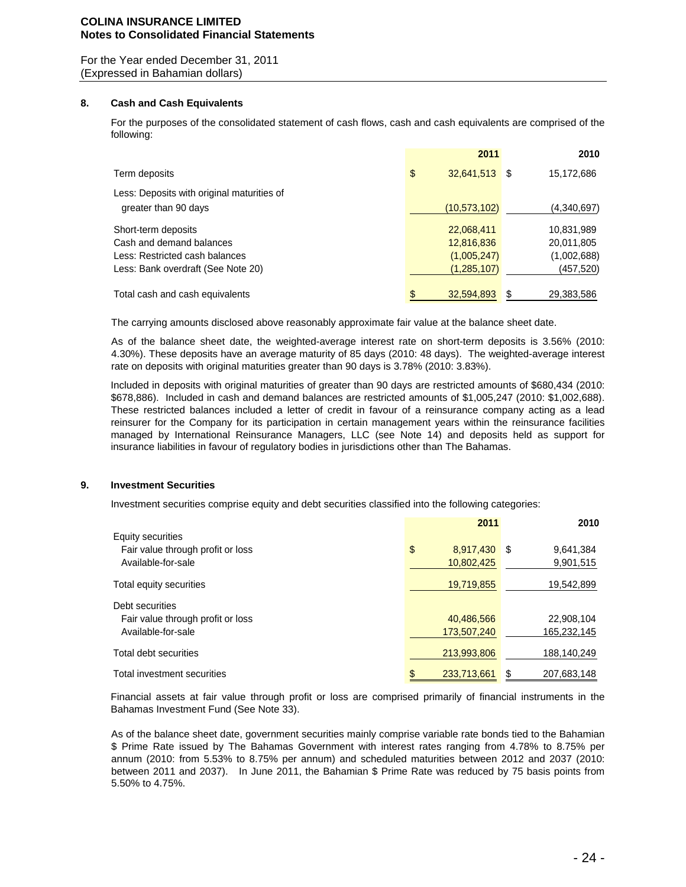For the Year ended December 31, 2011 (Expressed in Bahamian dollars)

# **8. Cash and Cash Equivalents**

For the purposes of the consolidated statement of cash flows, cash and cash equivalents are comprised of the following:

|                                            |    | 2011           | 2010               |
|--------------------------------------------|----|----------------|--------------------|
| Term deposits                              | \$ | 32,641,513     | 15,172,686<br>- \$ |
| Less: Deposits with original maturities of |    |                |                    |
| greater than 90 days                       |    | (10, 573, 102) | (4,340,697)        |
| Short-term deposits                        |    | 22,068,411     | 10,831,989         |
| Cash and demand balances                   |    | 12,816,836     | 20,011,805         |
| Less: Restricted cash balances             |    | (1,005,247)    | (1,002,688)        |
| Less: Bank overdraft (See Note 20)         |    | (1,285,107)    | (457, 520)         |
| Total cash and cash equivalents            | S  | 32,594,893     | 29,383,586         |

The carrying amounts disclosed above reasonably approximate fair value at the balance sheet date.

As of the balance sheet date, the weighted-average interest rate on short-term deposits is 3.56% (2010: 4.30%). These deposits have an average maturity of 85 days (2010: 48 days). The weighted-average interest rate on deposits with original maturities greater than 90 days is 3.78% (2010: 3.83%).

Included in deposits with original maturities of greater than 90 days are restricted amounts of \$680,434 (2010: \$678,886). Included in cash and demand balances are restricted amounts of \$1,005,247 (2010: \$1,002,688). These restricted balances included a letter of credit in favour of a reinsurance company acting as a lead reinsurer for the Company for its participation in certain management years within the reinsurance facilities managed by International Reinsurance Managers, LLC (see Note 14) and deposits held as support for insurance liabilities in favour of regulatory bodies in jurisdictions other than The Bahamas.

# **9. Investment Securities**

Investment securities comprise equity and debt securities classified into the following categories:

|                                   | 2011              | 2010              |
|-----------------------------------|-------------------|-------------------|
| Equity securities                 |                   |                   |
| Fair value through profit or loss | \$<br>8.917.430   | 9,641,384<br>- \$ |
| Available-for-sale                | 10,802,425        | 9,901,515         |
| Total equity securities           | 19,719,855        | 19,542,899        |
| Debt securities                   |                   |                   |
| Fair value through profit or loss | 40,486,566        | 22,908,104        |
| Available-for-sale                | 173,507,240       | 165,232,145       |
| Total debt securities             | 213,993,806       | 188,140,249       |
| Total investment securities       | \$<br>233,713,661 | 207,683,148       |

Financial assets at fair value through profit or loss are comprised primarily of financial instruments in the Bahamas Investment Fund (See Note 33).

As of the balance sheet date, government securities mainly comprise variable rate bonds tied to the Bahamian \$ Prime Rate issued by The Bahamas Government with interest rates ranging from 4.78% to 8.75% per annum (2010: from 5.53% to 8.75% per annum) and scheduled maturities between 2012 and 2037 (2010: between 2011 and 2037). In June 2011, the Bahamian \$ Prime Rate was reduced by 75 basis points from 5.50% to 4.75%.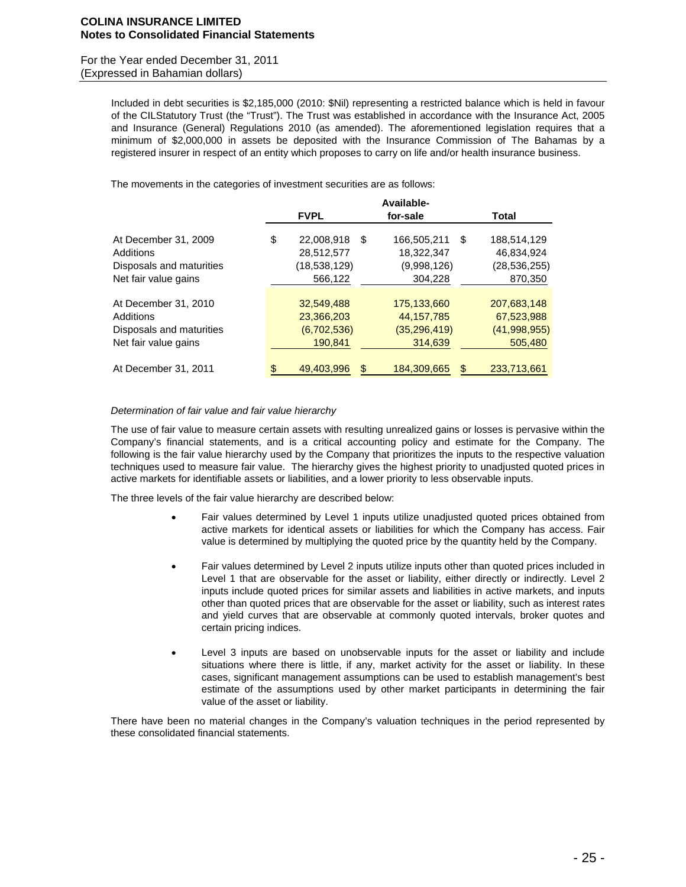For the Year ended December 31, 2011 (Expressed in Bahamian dollars)

> Included in debt securities is \$2,185,000 (2010: \$Nil) representing a restricted balance which is held in favour of the CILStatutory Trust (the "Trust"). The Trust was established in accordance with the Insurance Act, 2005 and Insurance (General) Regulations 2010 (as amended). The aforementioned legislation requires that a minimum of \$2,000,000 in assets be deposited with the Insurance Commission of The Bahamas by a registered insurer in respect of an entity which proposes to carry on life and/or health insurance business.

|                          | <b>FVPL</b>      |   | Available-<br>for-sale | Total             |
|--------------------------|------------------|---|------------------------|-------------------|
|                          |                  |   |                        |                   |
| At December 31, 2009     | \$<br>22.008.918 | S | 166,505,211            | \$<br>188,514,129 |
| Additions                | 28,512,577       |   | 18,322,347             | 46,834,924        |
| Disposals and maturities | (18,538,129)     |   | (9,998,126)            | (28, 536, 255)    |
| Net fair value gains     | 566,122          |   | 304.228                | 870,350           |
|                          |                  |   |                        |                   |
| At December 31, 2010     | 32,549,488       |   | 175,133,660            | 207,683,148       |
| Additions                | 23,366,203       |   | 44, 157, 785           | 67,523,988        |
| Disposals and maturities | (6,702,536)      |   | (35, 296, 419)         | (41,998,955)      |
| Net fair value gains     | 190.841          |   | 314.639                | 505,480           |
| At December 31, 2011     | 49.403.996       |   | 184,309,665            | \$<br>233,713,661 |

The movements in the categories of investment securities are as follows:

## *Determination of fair value and fair value hierarchy*

The use of fair value to measure certain assets with resulting unrealized gains or losses is pervasive within the Company's financial statements, and is a critical accounting policy and estimate for the Company. The following is the fair value hierarchy used by the Company that prioritizes the inputs to the respective valuation techniques used to measure fair value. The hierarchy gives the highest priority to unadjusted quoted prices in active markets for identifiable assets or liabilities, and a lower priority to less observable inputs.

The three levels of the fair value hierarchy are described below:

- Fair values determined by Level 1 inputs utilize unadjusted quoted prices obtained from active markets for identical assets or liabilities for which the Company has access. Fair value is determined by multiplying the quoted price by the quantity held by the Company.
- Fair values determined by Level 2 inputs utilize inputs other than quoted prices included in Level 1 that are observable for the asset or liability, either directly or indirectly. Level 2 inputs include quoted prices for similar assets and liabilities in active markets, and inputs other than quoted prices that are observable for the asset or liability, such as interest rates and yield curves that are observable at commonly quoted intervals, broker quotes and certain pricing indices.
- Level 3 inputs are based on unobservable inputs for the asset or liability and include situations where there is little, if any, market activity for the asset or liability. In these cases, significant management assumptions can be used to establish management's best estimate of the assumptions used by other market participants in determining the fair value of the asset or liability.

There have been no material changes in the Company's valuation techniques in the period represented by these consolidated financial statements.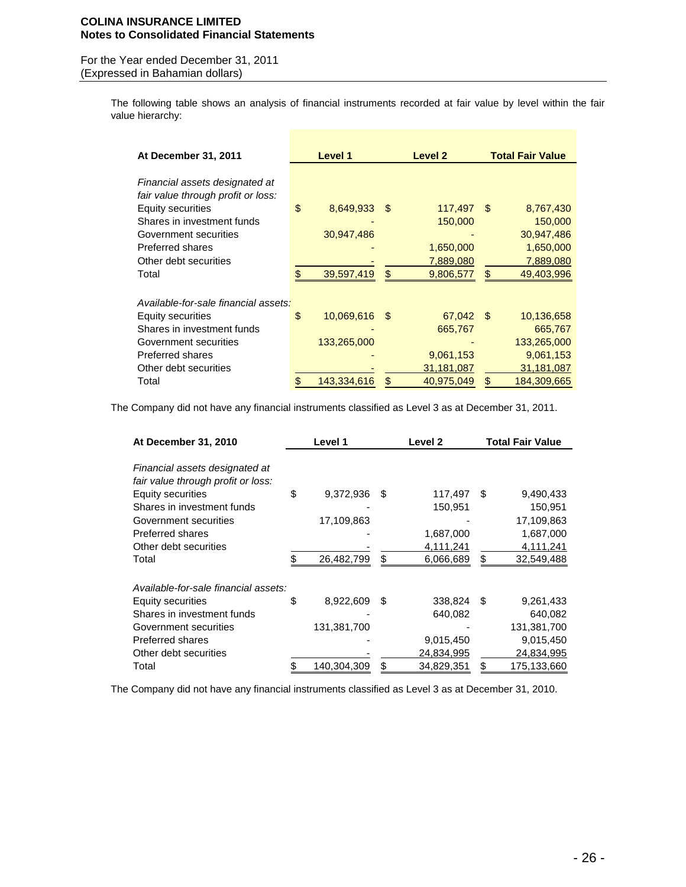For the Year ended December 31, 2011 (Expressed in Bahamian dollars)

> The following table shows an analysis of financial instruments recorded at fair value by level within the fair value hierarchy:

| At December 31, 2011                                                                      |    | Level 1<br><b>Level 2</b> |      |            | <b>Total Fair Value</b> |             |
|-------------------------------------------------------------------------------------------|----|---------------------------|------|------------|-------------------------|-------------|
| Financial assets designated at<br>fair value through profit or loss:<br>Equity securities | \$ | 8,649,933                 | - \$ | 117,497    | -\$                     | 8,767,430   |
| Shares in investment funds                                                                |    |                           |      | 150,000    |                         | 150,000     |
| Government securities                                                                     |    | 30,947,486                |      |            |                         | 30,947,486  |
| Preferred shares                                                                          |    |                           |      | 1,650,000  |                         | 1,650,000   |
| Other debt securities                                                                     |    |                           |      | 7,889,080  |                         | 7,889,080   |
| Total                                                                                     | S  | 39,597,419                | \$   | 9,806,577  | \$                      | 49,403,996  |
| Available-for-sale financial assets:                                                      |    |                           |      |            |                         |             |
| <b>Equity securities</b>                                                                  | \$ | 10,069,616                | \$   | 67,042     | -\$                     | 10,136,658  |
| Shares in investment funds                                                                |    |                           |      | 665,767    |                         | 665,767     |
| Government securities                                                                     |    | 133,265,000               |      |            |                         | 133,265,000 |
| <b>Preferred shares</b>                                                                   |    |                           |      | 9,061,153  |                         | 9,061,153   |
| Other debt securities                                                                     |    |                           |      | 31,181,087 |                         | 31,181,087  |
| Total                                                                                     | \$ | 143,334,616               | \$   | 40,975,049 | \$                      | 184,309,665 |

The Company did not have any financial instruments classified as Level 3 as at December 31, 2011.

| At December 31, 2010                                                 | Level 1<br>Level <sub>2</sub> |             | <b>Total Fair Value</b> |            |     |             |
|----------------------------------------------------------------------|-------------------------------|-------------|-------------------------|------------|-----|-------------|
| Financial assets designated at<br>fair value through profit or loss: |                               |             |                         |            |     |             |
| Equity securities                                                    | \$                            | 9,372,936   | - \$                    | 117,497    | \$  | 9,490,433   |
| Shares in investment funds                                           |                               |             |                         | 150,951    |     | 150,951     |
| Government securities                                                |                               | 17,109,863  |                         |            |     | 17,109,863  |
| <b>Preferred shares</b>                                              |                               |             |                         | 1,687,000  |     | 1,687,000   |
| Other debt securities                                                |                               |             |                         | 4,111,241  |     | 4,111,241   |
| Total                                                                | \$                            | 26,482,799  | \$                      | 6,066,689  | \$  | 32,549,488  |
| Available-for-sale financial assets:                                 |                               |             |                         |            |     |             |
| Equity securities                                                    | \$                            | 8,922,609   | \$                      | 338,824    | -\$ | 9,261,433   |
| Shares in investment funds                                           |                               |             |                         | 640,082    |     | 640,082     |
| Government securities                                                |                               | 131,381,700 |                         |            |     | 131,381,700 |
| <b>Preferred shares</b>                                              |                               |             |                         | 9,015,450  |     | 9,015,450   |
| Other debt securities                                                |                               |             |                         | 24,834,995 |     | 24,834,995  |
| Total                                                                |                               | 140.304.309 |                         | 34,829,351 | \$  | 175,133,660 |

The Company did not have any financial instruments classified as Level 3 as at December 31, 2010.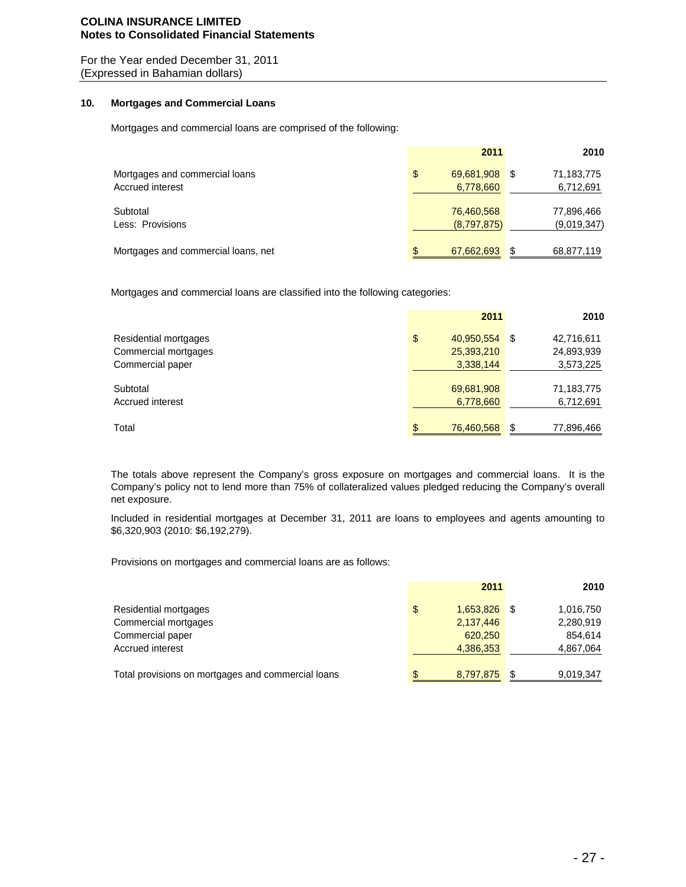For the Year ended December 31, 2011 (Expressed in Bahamian dollars)

## **10. Mortgages and Commercial Loans**

Mortgages and commercial loans are comprised of the following:

|                                                    | 2011                          | 2010                           |
|----------------------------------------------------|-------------------------------|--------------------------------|
| Mortgages and commercial loans<br>Accrued interest | \$<br>69,681,908<br>6,778,660 | 71,183,775<br>∣\$<br>6,712,691 |
| Subtotal<br>Less: Provisions                       | 76,460,568<br>(8,797,875)     | 77,896,466<br>(9.019.347)      |
| Mortgages and commercial loans, net                | 67,662,693                    | 68,877,119                     |

Mortgages and commercial loans are classified into the following categories:

|                       | 2011             | 2010               |
|-----------------------|------------------|--------------------|
| Residential mortgages | \$<br>40,950,554 | 42,716,611<br>- \$ |
| Commercial mortgages  | 25,393,210       | 24,893,939         |
| Commercial paper      | 3,338,144        | 3,573,225          |
| Subtotal              | 69,681,908       | 71,183,775         |
| Accrued interest      | 6,778,660        | 6,712,691          |
| Total                 | \$<br>76,460,568 | 77,896,466         |

The totals above represent the Company's gross exposure on mortgages and commercial loans. It is the Company's policy not to lend more than 75% of collateralized values pledged reducing the Company's overall net exposure.

Included in residential mortgages at December 31, 2011 are loans to employees and agents amounting to \$6,320,903 (2010: \$6,192,279).

Provisions on mortgages and commercial loans are as follows:

|                                                    |     | 2011      | 2010      |
|----------------------------------------------------|-----|-----------|-----------|
| Residential mortgages                              | \$  | 1,653,826 | 1,016,750 |
| Commercial mortgages                               |     | 2,137,446 | 2,280,919 |
| Commercial paper                                   |     | 620,250   | 854.614   |
| Accrued interest                                   |     | 4,386,353 | 4,867,064 |
| Total provisions on mortgages and commercial loans | \$. | 8,797,875 | 9,019,347 |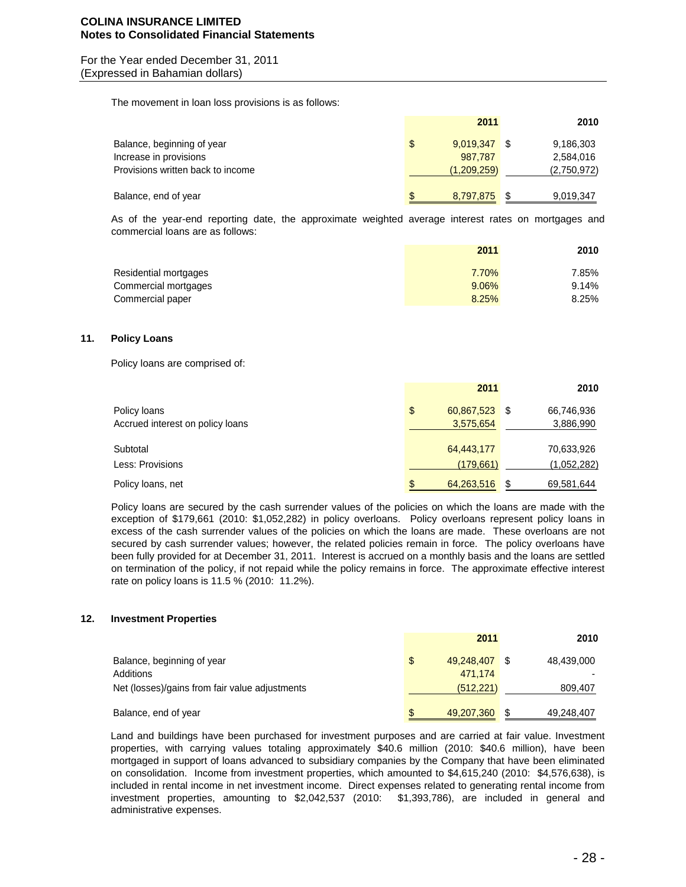For the Year ended December 31, 2011 (Expressed in Bahamian dollars)

The movement in loan loss provisions is as follows:

|                                   | 2011            | 2010        |
|-----------------------------------|-----------------|-------------|
| Balance, beginning of year        | \$<br>9.019.347 | 9,186,303   |
| Increase in provisions            | 987.787         | 2,584,016   |
| Provisions written back to income | (1,209,259)     | (2,750,972) |
| Balance, end of year              | 8,797,875       | 9,019,347   |

As of the year-end reporting date, the approximate weighted average interest rates on mortgages and commercial loans are as follows:

|                       | 2011  | 2010  |
|-----------------------|-------|-------|
| Residential mortgages | 7.70% | 7.85% |
| Commercial mortgages  | 9.06% | 9.14% |
| Commercial paper      | 8.25% | 8.25% |

## **11. Policy Loans**

Policy loans are comprised of:

|                                  | 2011             | 2010            |
|----------------------------------|------------------|-----------------|
| Policy loans                     | \$<br>60,867,523 | 66,746,936<br>S |
| Accrued interest on policy loans | 3,575,654        | 3,886,990       |
| Subtotal                         | 64,443,177       | 70,633,926      |
| Less: Provisions                 | (179.661)        | (1.052, 282)    |
| Policy loans, net                | \$<br>64,263,516 | 69,581,644      |

Policy loans are secured by the cash surrender values of the policies on which the loans are made with the exception of \$179,661 (2010: \$1,052,282) in policy overloans. Policy overloans represent policy loans in excess of the cash surrender values of the policies on which the loans are made. These overloans are not secured by cash surrender values; however, the related policies remain in force. The policy overloans have been fully provided for at December 31, 2011. Interest is accrued on a monthly basis and the loans are settled on termination of the policy, if not repaid while the policy remains in force. The approximate effective interest rate on policy loans is 11.5 % (2010: 11.2%).

## **12. Investment Properties**

|                                                |     | 2011       | 2010       |
|------------------------------------------------|-----|------------|------------|
| Balance, beginning of year                     | \$  | 49.248.407 | 48,439,000 |
| Additions                                      |     | 471.174    |            |
| Net (losses)/gains from fair value adjustments |     | (512, 221) | 809,407    |
| Balance, end of year                           | \$. | 49,207,360 | 49,248,407 |

Land and buildings have been purchased for investment purposes and are carried at fair value. Investment properties, with carrying values totaling approximately \$40.6 million (2010: \$40.6 million), have been mortgaged in support of loans advanced to subsidiary companies by the Company that have been eliminated on consolidation. Income from investment properties, which amounted to \$4,615,240 (2010: \$4,576,638), is included in rental income in net investment income. Direct expenses related to generating rental income from investment properties, amounting to \$2,042,537 (2010: \$1,393,786), are included in general and administrative expenses.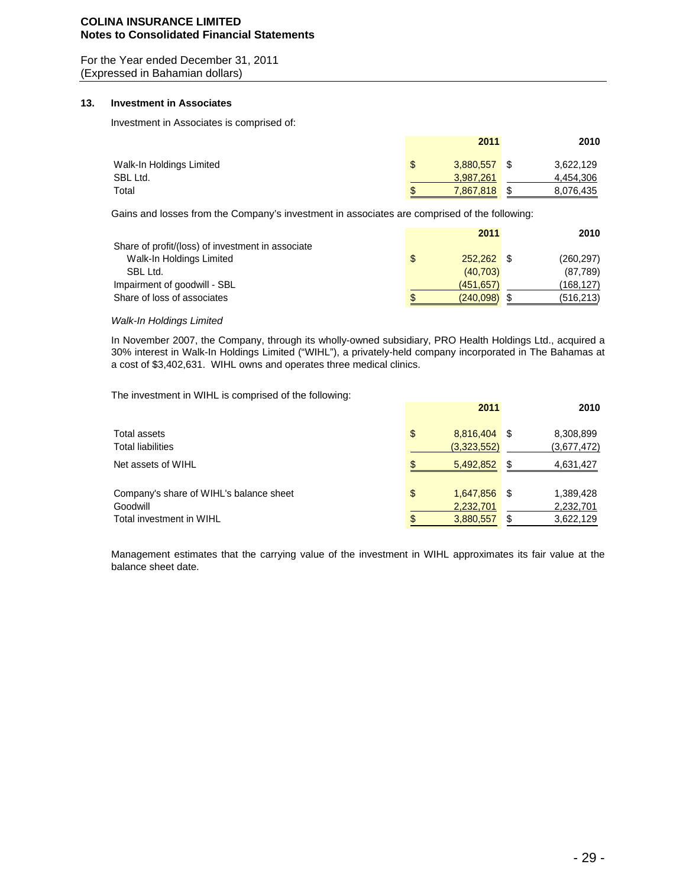For the Year ended December 31, 2011 (Expressed in Bahamian dollars)

## **13. Investment in Associates**

Investment in Associates is comprised of:

|                          | 2011            | 2010      |
|--------------------------|-----------------|-----------|
| Walk-In Holdings Limited | \$<br>3,880,557 | 3,622,129 |
| SBL Ltd.                 | 3.987.261       | 4,454,306 |
| Total                    | \$<br>7,867,818 | 8,076,435 |

Gains and losses from the Company's investment in associates are comprised of the following:

|                                                   | 2011                | 2010       |
|---------------------------------------------------|---------------------|------------|
| Share of profit/(loss) of investment in associate |                     |            |
| Walk-In Holdings Limited                          | 252,262<br>S        | (260, 297) |
| SBL Ltd.                                          | (40, 703)           | (87,789)   |
| Impairment of goodwill - SBL                      | (451.657)           | (168,127)  |
| Share of loss of associates                       | $(240.098)$ \$<br>S | (516, 213) |

# *Walk-In Holdings Limited*

In November 2007, the Company, through its wholly-owned subsidiary, PRO Health Holdings Ltd., acquired a 30% interest in Walk-In Holdings Limited ("WIHL"), a privately-held company incorporated in The Bahamas at a cost of \$3,402,631. WIHL owns and operates three medical clinics.

The investment in WIHL is comprised of the following:

|                                                     | 2011                           |      | 2010                     |
|-----------------------------------------------------|--------------------------------|------|--------------------------|
| Total assets<br><b>Total liabilities</b>            | \$<br>8.816.404<br>(3,323,552) |      | 8,308,899<br>(3,677,472) |
| Net assets of WIHL                                  | 5,492,852                      |      | 4,631,427                |
| Company's share of WIHL's balance sheet<br>Goodwill | \$<br>1.647.856<br>2,232,701   | - \$ | 1,389,428<br>2,232,701   |
| Total investment in WIHL                            | 3,880,557                      |      | 3,622,129                |

Management estimates that the carrying value of the investment in WIHL approximates its fair value at the balance sheet date.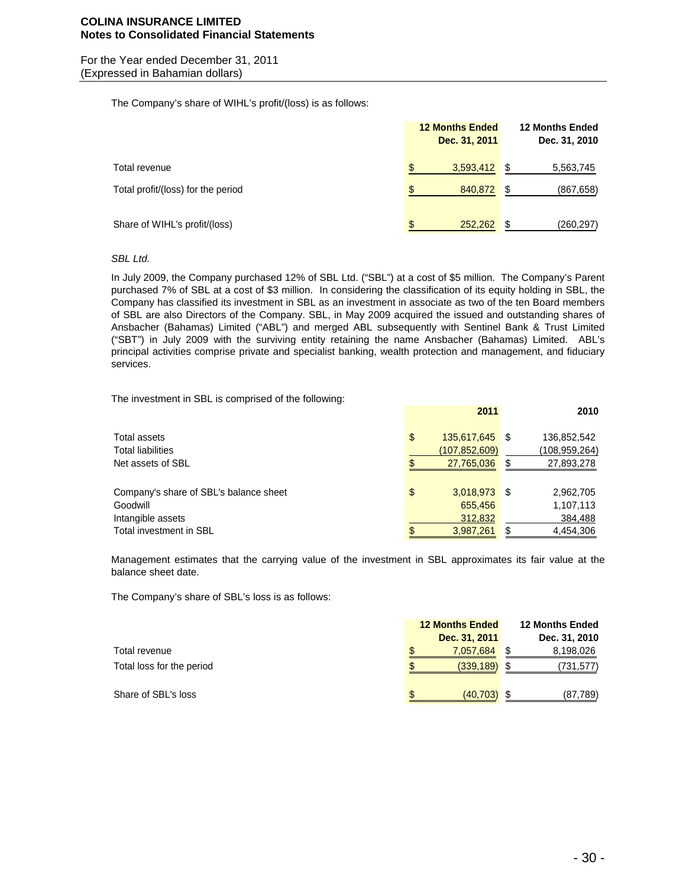For the Year ended December 31, 2011 (Expressed in Bahamian dollars)

The Company's share of WIHL's profit/(loss) is as follows:

|                                    | <b>12 Months Ended</b><br>Dec. 31, 2011 | <b>12 Months Ended</b><br>Dec. 31, 2010 |
|------------------------------------|-----------------------------------------|-----------------------------------------|
| Total revenue                      | 3,593,412<br>S                          | 5,563,745                               |
| Total profit/(loss) for the period | 840,872                                 | (867,658)                               |
| Share of WIHL's profit/(loss)      | \$<br>252,262                           | (260, 297)<br>S                         |

## *SBL Ltd.*

In July 2009, the Company purchased 12% of SBL Ltd. ("SBL") at a cost of \$5 million. The Company's Parent purchased 7% of SBL at a cost of \$3 million. In considering the classification of its equity holding in SBL, the Company has classified its investment in SBL as an investment in associate as two of the ten Board members of SBL are also Directors of the Company. SBL, in May 2009 acquired the issued and outstanding shares of Ansbacher (Bahamas) Limited ("ABL") and merged ABL subsequently with Sentinel Bank & Trust Limited ("SBT") in July 2009 with the surviving entity retaining the name Ansbacher (Bahamas) Limited. ABL's principal activities comprise private and specialist banking, wealth protection and management, and fiduciary services.

The investment in SBL is comprised of the following:

|                                                                         | 2011                                               |      | 2010                                       |
|-------------------------------------------------------------------------|----------------------------------------------------|------|--------------------------------------------|
| Total assets<br><b>Total liabilities</b><br>Net assets of SBL           | \$<br>135,617,645<br>(107, 852, 609)<br>27,765,036 | - \$ | 136,852,542<br>(108,959,264)<br>27,893,278 |
| Company's share of SBL's balance sheet<br>Goodwill<br>Intangible assets | \$<br>3,018,973<br>655,456<br>312,832              | -S   | 2,962,705<br>1,107,113<br>384,488          |
| Total investment in SBL                                                 | 3,987,261                                          |      | 4,454,306                                  |

Management estimates that the carrying value of the investment in SBL approximates its fair value at the balance sheet date.

The Company's share of SBL's loss is as follows:

|                           | <b>12 Months Ended</b> | <b>12 Months Ended</b> |
|---------------------------|------------------------|------------------------|
|                           | Dec. 31, 2011          | Dec. 31, 2010          |
| Total revenue             | 7.057.684              | 8,198,026              |
| Total loss for the period | (339, 189)             | (731,577)              |
| Share of SBL's loss       | (40,703)               | (87,789)               |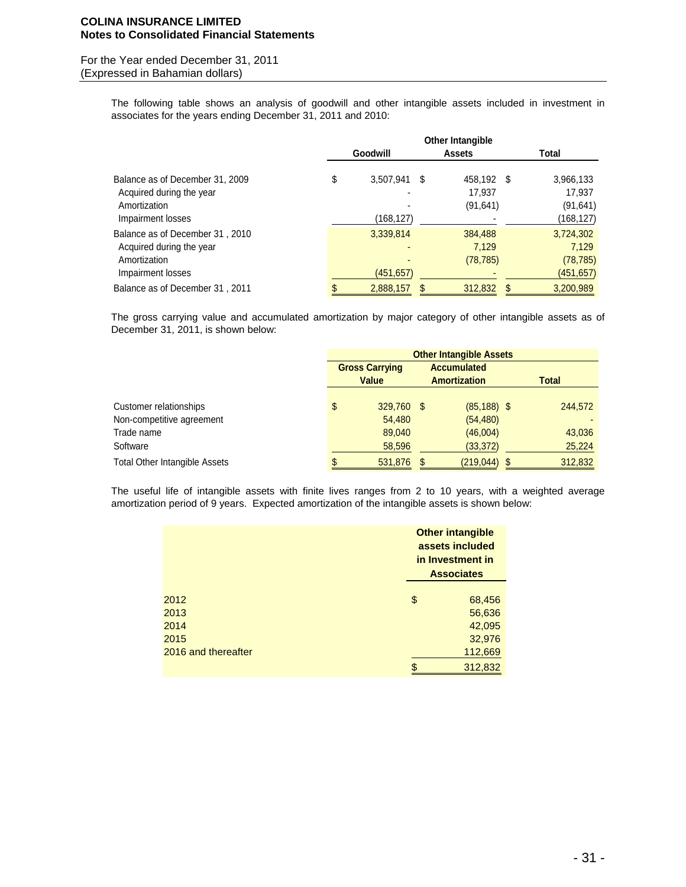For the Year ended December 31, 2011 (Expressed in Bahamian dollars)

> The following table shows an analysis of goodwill and other intangible assets included in investment in associates for the years ending December 31, 2011 and 2010:

|                                 | Other Intangible |           |      |               |  |           |
|---------------------------------|------------------|-----------|------|---------------|--|-----------|
|                                 | Goodwill         |           |      | <b>Assets</b> |  | Total     |
| Balance as of December 31, 2009 | \$               | 3,507,941 | - \$ | 458.192 \$    |  | 3,966,133 |
| Acquired during the year        |                  |           |      | 17,937        |  | 17,937    |
| Amortization                    |                  |           |      | (91, 641)     |  | (91, 641) |
| Impairment losses               |                  | (168,127) |      |               |  | (168,127) |
| Balance as of December 31, 2010 |                  | 3,339,814 |      | 384,488       |  | 3,724,302 |
| Acquired during the year        |                  |           |      | 7.129         |  | 7,129     |
| Amortization                    |                  |           |      | (78, 785)     |  | (78, 785) |
| Impairment losses               |                  | (451,657) |      |               |  | (451,657) |
| Balance as of December 31, 2011 |                  | 2,888,157 |      | 312,832       |  | 3,200,989 |

The gross carrying value and accumulated amortization by major category of other intangible assets as of December 31, 2011, is shown below:

|                                      | <b>Other Intangible Assets</b>      |                        |              |  |  |
|--------------------------------------|-------------------------------------|------------------------|--------------|--|--|
|                                      | <b>Gross Carrying</b>               | <b>Accumulated</b>     |              |  |  |
|                                      | <b>Value</b><br><b>Amortization</b> |                        | <b>Total</b> |  |  |
|                                      |                                     |                        |              |  |  |
| Customer relationships               | \$<br>329,760                       | $(85, 188)$ \$<br>- \$ | 244,572      |  |  |
| Non-competitive agreement            | 54,480                              | (54, 480)              |              |  |  |
| Trade name                           | 89,040                              | (46,004)               | 43,036       |  |  |
| Software                             | 58,596                              | (33, 372)              | 25,224       |  |  |
| <b>Total Other Intangible Assets</b> | S.<br>531,876                       | $(219, 044)$ \$        | 312,832      |  |  |

The useful life of intangible assets with finite lives ranges from 2 to 10 years, with a weighted average amortization period of 9 years. Expected amortization of the intangible assets is shown below:

|                     | <b>Other intangible</b><br>assets included<br>in Investment in<br><b>Associates</b> |  |  |
|---------------------|-------------------------------------------------------------------------------------|--|--|
| 2012<br>2013        | \$<br>68,456<br>56,636                                                              |  |  |
| 2014<br>2015        | 42,095<br>32,976                                                                    |  |  |
| 2016 and thereafter | 112,669                                                                             |  |  |
|                     | 312,832                                                                             |  |  |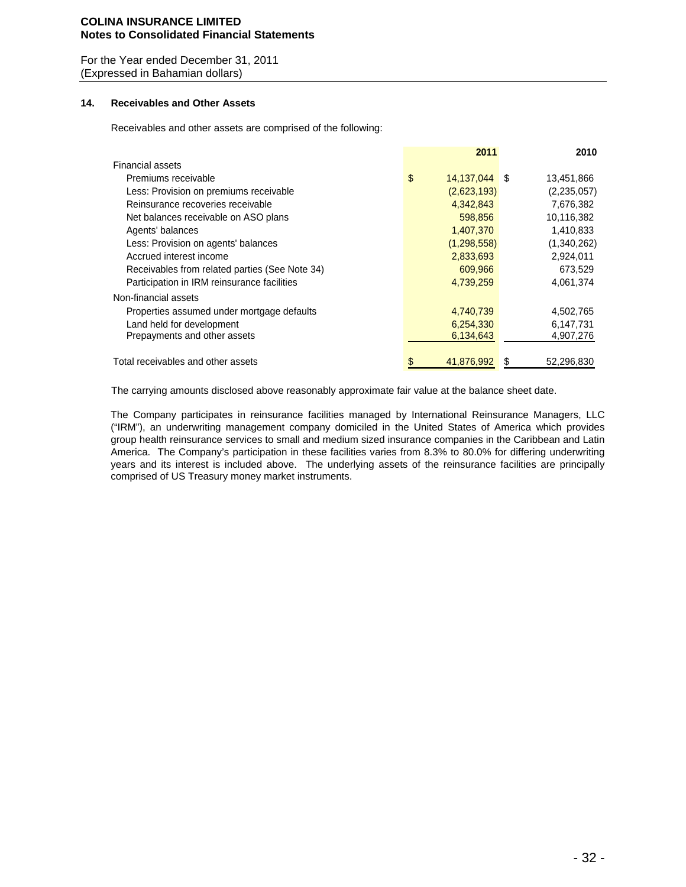For the Year ended December 31, 2011 (Expressed in Bahamian dollars)

# **14. Receivables and Other Assets**

Receivables and other assets are comprised of the following:

|                                                | 2011             | 2010               |
|------------------------------------------------|------------------|--------------------|
| <b>Financial assets</b>                        |                  |                    |
| Premiums receivable                            | \$<br>14,137,044 | - \$<br>13,451,866 |
| Less: Provision on premiums receivable         | (2,623,193)      | (2,235,057)        |
| Reinsurance recoveries receivable              | 4,342,843        | 7,676,382          |
| Net balances receivable on ASO plans           | 598,856          | 10,116,382         |
| Agents' balances                               | 1,407,370        | 1,410,833          |
| Less: Provision on agents' balances            | (1,298,558)      | (1,340,262)        |
| Accrued interest income                        | 2,833,693        | 2,924,011          |
| Receivables from related parties (See Note 34) | 609,966          | 673,529            |
| Participation in IRM reinsurance facilities    | 4,739,259        | 4,061,374          |
| Non-financial assets                           |                  |                    |
| Properties assumed under mortgage defaults     | 4,740,739        | 4,502,765          |
| Land held for development                      | 6,254,330        | 6,147,731          |
| Prepayments and other assets                   | 6,134,643        | 4,907,276          |
| Total receivables and other assets             | \$<br>41.876.992 | 52.296.830<br>S    |

The carrying amounts disclosed above reasonably approximate fair value at the balance sheet date.

The Company participates in reinsurance facilities managed by International Reinsurance Managers, LLC ("IRM"), an underwriting management company domiciled in the United States of America which provides group health reinsurance services to small and medium sized insurance companies in the Caribbean and Latin America. The Company's participation in these facilities varies from 8.3% to 80.0% for differing underwriting years and its interest is included above. The underlying assets of the reinsurance facilities are principally comprised of US Treasury money market instruments.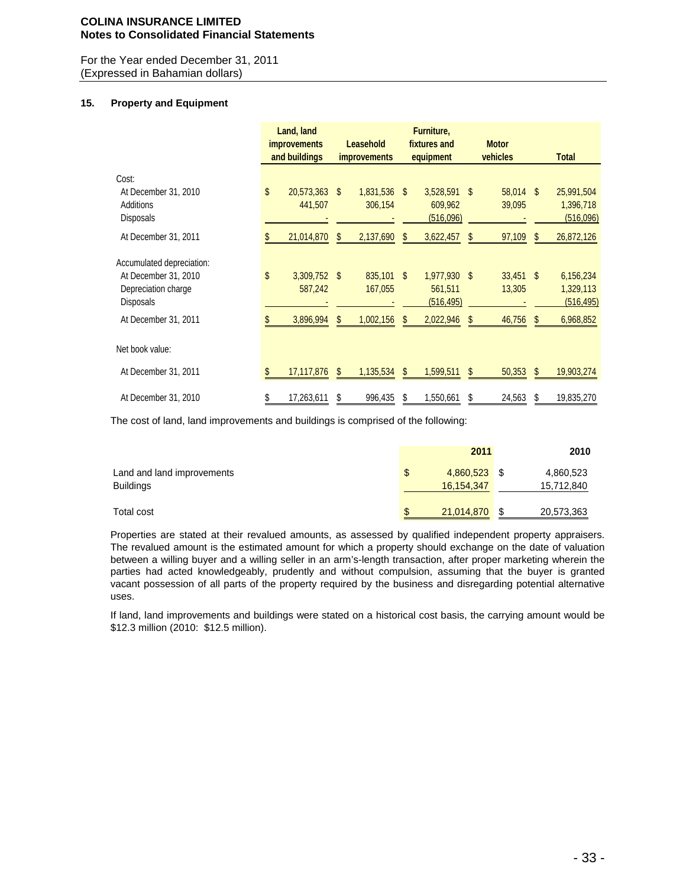For the Year ended December 31, 2011 (Expressed in Bahamian dollars)

# **15. Property and Equipment**

|                                                   | Land, land<br><i>improvements</i><br>and buildings |                          |    | Leasehold<br><i>improvements</i> |    | Furniture,<br>fixtures and<br>equipment |    | <b>Motor</b><br>vehicles |              | <b>Total</b>            |
|---------------------------------------------------|----------------------------------------------------|--------------------------|----|----------------------------------|----|-----------------------------------------|----|--------------------------|--------------|-------------------------|
| Cost:<br>At December 31, 2010<br><b>Additions</b> | \$                                                 | 20,573,363 \$<br>441,507 |    | 1,831,536 \$<br>306,154          |    | 3,528,591 \$<br>609,962                 |    | $58,014$ \$<br>39,095    |              | 25,991,504<br>1,396,718 |
| Disposals                                         |                                                    |                          |    |                                  |    | (516,096)                               |    |                          |              | (516,096)               |
| At December 31, 2011                              | 21,014,870                                         |                          | S  | 2,137,690                        | S  | 3,622,457                               | S  | 97,109                   | S            | 26,872,126              |
| Accumulated depreciation:                         |                                                    |                          |    |                                  |    |                                         |    |                          |              |                         |
| At December 31, 2010                              | \$                                                 | 3,309,752 \$             |    | 835,101                          | S  | 1,977,930 \$                            |    | 33,451                   | $\mathbb{S}$ | 6,156,234               |
| Depreciation charge<br><b>Disposals</b>           |                                                    | 587,242                  |    | 167,055                          |    | 561,511<br>(516, 495)                   |    | 13,305                   |              | 1,329,113<br>(516, 495) |
| At December 31, 2011                              |                                                    | 3,896,994                | \$ | 1,002,156                        | S  | 2,022,946                               | S  | 46,756                   | \$           | 6,968,852               |
| Net book value:                                   |                                                    |                          |    |                                  |    |                                         |    |                          |              |                         |
| At December 31, 2011                              | 17,117,876<br>\$.                                  |                          | \$ | 1,135,534                        | \$ | 1,599,511                               | \$ | 50,353                   | \$           | 19,903,274              |
| At December 31, 2010                              | \$<br>17,263,611                                   |                          | \$ | 996,435                          | S  | 1,550,661                               | \$ | 24,563                   | S            | 19,835,270              |

The cost of land, land improvements and buildings is comprised of the following:

|                                                | 2011                          |   | 2010                    |
|------------------------------------------------|-------------------------------|---|-------------------------|
| Land and land improvements<br><b>Buildings</b> | \$<br>4,860,523<br>16,154,347 | S | 4,860,523<br>15,712,840 |
| Total cost                                     | \$<br>21,014,870              | S | 20,573,363              |

Properties are stated at their revalued amounts, as assessed by qualified independent property appraisers. The revalued amount is the estimated amount for which a property should exchange on the date of valuation between a willing buyer and a willing seller in an arm's-length transaction, after proper marketing wherein the parties had acted knowledgeably, prudently and without compulsion, assuming that the buyer is granted vacant possession of all parts of the property required by the business and disregarding potential alternative uses.

If land, land improvements and buildings were stated on a historical cost basis, the carrying amount would be \$12.3 million (2010: \$12.5 million).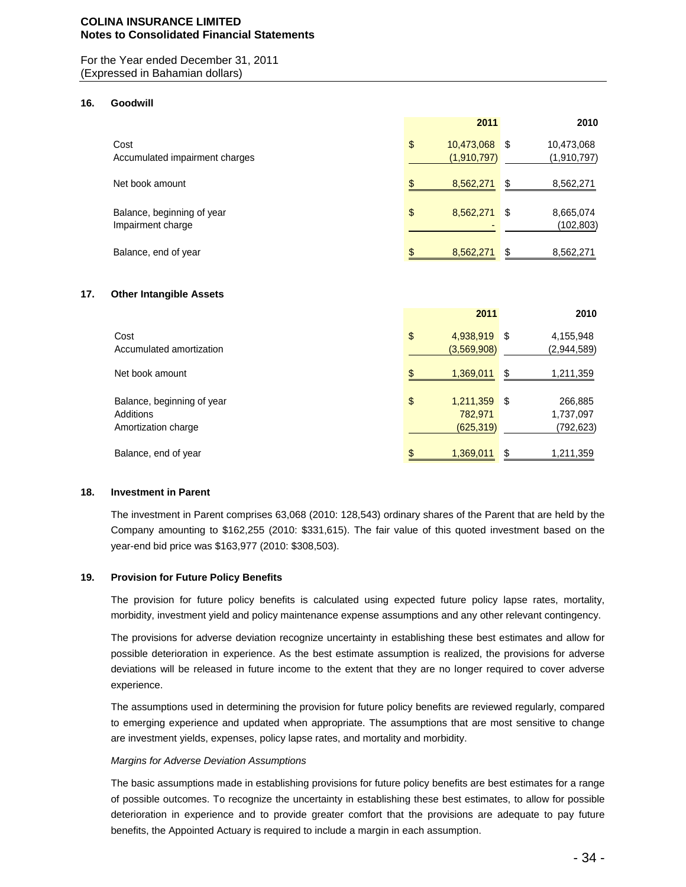For the Year ended December 31, 2011 (Expressed in Bahamian dollars)

## **16. Goodwill**

|                                                 | 2011                            | 2010                              |
|-------------------------------------------------|---------------------------------|-----------------------------------|
| Cost<br>Accumulated impairment charges          | \$<br>10,473,068<br>(1,910,797) | 10,473,068<br>- \$<br>(1,910,797) |
| Net book amount                                 | £.<br>8,562,271                 | \$<br>8,562,271                   |
| Balance, beginning of year<br>Impairment charge | \$<br>8,562,271                 | 8,665,074<br>S<br>(102, 803)      |
| Balance, end of year                            | \$<br>8,562,271                 | S<br>8,562,271                    |

# **17. Other Intangible Assets**

|                                                                | 2011                                     |      | 2010                              |
|----------------------------------------------------------------|------------------------------------------|------|-----------------------------------|
| Cost<br>Accumulated amortization                               | \$<br>4,938,919<br>(3,569,908)           | - \$ | 4,155,948<br>(2,944,589)          |
| Net book amount                                                | \$<br>1,369,011                          | \$   | 1,211,359                         |
| Balance, beginning of year<br>Additions<br>Amortization charge | \$<br>1,211,359<br>782,971<br>(625, 319) | - \$ | 266,885<br>1,737,097<br>(792,623) |
| Balance, end of year                                           | \$<br>1,369,011                          |      | 1,211,359                         |

## **18. Investment in Parent**

The investment in Parent comprises 63,068 (2010: 128,543) ordinary shares of the Parent that are held by the Company amounting to \$162,255 (2010: \$331,615). The fair value of this quoted investment based on the year-end bid price was \$163,977 (2010: \$308,503).

# **19. Provision for Future Policy Benefits**

The provision for future policy benefits is calculated using expected future policy lapse rates, mortality, morbidity, investment yield and policy maintenance expense assumptions and any other relevant contingency.

The provisions for adverse deviation recognize uncertainty in establishing these best estimates and allow for possible deterioration in experience. As the best estimate assumption is realized, the provisions for adverse deviations will be released in future income to the extent that they are no longer required to cover adverse experience.

The assumptions used in determining the provision for future policy benefits are reviewed regularly, compared to emerging experience and updated when appropriate. The assumptions that are most sensitive to change are investment yields, expenses, policy lapse rates, and mortality and morbidity.

# *Margins for Adverse Deviation Assumptions*

The basic assumptions made in establishing provisions for future policy benefits are best estimates for a range of possible outcomes. To recognize the uncertainty in establishing these best estimates, to allow for possible deterioration in experience and to provide greater comfort that the provisions are adequate to pay future benefits, the Appointed Actuary is required to include a margin in each assumption.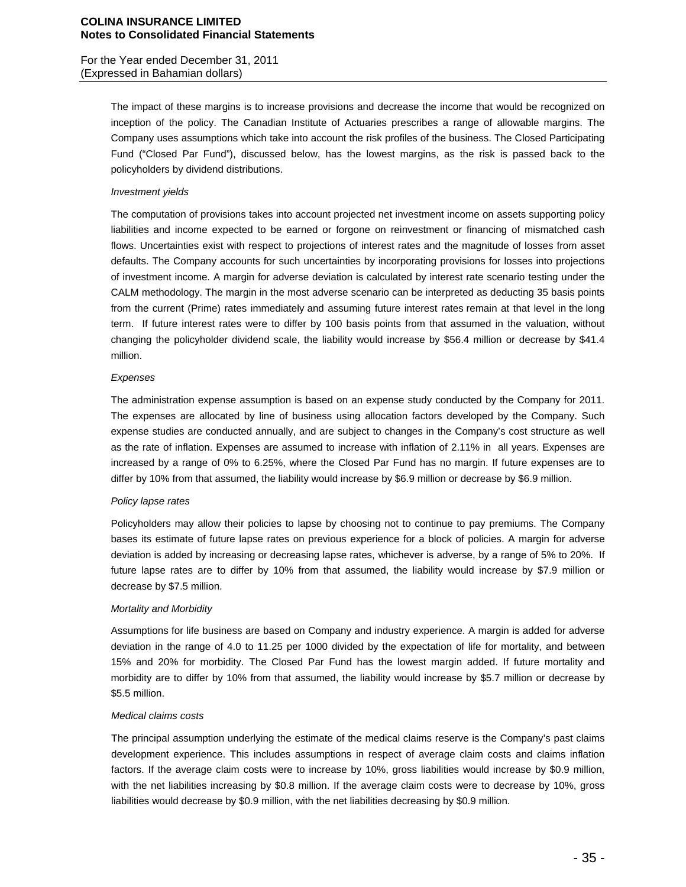> The impact of these margins is to increase provisions and decrease the income that would be recognized on inception of the policy. The Canadian Institute of Actuaries prescribes a range of allowable margins. The Company uses assumptions which take into account the risk profiles of the business. The Closed Participating Fund ("Closed Par Fund"), discussed below, has the lowest margins, as the risk is passed back to the policyholders by dividend distributions.

## *Investment yields*

The computation of provisions takes into account projected net investment income on assets supporting policy liabilities and income expected to be earned or forgone on reinvestment or financing of mismatched cash flows. Uncertainties exist with respect to projections of interest rates and the magnitude of losses from asset defaults. The Company accounts for such uncertainties by incorporating provisions for losses into projections of investment income. A margin for adverse deviation is calculated by interest rate scenario testing under the CALM methodology. The margin in the most adverse scenario can be interpreted as deducting 35 basis points from the current (Prime) rates immediately and assuming future interest rates remain at that level in the long term. If future interest rates were to differ by 100 basis points from that assumed in the valuation, without changing the policyholder dividend scale, the liability would increase by \$56.4 million or decrease by \$41.4 million.

# *Expenses*

The administration expense assumption is based on an expense study conducted by the Company for 2011. The expenses are allocated by line of business using allocation factors developed by the Company. Such expense studies are conducted annually, and are subject to changes in the Company's cost structure as well as the rate of inflation. Expenses are assumed to increase with inflation of 2.11% in all years. Expenses are increased by a range of 0% to 6.25%, where the Closed Par Fund has no margin. If future expenses are to differ by 10% from that assumed, the liability would increase by \$6.9 million or decrease by \$6.9 million.

## *Policy lapse rates*

Policyholders may allow their policies to lapse by choosing not to continue to pay premiums. The Company bases its estimate of future lapse rates on previous experience for a block of policies. A margin for adverse deviation is added by increasing or decreasing lapse rates, whichever is adverse, by a range of 5% to 20%. If future lapse rates are to differ by 10% from that assumed, the liability would increase by \$7.9 million or decrease by \$7.5 million.

## *Mortality and Morbidity*

Assumptions for life business are based on Company and industry experience. A margin is added for adverse deviation in the range of 4.0 to 11.25 per 1000 divided by the expectation of life for mortality, and between 15% and 20% for morbidity. The Closed Par Fund has the lowest margin added. If future mortality and morbidity are to differ by 10% from that assumed, the liability would increase by \$5.7 million or decrease by \$5.5 million.

## *Medical claims costs*

The principal assumption underlying the estimate of the medical claims reserve is the Company's past claims development experience. This includes assumptions in respect of average claim costs and claims inflation factors. If the average claim costs were to increase by 10%, gross liabilities would increase by \$0.9 million, with the net liabilities increasing by \$0.8 million. If the average claim costs were to decrease by 10%, gross liabilities would decrease by \$0.9 million, with the net liabilities decreasing by \$0.9 million.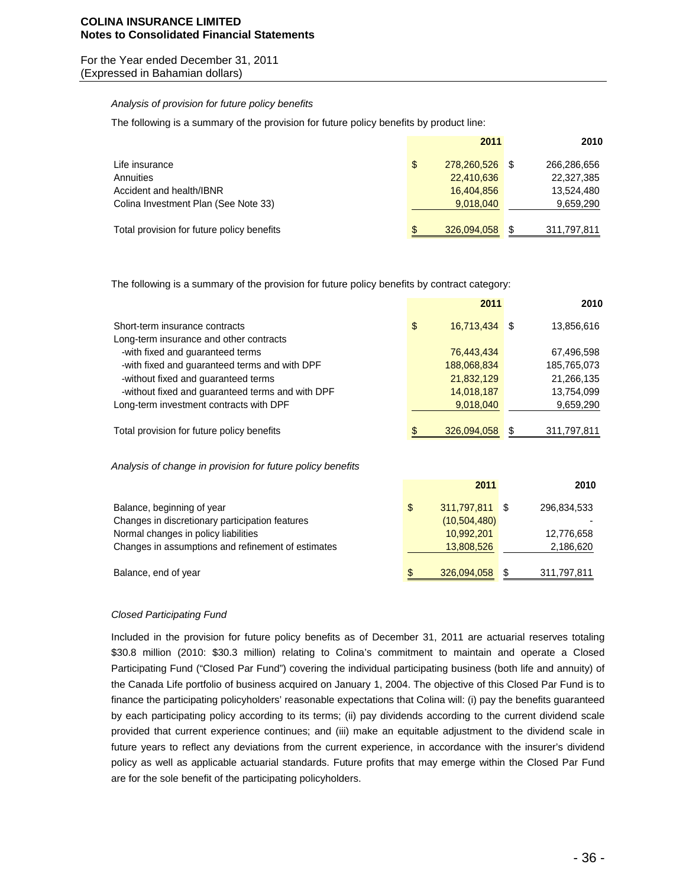For the Year ended December 31, 2011 (Expressed in Bahamian dollars)

## *Analysis of provision for future policy benefits*

The following is a summary of the provision for future policy benefits by product line:

|                                            | 2011              | 2010        |
|--------------------------------------------|-------------------|-------------|
| Life insurance                             | \$<br>278,260,526 | 266,286,656 |
| Annuities                                  | 22,410,636        | 22,327,385  |
| Accident and health/IBNR                   | 16.404.856        | 13.524.480  |
| Colina Investment Plan (See Note 33)       | 9,018,040         | 9,659,290   |
| Total provision for future policy benefits | 326,094,058       | 311,797,811 |

The following is a summary of the provision for future policy benefits by contract category:

|                                                  | 2011              | 2010              |
|--------------------------------------------------|-------------------|-------------------|
| Short-term insurance contracts                   | \$<br>16,713,434  | 13,856,616<br>\$. |
| Long-term insurance and other contracts          |                   |                   |
| -with fixed and guaranteed terms                 | 76,443,434        | 67,496,598        |
| -with fixed and guaranteed terms and with DPF    | 188,068,834       | 185,765,073       |
| -without fixed and guaranteed terms              | 21,832,129        | 21,266,135        |
| -without fixed and guaranteed terms and with DPF | 14,018,187        | 13,754,099        |
| Long-term investment contracts with DPF          | 9,018,040         | 9,659,290         |
|                                                  |                   |                   |
| Total provision for future policy benefits       | \$<br>326,094,058 | 311,797,811       |
|                                                  |                   |                   |

*Analysis of change in provision for future policy benefits* 

|                                                    | 2011               | 2010        |
|----------------------------------------------------|--------------------|-------------|
| Balance, beginning of year                         | 311.797.811<br>\$  | 296,834,533 |
| Changes in discretionary participation features    | (10,504,480)       |             |
| Normal changes in policy liabilities               | 10,992,201         | 12,776,658  |
| Changes in assumptions and refinement of estimates | 13,808,526         | 2,186,620   |
| Balance, end of year                               | 326,094,058<br>\$. | 311,797,811 |

# *Closed Participating Fund*

Included in the provision for future policy benefits as of December 31, 2011 are actuarial reserves totaling \$30.8 million (2010: \$30.3 million) relating to Colina's commitment to maintain and operate a Closed Participating Fund ("Closed Par Fund") covering the individual participating business (both life and annuity) of the Canada Life portfolio of business acquired on January 1, 2004. The objective of this Closed Par Fund is to finance the participating policyholders' reasonable expectations that Colina will: (i) pay the benefits guaranteed by each participating policy according to its terms; (ii) pay dividends according to the current dividend scale provided that current experience continues; and (iii) make an equitable adjustment to the dividend scale in future years to reflect any deviations from the current experience, in accordance with the insurer's dividend policy as well as applicable actuarial standards. Future profits that may emerge within the Closed Par Fund are for the sole benefit of the participating policyholders.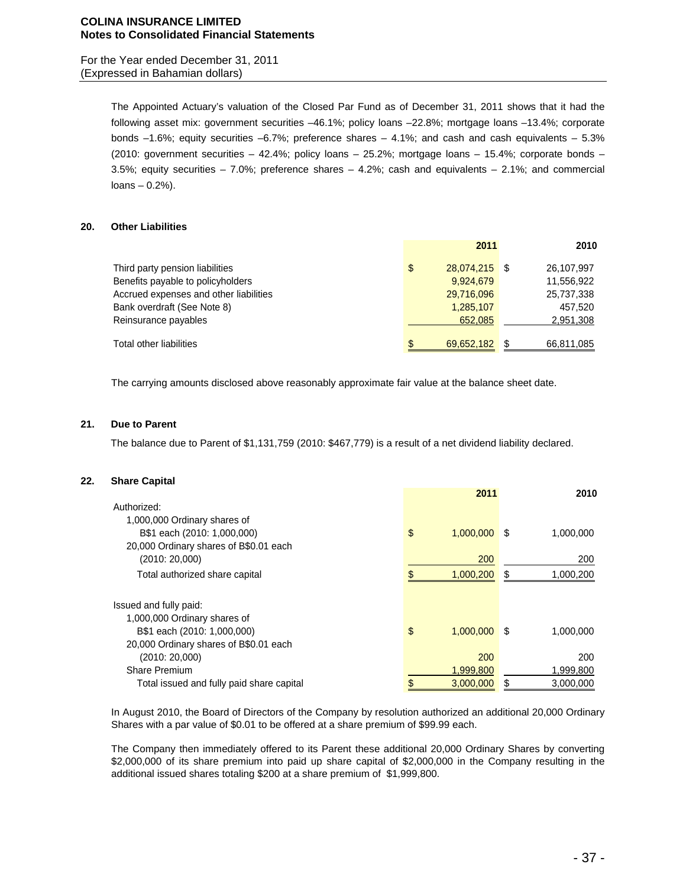> The Appointed Actuary's valuation of the Closed Par Fund as of December 31, 2011 shows that it had the following asset mix: government securities –46.1%; policy loans –22.8%; mortgage loans –13.4%; corporate bonds –1.6%; equity securities –6.7%; preference shares – 4.1%; and cash and cash equivalents – 5.3% (2010: government securities – 42.4%; policy loans – 25.2%; mortgage loans – 15.4%; corporate bonds – 3.5%; equity securities – 7.0%; preference shares – 4.2%; cash and equivalents – 2.1%; and commercial loans – 0.2%).

## **20. Other Liabilities**

|                                        | 2011              | 2010              |
|----------------------------------------|-------------------|-------------------|
| Third party pension liabilities        | \$<br>28.074.215  | 26,107,997<br>IS. |
| Benefits payable to policyholders      | 9,924,679         | 11,556,922        |
| Accrued expenses and other liabilities | 29,716,096        | 25,737,338        |
| Bank overdraft (See Note 8)            | 1,285,107         | 457,520           |
| Reinsurance payables                   | 652.085           | 2,951,308         |
| Total other liabilities                | \$.<br>69,652,182 | 66,811,085        |

The carrying amounts disclosed above reasonably approximate fair value at the balance sheet date.

# **21. Due to Parent**

The balance due to Parent of \$1,131,759 (2010: \$467,779) is a result of a net dividend liability declared.

# **22. Share Capital**

|                                           | 2011            |      | 2010      |
|-------------------------------------------|-----------------|------|-----------|
| Authorized:                               |                 |      |           |
| 1,000,000 Ordinary shares of              |                 |      |           |
| B\$1 each (2010: 1,000,000)               | \$<br>1,000,000 | S    | 1,000,000 |
| 20,000 Ordinary shares of B\$0.01 each    |                 |      |           |
| (2010:20,000)                             | 200             |      | 200       |
| Total authorized share capital            | 1,000,200       |      | 1,000,200 |
| Issued and fully paid:                    |                 |      |           |
| 1,000,000 Ordinary shares of              |                 |      |           |
| B\$1 each (2010: 1,000,000)               | \$<br>1.000.000 | - \$ | 1,000,000 |
| 20,000 Ordinary shares of B\$0.01 each    |                 |      |           |
| (2010:20,000)                             | 200             |      | 200       |
| Share Premium                             | 1,999,800       |      | 1,999,800 |
| Total issued and fully paid share capital | \$<br>3.000.000 |      | 3,000,000 |

In August 2010, the Board of Directors of the Company by resolution authorized an additional 20,000 Ordinary Shares with a par value of \$0.01 to be offered at a share premium of \$99.99 each.

The Company then immediately offered to its Parent these additional 20,000 Ordinary Shares by converting \$2,000,000 of its share premium into paid up share capital of \$2,000,000 in the Company resulting in the additional issued shares totaling \$200 at a share premium of \$1,999,800.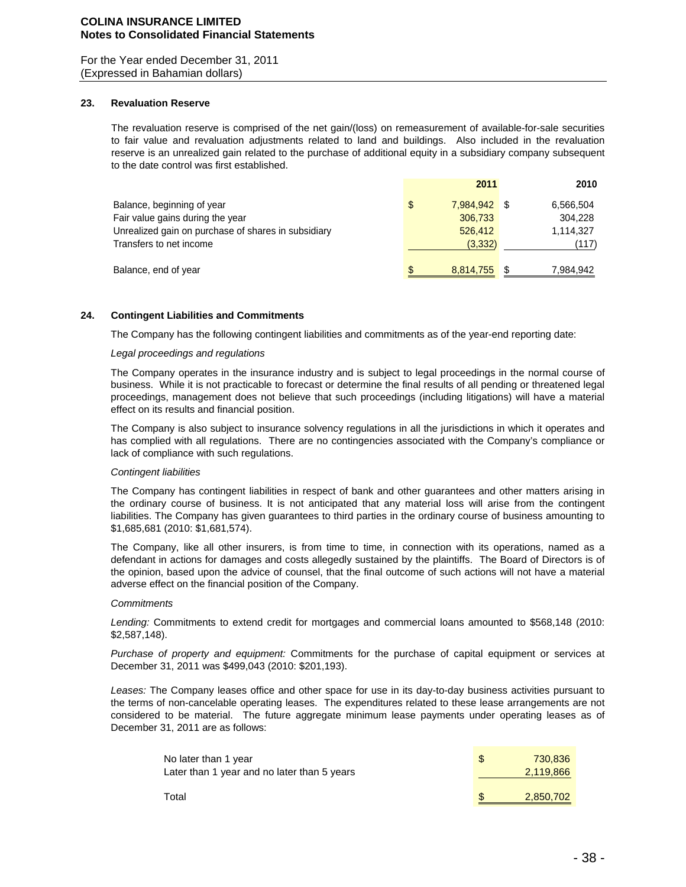For the Year ended December 31, 2011 (Expressed in Bahamian dollars)

# **23. Revaluation Reserve**

The revaluation reserve is comprised of the net gain/(loss) on remeasurement of available-for-sale securities to fair value and revaluation adjustments related to land and buildings. Also included in the revaluation reserve is an unrealized gain related to the purchase of additional equity in a subsidiary company subsequent to the date control was first established.

|                                                     | 2011            | 2010            |
|-----------------------------------------------------|-----------------|-----------------|
| Balance, beginning of year                          | \$<br>7.984.942 | 6,566,504<br>.S |
| Fair value gains during the year                    | 306,733         | 304,228         |
| Unrealized gain on purchase of shares in subsidiary | 526,412         | 1,114,327       |
| Transfers to net income                             | (3,332)         | (117)           |
| Balance, end of year                                | \$<br>8,814,755 | 7,984,942       |

# **24. Contingent Liabilities and Commitments**

The Company has the following contingent liabilities and commitments as of the year-end reporting date:

# *Legal proceedings and regulations*

The Company operates in the insurance industry and is subject to legal proceedings in the normal course of business. While it is not practicable to forecast or determine the final results of all pending or threatened legal proceedings, management does not believe that such proceedings (including litigations) will have a material effect on its results and financial position.

The Company is also subject to insurance solvency regulations in all the jurisdictions in which it operates and has complied with all regulations. There are no contingencies associated with the Company's compliance or lack of compliance with such regulations.

# *Contingent liabilities*

The Company has contingent liabilities in respect of bank and other guarantees and other matters arising in the ordinary course of business. It is not anticipated that any material loss will arise from the contingent liabilities. The Company has given guarantees to third parties in the ordinary course of business amounting to \$1,685,681 (2010: \$1,681,574).

The Company, like all other insurers, is from time to time, in connection with its operations, named as a defendant in actions for damages and costs allegedly sustained by the plaintiffs. The Board of Directors is of the opinion, based upon the advice of counsel, that the final outcome of such actions will not have a material adverse effect on the financial position of the Company.

# *Commitments*

*Lending:* Commitments to extend credit for mortgages and commercial loans amounted to \$568,148 (2010: \$2,587,148).

*Purchase of property and equipment:* Commitments for the purchase of capital equipment or services at December 31, 2011 was \$499,043 (2010: \$201,193).

*Leases:* The Company leases office and other space for use in its day-to-day business activities pursuant to the terms of non-cancelable operating leases. The expenditures related to these lease arrangements are not considered to be material. The future aggregate minimum lease payments under operating leases as of December 31, 2011 are as follows:

| No later than 1 year<br>Later than 1 year and no later than 5 years | \$. | 730.836<br>2,119,866 |
|---------------------------------------------------------------------|-----|----------------------|
| Total                                                               |     | 2,850,702            |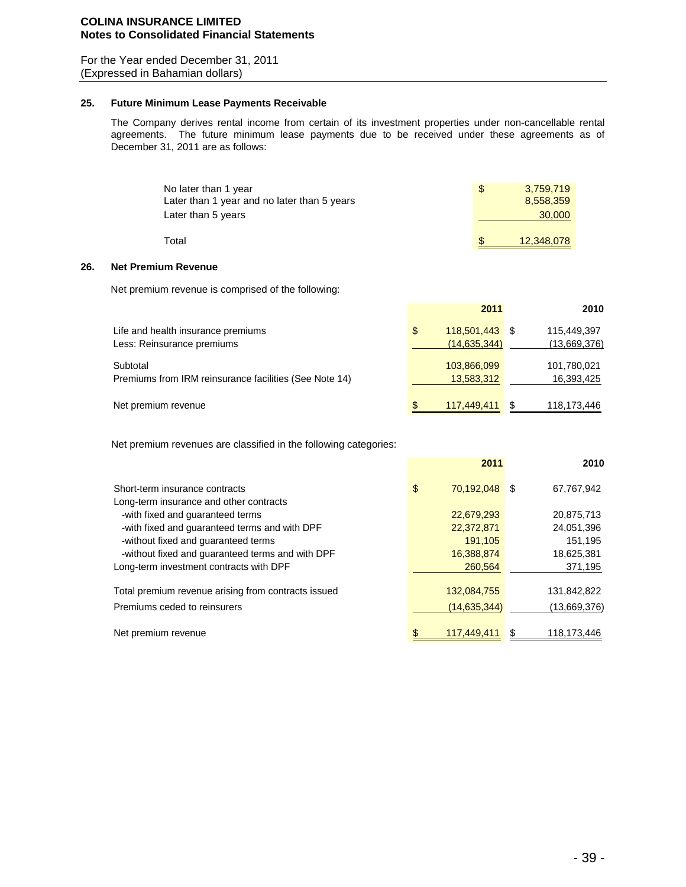For the Year ended December 31, 2011 (Expressed in Bahamian dollars)

## **25. Future Minimum Lease Payments Receivable**

The Company derives rental income from certain of its investment properties under non-cancellable rental agreements. The future minimum lease payments due to be received under these agreements as of December 31, 2011 are as follows:

| No later than 1 year<br>Later than 1 year and no later than 5 years | \$. | 3.759.719<br>8.558.359 |
|---------------------------------------------------------------------|-----|------------------------|
| Later than 5 years<br>Total                                         |     | 30,000<br>12,348,078   |

## **26. Net Premium Revenue**

Net premium revenue is comprised of the following:

|                                                                    | 2011                                | 2010                        |
|--------------------------------------------------------------------|-------------------------------------|-----------------------------|
| Life and health insurance premiums<br>Less: Reinsurance premiums   | 118,501,443<br>\$<br>(14, 635, 344) | 115.449.397<br>(13,669,376) |
| Subtotal<br>Premiums from IRM reinsurance facilities (See Note 14) | 103,866,099<br>13,583,312           | 101,780,021<br>16,393,425   |
| Net premium revenue                                                | 117,449,411<br>S                    | 118,173,446                 |

Net premium revenues are classified in the following categories:

|                                                     | 2011                | 2010         |
|-----------------------------------------------------|---------------------|--------------|
| Short-term insurance contracts                      | \$<br>70.192.048 \$ | 67,767,942   |
| Long-term insurance and other contracts             |                     |              |
| -with fixed and quaranteed terms                    | 22,679,293          | 20,875,713   |
| -with fixed and guaranteed terms and with DPF       | 22,372,871          | 24,051,396   |
| -without fixed and guaranteed terms                 | 191,105             | 151,195      |
| -without fixed and guaranteed terms and with DPF    | 16,388,874          | 18,625,381   |
| Long-term investment contracts with DPF             | 260.564             | 371,195      |
| Total premium revenue arising from contracts issued | 132,084,755         | 131,842,822  |
| Premiums ceded to reinsurers                        | (14,635,344)        | (13,669,376) |
| Net premium revenue                                 | \$<br>117,449,411   | 118,173,446  |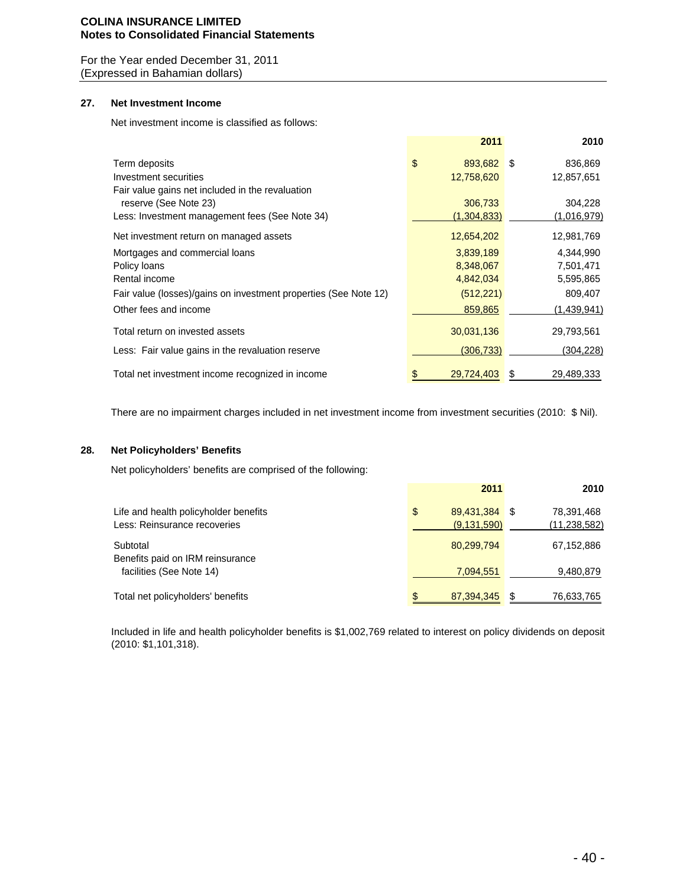For the Year ended December 31, 2011 (Expressed in Bahamian dollars)

# **27. Net Investment Income**

Net investment income is classified as follows:

|                                                                  | 2011             | 2010            |
|------------------------------------------------------------------|------------------|-----------------|
| Term deposits                                                    | \$<br>893,682    | 836,869<br>- \$ |
| Investment securities                                            | 12,758,620       | 12,857,651      |
| Fair value gains net included in the revaluation                 |                  |                 |
| reserve (See Note 23)                                            | 306,733          | 304,228         |
| Less: Investment management fees (See Note 34)                   | (1,304,833)      | (1,016,979)     |
| Net investment return on managed assets                          | 12,654,202       | 12,981,769      |
| Mortgages and commercial loans                                   | 3,839,189        | 4,344,990       |
| Policy loans                                                     | 8,348,067        | 7,501,471       |
| Rental income                                                    | 4,842,034        | 5,595,865       |
| Fair value (losses)/gains on investment properties (See Note 12) | (512, 221)       | 809,407         |
| Other fees and income                                            | 859,865          | (1,439,941)     |
| Total return on invested assets                                  | 30,031,136       | 29,793,561      |
| Less: Fair value gains in the revaluation reserve                | (306, 733)       | (304, 228)      |
| Total net investment income recognized in income                 | 29,724,403<br>\$ | 29,489,333      |

There are no impairment charges included in net investment income from investment securities (2010: \$ Nil).

# **28. Net Policyholders' Benefits**

Net policyholders' benefits are comprised of the following:

|                                                                       | 2011                              | 2010                       |
|-----------------------------------------------------------------------|-----------------------------------|----------------------------|
| Life and health policyholder benefits<br>Less: Reinsurance recoveries | \$<br>89,431,384<br>(9, 131, 590) | 78,391,468<br>(11,238,582) |
| Subtotal<br>Benefits paid on IRM reinsurance                          | 80.299.794                        | 67,152,886                 |
| facilities (See Note 14)                                              | 7,094,551                         | 9,480,879                  |
| Total net policyholders' benefits                                     | 87,394,345                        | 76,633,765                 |

Included in life and health policyholder benefits is \$1,002,769 related to interest on policy dividends on deposit (2010: \$1,101,318).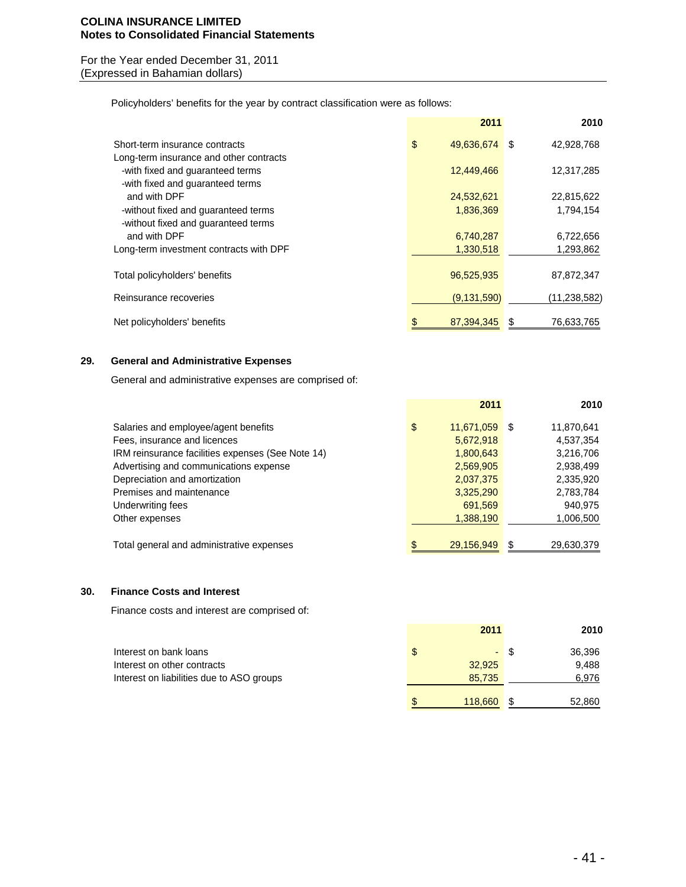For the Year ended December 31, 2011 (Expressed in Bahamian dollars)

Policyholders' benefits for the year by contract classification were as follows:

|                                         | 2011             | 2010             |
|-----------------------------------------|------------------|------------------|
| Short-term insurance contracts          | \$<br>49,636,674 | 42,928,768<br>\$ |
| Long-term insurance and other contracts |                  |                  |
| -with fixed and quaranteed terms        | 12,449,466       | 12,317,285       |
| -with fixed and quaranteed terms        |                  |                  |
| and with DPF                            | 24,532,621       | 22,815,622       |
| -without fixed and guaranteed terms     | 1,836,369        | 1,794,154        |
| -without fixed and guaranteed terms     |                  |                  |
| and with DPF                            | 6,740,287        | 6,722,656        |
| Long-term investment contracts with DPF | 1,330,518        | 1,293,862        |
|                                         |                  |                  |
| Total policyholders' benefits           | 96,525,935       | 87,872,347       |
| Reinsurance recoveries                  | (9, 131, 590)    | (11,238,582)     |
|                                         |                  |                  |
| Net policyholders' benefits             | \$<br>87,394,345 | 76,633,765       |

# **29. General and Administrative Expenses**

General and administrative expenses are comprised of:

|                                                   | 2011             | 2010             |
|---------------------------------------------------|------------------|------------------|
| Salaries and employee/agent benefits              | \$<br>11,671,059 | 11,870,641<br>-S |
| Fees, insurance and licences                      | 5,672,918        | 4,537,354        |
| IRM reinsurance facilities expenses (See Note 14) | 1,800,643        | 3,216,706        |
| Advertising and communications expense            | 2,569,905        | 2,938,499        |
| Depreciation and amortization                     | 2,037,375        | 2,335,920        |
| Premises and maintenance                          | 3,325,290        | 2,783,784        |
| Underwriting fees                                 | 691,569          | 940,975          |
| Other expenses                                    | 1,388,190        | 1,006,500        |
|                                                   |                  |                  |
| Total general and administrative expenses         | œ<br>29,156,949  | 29,630,379       |

# **30. Finance Costs and Interest**

Finance costs and interest are comprised of:

|                                           | 2011     |   | 2010   |
|-------------------------------------------|----------|---|--------|
| Interest on bank loans                    | \$<br>÷. | S | 36,396 |
| Interest on other contracts               | 32,925   |   | 9.488  |
| Interest on liabilities due to ASO groups | 85.735   |   | 6,976  |
|                                           | 118,660  |   | 52,860 |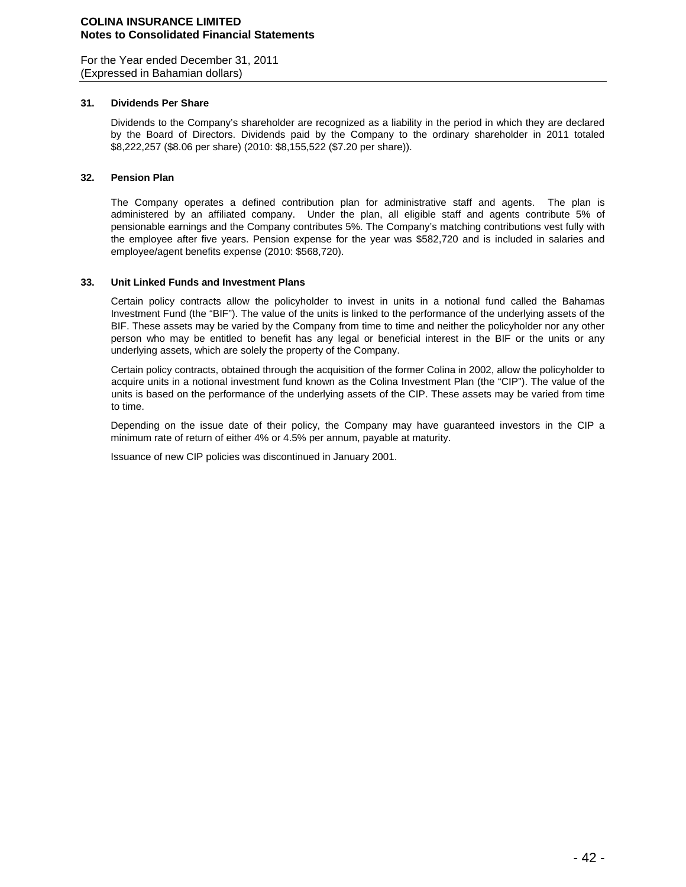## **31. Dividends Per Share**

Dividends to the Company's shareholder are recognized as a liability in the period in which they are declared by the Board of Directors. Dividends paid by the Company to the ordinary shareholder in 2011 totaled \$8,222,257 (\$8.06 per share) (2010: \$8,155,522 (\$7.20 per share)).

## **32. Pension Plan**

The Company operates a defined contribution plan for administrative staff and agents. The plan is administered by an affiliated company. Under the plan, all eligible staff and agents contribute 5% of pensionable earnings and the Company contributes 5%. The Company's matching contributions vest fully with the employee after five years. Pension expense for the year was \$582,720 and is included in salaries and employee/agent benefits expense (2010: \$568,720).

# **33. Unit Linked Funds and Investment Plans**

Certain policy contracts allow the policyholder to invest in units in a notional fund called the Bahamas Investment Fund (the "BIF"). The value of the units is linked to the performance of the underlying assets of the BIF. These assets may be varied by the Company from time to time and neither the policyholder nor any other person who may be entitled to benefit has any legal or beneficial interest in the BIF or the units or any underlying assets, which are solely the property of the Company.

 Certain policy contracts, obtained through the acquisition of the former Colina in 2002, allow the policyholder to acquire units in a notional investment fund known as the Colina Investment Plan (the "CIP"). The value of the units is based on the performance of the underlying assets of the CIP. These assets may be varied from time to time.

Depending on the issue date of their policy, the Company may have guaranteed investors in the CIP a minimum rate of return of either 4% or 4.5% per annum, payable at maturity.

Issuance of new CIP policies was discontinued in January 2001.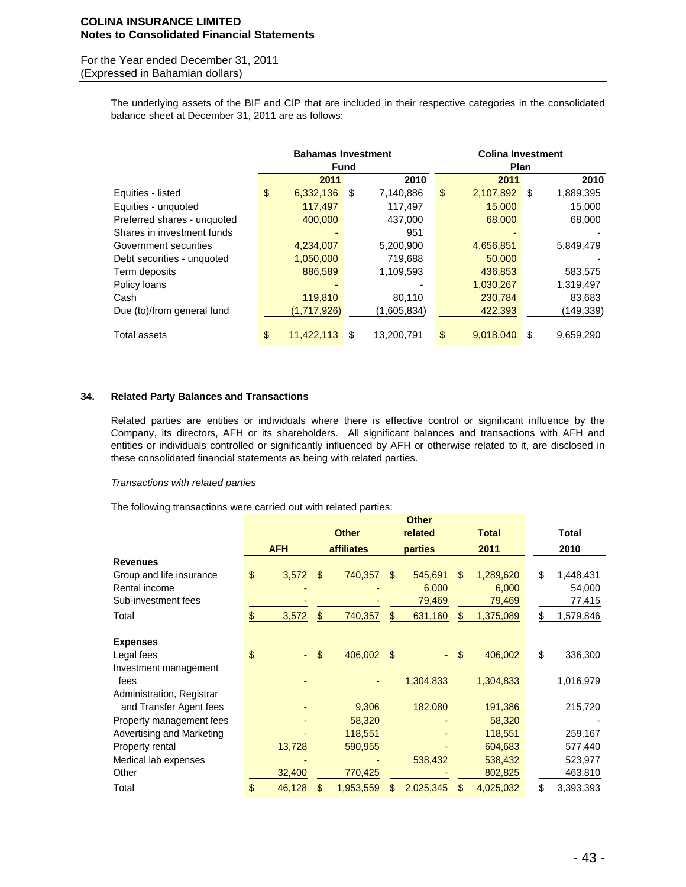For the Year ended December 31, 2011 (Expressed in Bahamian dollars)

> The underlying assets of the BIF and CIP that are included in their respective categories in the consolidated balance sheet at December 31, 2011 are as follows:

|                             |                 | <b>Bahamas Investment</b><br><b>Colina Investment</b> |                 |                  |  |  |  |  |  |  |
|-----------------------------|-----------------|-------------------------------------------------------|-----------------|------------------|--|--|--|--|--|--|
|                             |                 | Plan<br><b>Fund</b>                                   |                 |                  |  |  |  |  |  |  |
|                             | 2011            | 2010                                                  | 2011            | 2010             |  |  |  |  |  |  |
| Equities - listed           | \$<br>6,332,136 | - \$<br>7,140,886                                     | \$<br>2,107,892 | -\$<br>1,889,395 |  |  |  |  |  |  |
| Equities - unquoted         | 117,497         | 117,497                                               | 15,000          | 15,000           |  |  |  |  |  |  |
| Preferred shares - unquoted | 400,000         | 437,000                                               | 68,000          | 68,000           |  |  |  |  |  |  |
| Shares in investment funds  |                 | 951                                                   |                 |                  |  |  |  |  |  |  |
| Government securities       | 4,234,007       | 5,200,900                                             | 4,656,851       | 5,849,479        |  |  |  |  |  |  |
| Debt securities - unquoted  | 1,050,000       | 719,688                                               | 50,000          |                  |  |  |  |  |  |  |
| Term deposits               | 886,589         | 1,109,593                                             | 436,853         | 583,575          |  |  |  |  |  |  |
| Policy loans                |                 |                                                       | 1,030,267       | 1,319,497        |  |  |  |  |  |  |
| Cash                        | 119,810         | 80,110                                                | 230.784         | 83,683           |  |  |  |  |  |  |
| Due (to)/from general fund  | (1,717,926)     | (1,605,834)                                           | 422,393         | (149,339)        |  |  |  |  |  |  |
| <b>Total assets</b>         | 11,422,113      | 13,200,791<br>S                                       | 9,018,040       | 9,659,290        |  |  |  |  |  |  |

## **34. Related Party Balances and Transactions**

Related parties are entities or individuals where there is effective control or significant influence by the Company, its directors, AFH or its shareholders. All significant balances and transactions with AFH and entities or individuals controlled or significantly influenced by AFH or otherwise related to it, are disclosed in these consolidated financial statements as being with related parties.

**Other**

## *Transactions with related parties*

The following transactions were carried out with related parties:

|                           |             |    |                   |    | Uther     |     |              |    |              |
|---------------------------|-------------|----|-------------------|----|-----------|-----|--------------|----|--------------|
|                           |             |    | <b>Other</b>      |    | related   |     | <b>Total</b> |    | <b>Total</b> |
|                           | <b>AFH</b>  |    | <b>affiliates</b> |    | parties   |     | 2011         |    | 2010         |
| <b>Revenues</b>           |             |    |                   |    |           |     |              |    |              |
| Group and life insurance  | \$<br>3,572 | S  | 740,357           | S  | 545,691   | \$  | 1,289,620    | \$ | 1,448,431    |
| Rental income             |             |    |                   |    | 6,000     |     | 6,000        |    | 54,000       |
| Sub-investment fees       |             |    |                   |    | 79,469    |     | 79,469       |    | 77,415       |
| Total                     | 3,572       | \$ | 740,357           | \$ | 631,160   |     | 1,375,089    |    | 1,579,846    |
| <b>Expenses</b>           |             |    |                   |    |           |     |              |    |              |
| Legal fees                | \$<br>٠     | \$ | 406,002           | \$ |           | \$  | 406,002      | \$ | 336,300      |
| Investment management     |             |    |                   |    |           |     |              |    |              |
| fees                      |             |    |                   |    | 1,304,833 |     | 1,304,833    |    | 1,016,979    |
| Administration, Registrar |             |    |                   |    |           |     |              |    |              |
| and Transfer Agent fees   |             |    | 9,306             |    | 182,080   |     | 191,386      |    | 215,720      |
| Property management fees  |             |    | 58,320            |    |           |     | 58,320       |    |              |
| Advertising and Marketing |             |    | 118,551           |    |           |     | 118,551      |    | 259,167      |
| Property rental           | 13,728      |    | 590,955           |    |           |     | 604,683      |    | 577,440      |
| Medical lab expenses      |             |    |                   |    | 538,432   |     | 538,432      |    | 523,977      |
| Other                     | 32,400      |    | 770,425           |    |           |     | 802,825      |    | 463,810      |
| Total                     | 46,128      | 5  | 1,953,559         | \$ | 2,025,345 | \$. | 4,025,032    | S  | 3,393,393    |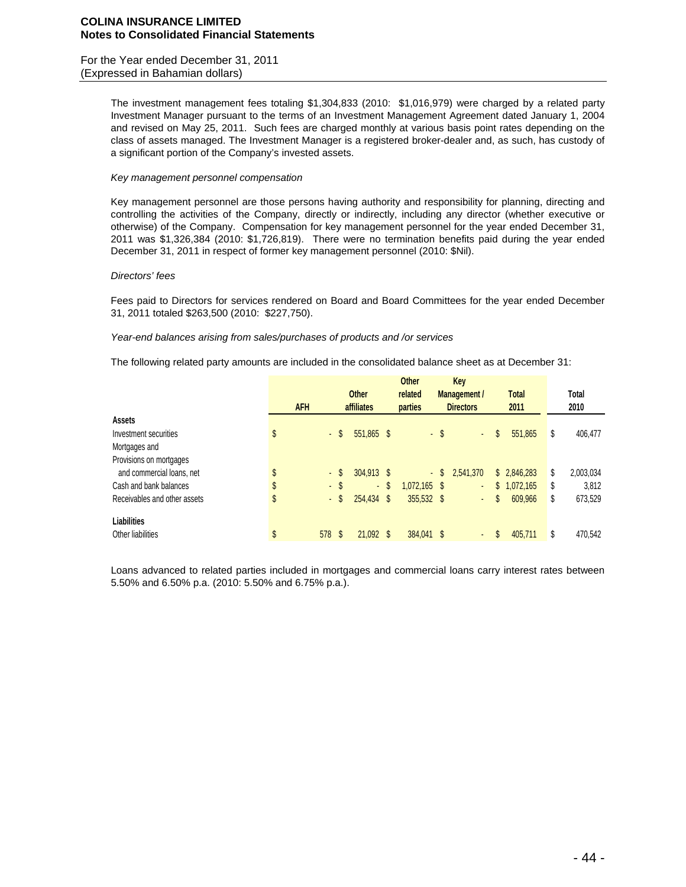> The investment management fees totaling \$1,304,833 (2010: \$1,016,979) were charged by a related party Investment Manager pursuant to the terms of an Investment Management Agreement dated January 1, 2004 and revised on May 25, 2011. Such fees are charged monthly at various basis point rates depending on the class of assets managed. The Investment Manager is a registered broker-dealer and, as such, has custody of a significant portion of the Company's invested assets.

#### *Key management personnel compensation*

Key management personnel are those persons having authority and responsibility for planning, directing and controlling the activities of the Company, directly or indirectly, including any director (whether executive or otherwise) of the Company. Compensation for key management personnel for the year ended December 31, 2011 was \$1,326,384 (2010: \$1,726,819). There were no termination benefits paid during the year ended December 31, 2011 in respect of former key management personnel (2010: \$Nil).

## *Directors' fees*

Fees paid to Directors for services rendered on Board and Board Committees for the year ended December 31, 2011 totaled \$263,500 (2010: \$227,750).

#### *Year-end balances arising from sales/purchases of products and /or services*

The following related party amounts are included in the consolidated balance sheet as at December 31:

|                              | <b>AFH</b>   |              | <b>Other</b><br>affiliates |      | <b>Other</b><br>related<br>parties |      | Key<br><b>Management /</b><br><b>Directors</b> |    | <b>Total</b><br>2011 |    | Total<br>2010 |
|------------------------------|--------------|--------------|----------------------------|------|------------------------------------|------|------------------------------------------------|----|----------------------|----|---------------|
| <b>Assets</b>                |              |              |                            |      |                                    |      |                                                |    |                      |    |               |
| Investment securities        | \$           | - \$         | 551,865 \$                 |      |                                    | - \$ | $\sim$                                         | \$ | 551,865              | \$ | 406,477       |
| Mortgages and                |              |              |                            |      |                                    |      |                                                |    |                      |    |               |
| Provisions on mortgages      |              |              |                            |      |                                    |      |                                                |    |                      |    |               |
| and commercial loans, net    | \$           | - \$         | $304,913$ \$               |      |                                    | - \$ | 2,541,370                                      |    | \$2,846,283          | \$ | 2,003,034     |
| Cash and bank balances       | \$           | - \$         |                            | - \$ | $1,072,165$ \$                     |      | ٠                                              |    | \$1,072,165          | S  | 3,812         |
| Receivables and other assets | \$<br>$\sim$ | S            | $254,434$ \$               |      | 355,532 \$                         |      | ٠                                              | \$ | 609,966              | \$ | 673,529       |
| <b>Liabilities</b>           |              |              |                            |      |                                    |      |                                                |    |                      |    |               |
| Other liabilities            | \$<br>578    | $\mathbf{s}$ | 21.092                     | S    | 384,041 \$                         |      | ۰.                                             | S  | 405,711              | S  | 470,542       |

Loans advanced to related parties included in mortgages and commercial loans carry interest rates between 5.50% and 6.50% p.a. (2010: 5.50% and 6.75% p.a.).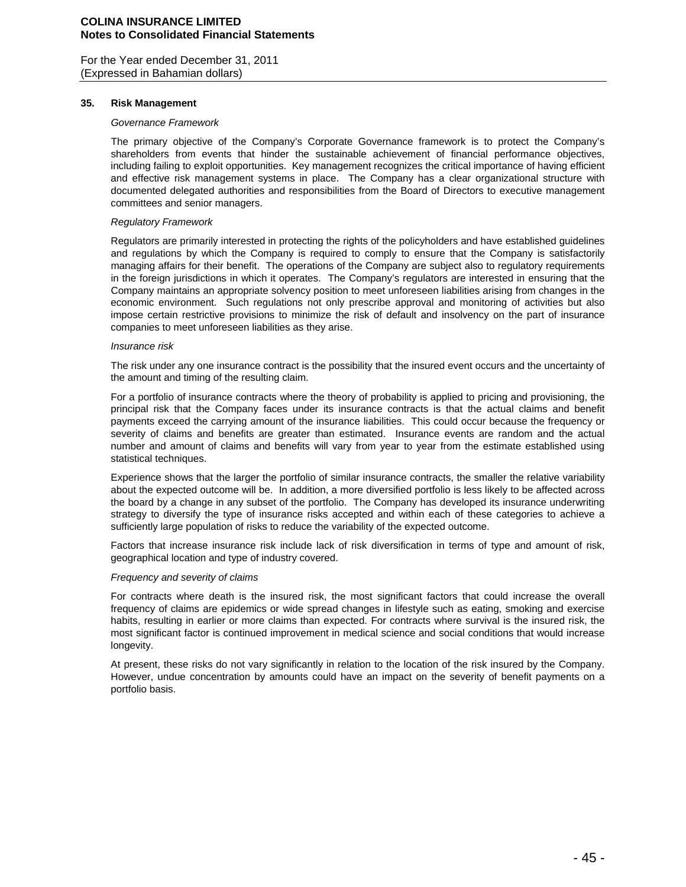For the Year ended December 31, 2011 (Expressed in Bahamian dollars)

### **35. Risk Management**

#### *Governance Framework*

The primary objective of the Company's Corporate Governance framework is to protect the Company's shareholders from events that hinder the sustainable achievement of financial performance objectives, including failing to exploit opportunities. Key management recognizes the critical importance of having efficient and effective risk management systems in place. The Company has a clear organizational structure with documented delegated authorities and responsibilities from the Board of Directors to executive management committees and senior managers.

#### *Regulatory Framework*

Regulators are primarily interested in protecting the rights of the policyholders and have established guidelines and regulations by which the Company is required to comply to ensure that the Company is satisfactorily managing affairs for their benefit. The operations of the Company are subject also to regulatory requirements in the foreign jurisdictions in which it operates. The Company's regulators are interested in ensuring that the Company maintains an appropriate solvency position to meet unforeseen liabilities arising from changes in the economic environment. Such regulations not only prescribe approval and monitoring of activities but also impose certain restrictive provisions to minimize the risk of default and insolvency on the part of insurance companies to meet unforeseen liabilities as they arise.

#### *Insurance risk*

The risk under any one insurance contract is the possibility that the insured event occurs and the uncertainty of the amount and timing of the resulting claim.

For a portfolio of insurance contracts where the theory of probability is applied to pricing and provisioning, the principal risk that the Company faces under its insurance contracts is that the actual claims and benefit payments exceed the carrying amount of the insurance liabilities. This could occur because the frequency or severity of claims and benefits are greater than estimated. Insurance events are random and the actual number and amount of claims and benefits will vary from year to year from the estimate established using statistical techniques.

Experience shows that the larger the portfolio of similar insurance contracts, the smaller the relative variability about the expected outcome will be. In addition, a more diversified portfolio is less likely to be affected across the board by a change in any subset of the portfolio. The Company has developed its insurance underwriting strategy to diversify the type of insurance risks accepted and within each of these categories to achieve a sufficiently large population of risks to reduce the variability of the expected outcome.

Factors that increase insurance risk include lack of risk diversification in terms of type and amount of risk, geographical location and type of industry covered.

#### *Frequency and severity of claims*

For contracts where death is the insured risk, the most significant factors that could increase the overall frequency of claims are epidemics or wide spread changes in lifestyle such as eating, smoking and exercise habits, resulting in earlier or more claims than expected. For contracts where survival is the insured risk, the most significant factor is continued improvement in medical science and social conditions that would increase longevity.

At present, these risks do not vary significantly in relation to the location of the risk insured by the Company. However, undue concentration by amounts could have an impact on the severity of benefit payments on a portfolio basis.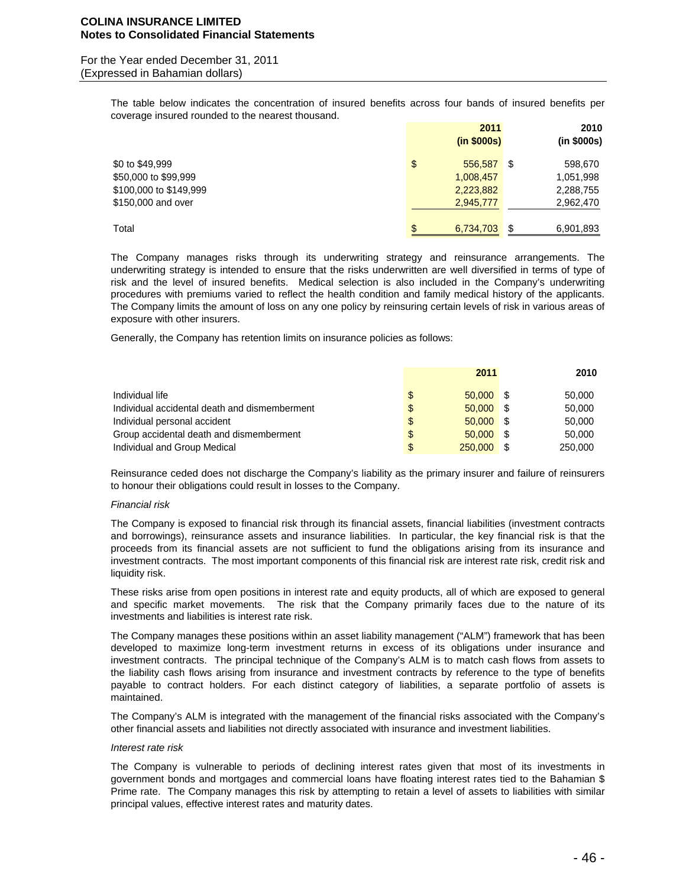For the Year ended December 31, 2011 (Expressed in Bahamian dollars)

> The table below indicates the concentration of insured benefits across four bands of insured benefits per coverage insured rounded to the nearest thousand.

|                        | 2011<br>(in \$000s) |   | 2010<br>(in \$000s) |
|------------------------|---------------------|---|---------------------|
| \$0 to \$49,999        | \$<br>556,587       | S | 598,670             |
| \$50,000 to \$99,999   | 1,008,457           |   | 1,051,998           |
| \$100,000 to \$149,999 | 2,223,882           |   | 2,288,755           |
| \$150,000 and over     | 2,945,777           |   | 2,962,470           |
| Total                  | \$<br>6,734,703     |   | 6,901,893           |

The Company manages risks through its underwriting strategy and reinsurance arrangements. The underwriting strategy is intended to ensure that the risks underwritten are well diversified in terms of type of risk and the level of insured benefits. Medical selection is also included in the Company's underwriting procedures with premiums varied to reflect the health condition and family medical history of the applicants. The Company limits the amount of loss on any one policy by reinsuring certain levels of risk in various areas of exposure with other insurers.

Generally, the Company has retention limits on insurance policies as follows:

|                                               | 2011          |    | 2010    |
|-----------------------------------------------|---------------|----|---------|
| Individual life                               | \$<br>50,000  | .S | 50,000  |
| Individual accidental death and dismemberment | \$<br>50,000  | S  | 50,000  |
| Individual personal accident                  | \$<br>50,000  | ß. | 50,000  |
| Group accidental death and dismemberment      | \$<br>50,000  | ß. | 50,000  |
| Individual and Group Medical                  | \$<br>250,000 | S  | 250,000 |

Reinsurance ceded does not discharge the Company's liability as the primary insurer and failure of reinsurers to honour their obligations could result in losses to the Company.

## *Financial risk*

The Company is exposed to financial risk through its financial assets, financial liabilities (investment contracts and borrowings), reinsurance assets and insurance liabilities. In particular, the key financial risk is that the proceeds from its financial assets are not sufficient to fund the obligations arising from its insurance and investment contracts. The most important components of this financial risk are interest rate risk, credit risk and liquidity risk.

These risks arise from open positions in interest rate and equity products, all of which are exposed to general and specific market movements. The risk that the Company primarily faces due to the nature of its investments and liabilities is interest rate risk.

The Company manages these positions within an asset liability management ("ALM") framework that has been developed to maximize long-term investment returns in excess of its obligations under insurance and investment contracts. The principal technique of the Company's ALM is to match cash flows from assets to the liability cash flows arising from insurance and investment contracts by reference to the type of benefits payable to contract holders. For each distinct category of liabilities, a separate portfolio of assets is maintained.

The Company's ALM is integrated with the management of the financial risks associated with the Company's other financial assets and liabilities not directly associated with insurance and investment liabilities.

#### *Interest rate risk*

The Company is vulnerable to periods of declining interest rates given that most of its investments in government bonds and mortgages and commercial loans have floating interest rates tied to the Bahamian \$ Prime rate. The Company manages this risk by attempting to retain a level of assets to liabilities with similar principal values, effective interest rates and maturity dates.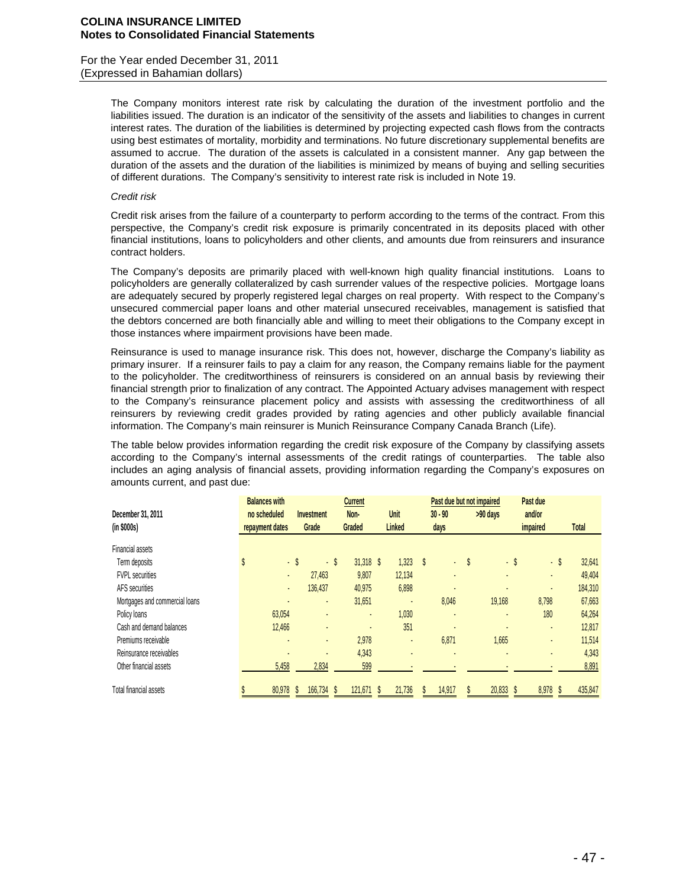> The Company monitors interest rate risk by calculating the duration of the investment portfolio and the liabilities issued. The duration is an indicator of the sensitivity of the assets and liabilities to changes in current interest rates. The duration of the liabilities is determined by projecting expected cash flows from the contracts using best estimates of mortality, morbidity and terminations. No future discretionary supplemental benefits are assumed to accrue. The duration of the assets is calculated in a consistent manner. Any gap between the duration of the assets and the duration of the liabilities is minimized by means of buying and selling securities of different durations. The Company's sensitivity to interest rate risk is included in Note 19.

#### *Credit risk*

Credit risk arises from the failure of a counterparty to perform according to the terms of the contract. From this perspective, the Company's credit risk exposure is primarily concentrated in its deposits placed with other financial institutions, loans to policyholders and other clients, and amounts due from reinsurers and insurance contract holders.

The Company's deposits are primarily placed with well-known high quality financial institutions. Loans to policyholders are generally collateralized by cash surrender values of the respective policies. Mortgage loans are adequately secured by properly registered legal charges on real property. With respect to the Company's unsecured commercial paper loans and other material unsecured receivables, management is satisfied that the debtors concerned are both financially able and willing to meet their obligations to the Company except in those instances where impairment provisions have been made.

Reinsurance is used to manage insurance risk. This does not, however, discharge the Company's liability as primary insurer. If a reinsurer fails to pay a claim for any reason, the Company remains liable for the payment to the policyholder. The creditworthiness of reinsurers is considered on an annual basis by reviewing their financial strength prior to finalization of any contract. The Appointed Actuary advises management with respect to the Company's reinsurance placement policy and assists with assessing the creditworthiness of all reinsurers by reviewing credit grades provided by rating agencies and other publicly available financial information. The Company's main reinsurer is Munich Reinsurance Company Canada Branch (Life).

The table below provides information regarding the credit risk exposure of the Company by classifying assets according to the Company's internal assessments of the credit ratings of counterparties. The table also includes an aging analysis of financial assets, providing information regarding the Company's exposures on amounts current, and past due:

|                                | <b>Balances with</b> |                   |                          | <b>Current</b> |                |   | Past due but not impaired |   |          | Past due        |          |              |
|--------------------------------|----------------------|-------------------|--------------------------|----------------|----------------|---|---------------------------|---|----------|-----------------|----------|--------------|
| December 31, 2011              | no scheduled         | <b>Investment</b> |                          | Non-           | <b>Unit</b>    |   | $30 - 90$                 |   | >90 days | and/or          |          |              |
| (in \$000s)                    | repayment dates      | Grade             |                          | Graded         | <b>Linked</b>  |   | days                      |   |          | <i>impaired</i> |          | <b>Total</b> |
| <b>Financial assets</b>        |                      |                   |                          |                |                |   |                           |   |          |                 |          |              |
| Term deposits                  |                      | - \$              | - \$                     | $31,318$ \$    | 1,323          | S | $\mathbf{a} = \mathbf{0}$ | S |          | - \$            | - \$     | 32,641       |
| <b>FVPL</b> securities         | ٠                    |                   | 27,463                   | 9,807          | 12,134         |   | ٠                         |   |          | $\blacksquare$  |          | 49,404       |
| AFS securities                 | $\blacksquare$       |                   | 136,437                  | 40,975         | 6,898          |   | $\overline{\phantom{a}}$  |   | ٠        | $\blacksquare$  |          | 184,310      |
| Mortgages and commercial loans | ٠                    |                   | ٠                        | 31,651         | ٠              |   | 8,046                     |   | 19,168   | 8,798           |          | 67,663       |
| Policy loans                   | 63,054               |                   |                          | ٠              | 1,030          |   |                           |   |          | 180             |          | 64,264       |
| Cash and demand balances       | 12,466               |                   | $\overline{\phantom{a}}$ | $\blacksquare$ | 351            |   | $\overline{\phantom{a}}$  |   | ٠        | $\blacksquare$  |          | 12,817       |
| Premiums receivable            |                      |                   | ٠                        | 2,978          | ٠              |   | 6,871                     |   | 1,665    |                 |          | 11,514       |
| Reinsurance receivables        |                      |                   | $\blacksquare$           | 4,343          | $\blacksquare$ |   | $\overline{\phantom{a}}$  |   |          |                 |          | 4,343        |
| Other financial assets         | 5,458                |                   | 2,834                    | 599            |                |   |                           |   |          |                 |          | 8,891        |
| Total financial assets         | 80,978               | <b>S</b>          | 166,734                  | S<br>121,671   | 21,736         |   | 14,917                    |   | 20,833   | 8,978           | <b>S</b> | 435,847      |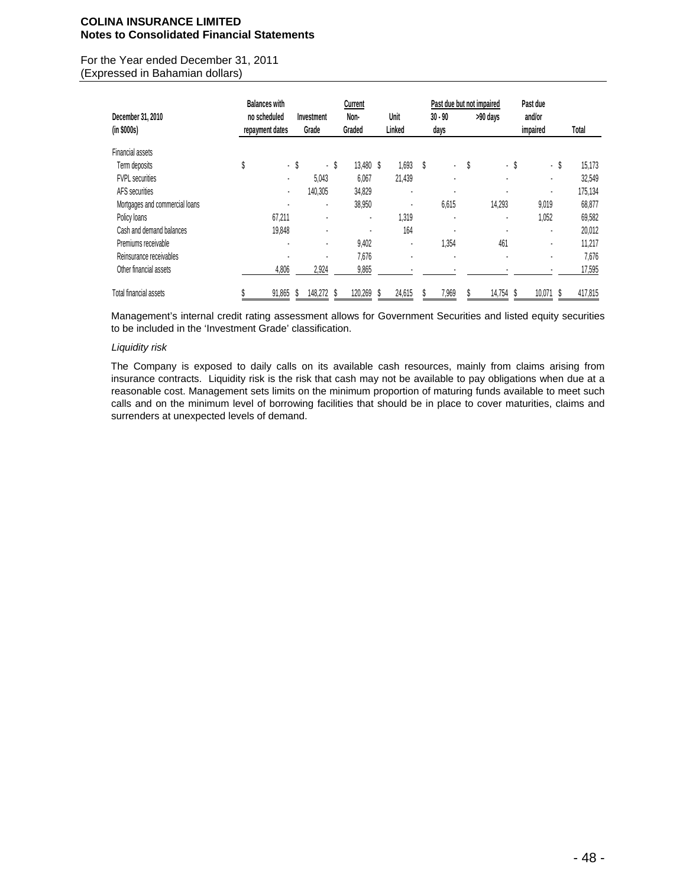For the Year ended December 31, 2011 (Expressed in Bahamian dollars)

| December 31, 2010<br>(in \$000s) | <b>Balances with</b><br>no scheduled<br>repayment dates |      | Investment<br>Grade |      | Current<br>Non-<br>Graded | Unit<br>Linked           | Past due but not impaired<br>$30 - 90$<br>days |       |    | >90 days       | Past due<br>and/or<br>impaired |        |   | Total   |
|----------------------------------|---------------------------------------------------------|------|---------------------|------|---------------------------|--------------------------|------------------------------------------------|-------|----|----------------|--------------------------------|--------|---|---------|
| Financial assets                 |                                                         |      |                     |      |                           |                          |                                                |       |    |                |                                |        |   |         |
| Term deposits                    | \$                                                      | - \$ |                     | - \$ | 13,480 \$                 | 1.693                    | S                                              |       | \$ |                | - \$                           | - \$   |   | 15.173  |
| <b>FVPL</b> securities           | ۰                                                       |      | 5,043               |      | 6.067                     | 21,439                   |                                                | ٠     |    | ٠              |                                | ٠      |   | 32,549  |
| AFS securities                   | ٠                                                       |      | 140,305             |      | 34,829                    | ٠                        |                                                |       |    |                |                                | ٠      |   | 175,134 |
| Mortgages and commercial loans   | ۰                                                       |      | ۰                   |      | 38,950                    | $\overline{\phantom{a}}$ |                                                | 6,615 |    | 14,293         |                                | 9,019  |   | 68.877  |
| Policy loans                     | 67.211                                                  |      | ٠                   |      | $\blacksquare$            | 1,319                    |                                                | ٠     |    | ٠              |                                | 1,052  |   | 69,582  |
| Cash and demand balances         | 19,848                                                  |      | ٠                   |      |                           | 164                      |                                                |       |    | ٠              |                                | ٠      |   | 20,012  |
| Premiums receivable              | ۰                                                       |      | ٠                   |      | 9,402                     | $\overline{\phantom{a}}$ |                                                | 1,354 |    | 461            |                                | ٠      |   | 11.217  |
| Reinsurance receivables          | ۰                                                       |      | ٠                   |      | 7,676                     | ٠                        |                                                | ٠     |    | $\blacksquare$ |                                | ٠      |   | 7,676   |
| Other financial assets           | 4,806                                                   |      | 2,924               |      | 9,865                     |                          |                                                |       |    |                |                                |        |   | 17,595  |
| Total financial assets           | 91,865                                                  | ъ    | 148,272 \$          |      | 120,269                   | 24,615                   |                                                | 7,969 |    | 14,754         |                                | 10,071 | S | 417,815 |

Management's internal credit rating assessment allows for Government Securities and listed equity securities to be included in the 'Investment Grade' classification.

# *Liquidity risk*

The Company is exposed to daily calls on its available cash resources, mainly from claims arising from insurance contracts. Liquidity risk is the risk that cash may not be available to pay obligations when due at a reasonable cost. Management sets limits on the minimum proportion of maturing funds available to meet such calls and on the minimum level of borrowing facilities that should be in place to cover maturities, claims and surrenders at unexpected levels of demand.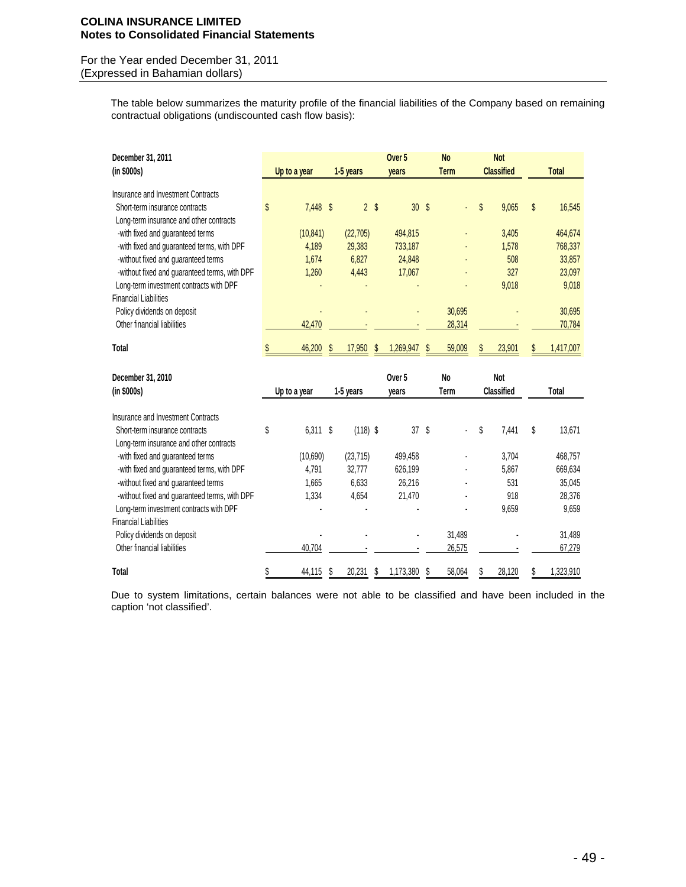For the Year ended December 31, 2011 (Expressed in Bahamian dollars)

> The table below summarizes the maturity profile of the financial liabilities of the Company based on remaining contractual obligations (undiscounted cash flow basis):

| December 31, 2011                                                              |                  |   |                     | Over <sub>5</sub> |   | <b>No</b>   | <b>Not</b>        |                 |
|--------------------------------------------------------------------------------|------------------|---|---------------------|-------------------|---|-------------|-------------------|-----------------|
| (in \$000s)                                                                    | Up to a year     |   | 1-5 years           | years             |   | <b>Term</b> | <b>Classified</b> | <b>Total</b>    |
| Insurance and Investment Contracts                                             |                  |   |                     |                   |   |             |                   |                 |
| Short-term insurance contracts                                                 | \$<br>7,448 \$   |   | 2 <sup>5</sup>      | 30 <sup>5</sup>   |   |             | \$<br>9,065       | \$<br>16,545    |
| Long-term insurance and other contracts                                        |                  |   |                     |                   |   |             |                   |                 |
| -with fixed and guaranteed terms                                               | (10, 841)        |   | (22, 705)           | 494,815           |   |             | 3,405             | 464,674         |
| -with fixed and guaranteed terms, with DPF                                     | 4,189            |   | 29,383              | 733,187           |   |             | 1,578             | 768,337         |
| -without fixed and guaranteed terms                                            | 1,674            |   | 6,827               | 24,848            |   |             | 508               | 33,857          |
| -without fixed and guaranteed terms, with DPF                                  | 1,260            |   | 4,443               | 17,067            |   |             | 327               | 23,097          |
| Long-term investment contracts with DPF                                        |                  |   |                     |                   |   |             | 9,018             | 9,018           |
| <b>Financial Liabilities</b>                                                   |                  |   |                     |                   |   |             |                   |                 |
| Policy dividends on deposit                                                    |                  |   |                     |                   |   | 30,695      |                   | 30,695          |
| Other financial liabilities                                                    | 42,470           |   |                     |                   |   | 28,314      |                   | 70,784          |
| Total                                                                          | 46,200           | S | 17,950              | \$<br>1,269,947   | S | 59,009      | \$<br>23,901      | \$<br>1,417,007 |
|                                                                                |                  |   |                     |                   |   |             |                   |                 |
| December 31, 2010                                                              |                  |   |                     | Over <sub>5</sub> |   | No          | Not               |                 |
| (in \$000s)                                                                    | Up to a year     |   | 1-5 years           | years             |   | Term        | <b>Classified</b> | Total           |
|                                                                                |                  |   |                     |                   |   |             |                   |                 |
| Insurance and Investment Contracts                                             |                  |   |                     |                   |   |             |                   |                 |
| Short-term insurance contracts                                                 | \$<br>$6,311$ \$ |   | $(118)$ \$          | 37 <sup>°</sup>   |   |             | \$<br>7,441       | \$<br>13,671    |
| Long-term insurance and other contracts                                        | (10,690)         |   |                     | 499,458           |   |             | 3,704             | 468,757         |
| -with fixed and guaranteed terms<br>-with fixed and guaranteed terms, with DPF | 4,791            |   | (23, 715)<br>32,777 | 626,199           |   |             | 5,867             | 669,634         |
| -without fixed and guaranteed terms                                            | 1,665            |   | 6,633               | 26,216            |   |             | 531               | 35,045          |
| -without fixed and guaranteed terms, with DPF                                  | 1,334            |   | 4,654               | 21,470            |   |             | 918               | 28,376          |
| Long-term investment contracts with DPF                                        |                  |   |                     |                   |   |             | 9,659             | 9,659           |
| <b>Financial Liabilities</b>                                                   |                  |   |                     |                   |   |             |                   |                 |
| Policy dividends on deposit                                                    |                  |   |                     |                   |   | 31,489      |                   | 31,489          |
| Other financial liabilities                                                    | 40,704           |   |                     |                   |   | 26,575      |                   | 67,279          |

Due to system limitations, certain balances were not able to be classified and have been included in the caption 'not classified'.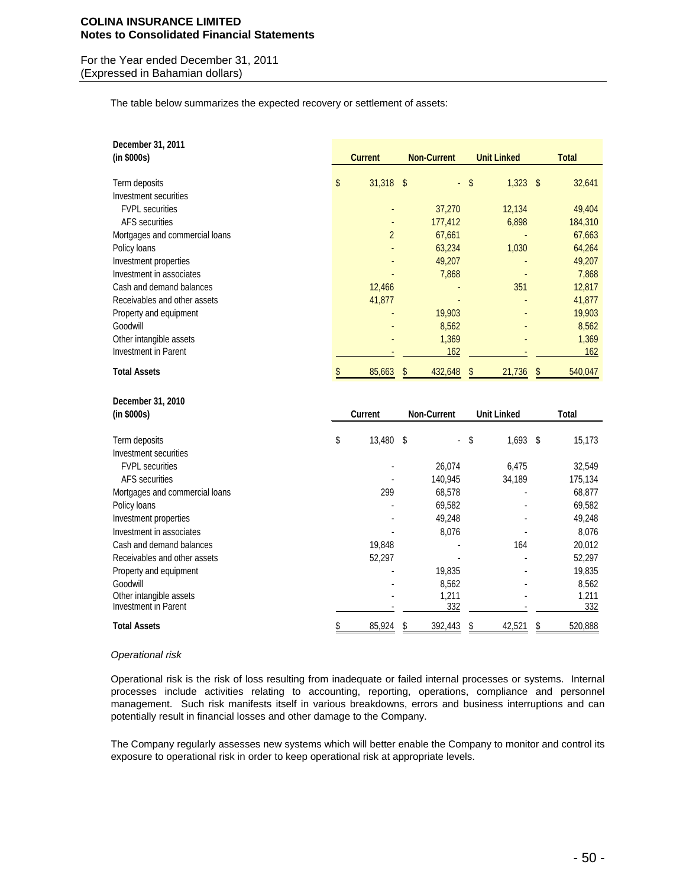For the Year ended December 31, 2011 (Expressed in Bahamian dollars)

The table below summarizes the expected recovery or settlement of assets:

| December 31, 2011<br>(in \$000s) | <b>Non-Current</b><br><b>Current</b> |              | <b>Unit Linked</b>   | <b>Total</b> |  |
|----------------------------------|--------------------------------------|--------------|----------------------|--------------|--|
|                                  |                                      |              |                      |              |  |
| Term deposits                    | \$<br>$31,318$ \$                    |              | $-$ \$<br>$1,323$ \$ | 32,641       |  |
| Investment securities            |                                      |              |                      |              |  |
| <b>FVPL</b> securities           |                                      | 37,270       | 12,134               | 49,404       |  |
| AFS securities                   |                                      | 177,412      | 6,898                | 184,310      |  |
| Mortgages and commercial loans   | $\overline{2}$                       | 67,661       |                      | 67,663       |  |
| Policy loans                     |                                      | 63,234       | 1,030                | 64,264       |  |
| Investment properties            |                                      | 49,207       |                      | 49,207       |  |
| Investment in associates         |                                      | 7,868        |                      | 7,868        |  |
| Cash and demand balances         | 12,466                               |              | 351                  | 12,817       |  |
| Receivables and other assets     | 41,877                               |              |                      | 41,877       |  |
| Property and equipment           |                                      | 19,903       |                      | 19,903       |  |
| Goodwill                         |                                      | 8,562        |                      | 8,562        |  |
| Other intangible assets          |                                      | 1,369        |                      | 1,369        |  |
| Investment in Parent             |                                      | 162          |                      | 162          |  |
| <b>Total Assets</b>              | \$<br>85,663                         | 432,648<br>S | 21,736<br>S          | S<br>540,047 |  |

| December 31, 2010 |  |
|-------------------|--|
| (in \$000s)       |  |

| (in \$000s)                                     |    | <b>Current</b> |   | <b>Non-Current</b> |      | Unit Linked |  | Total        |  |
|-------------------------------------------------|----|----------------|---|--------------------|------|-------------|--|--------------|--|
| Term deposits                                   | \$ | 13,480 \$      |   |                    | - \$ | $1,693$ \$  |  | 15,173       |  |
| Investment securities                           |    |                |   |                    |      |             |  |              |  |
| <b>FVPL</b> securities                          |    |                |   | 26,074             |      | 6,475       |  | 32,549       |  |
| AFS securities                                  |    |                |   | 140,945            |      | 34,189      |  | 175,134      |  |
| Mortgages and commercial loans                  |    | 299            |   | 68,578             |      |             |  | 68,877       |  |
| Policy loans                                    |    |                |   | 69,582             |      |             |  | 69,582       |  |
| Investment properties                           |    |                |   | 49,248             |      |             |  | 49,248       |  |
| Investment in associates                        |    |                |   | 8,076              |      |             |  | 8,076        |  |
| Cash and demand balances                        |    | 19,848         |   |                    |      | 164         |  | 20,012       |  |
| Receivables and other assets                    |    | 52,297         |   |                    |      |             |  | 52,297       |  |
| Property and equipment                          |    |                |   | 19,835             |      |             |  | 19,835       |  |
| Goodwill                                        |    |                |   | 8,562              |      |             |  | 8,562        |  |
| Other intangible assets<br>Investment in Parent |    |                |   | 1,211<br>332       |      |             |  | 1,211<br>332 |  |
| <b>Total Assets</b>                             |    | 85,924         | S | 392,443            |      | 42,521      |  | 520,888      |  |

## *Operational risk*

Operational risk is the risk of loss resulting from inadequate or failed internal processes or systems. Internal processes include activities relating to accounting, reporting, operations, compliance and personnel management. Such risk manifests itself in various breakdowns, errors and business interruptions and can potentially result in financial losses and other damage to the Company.

The Company regularly assesses new systems which will better enable the Company to monitor and control its exposure to operational risk in order to keep operational risk at appropriate levels.